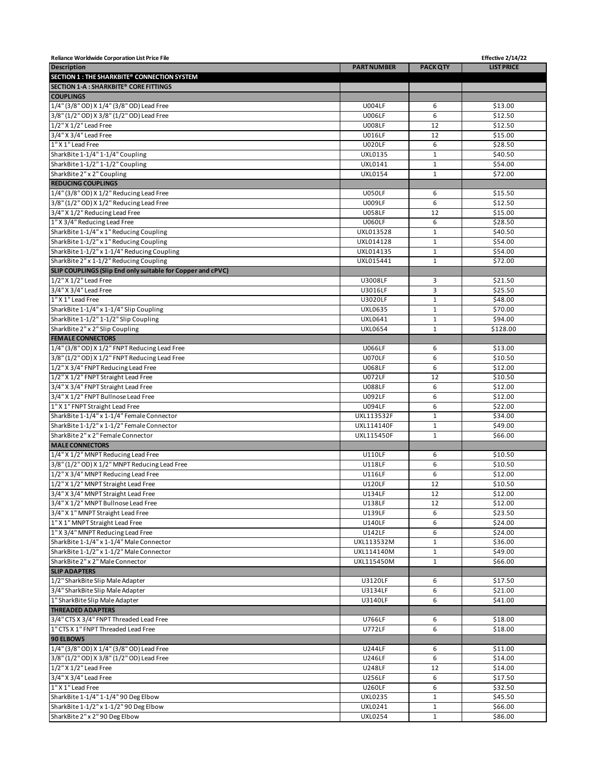| Reliance Worldwide Corporation List Price File              |                           |                 | Effective 2/14/22 |
|-------------------------------------------------------------|---------------------------|-----------------|-------------------|
| <b>Description</b>                                          | <b>PART NUMBER</b>        | <b>PACK QTY</b> | <b>LIST PRICE</b> |
| SECTION 1 : THE SHARKBITE® CONNECTION SYSTEM                |                           |                 |                   |
| SECTION 1-A : SHARKBITE® CORE FITTINGS                      |                           |                 |                   |
| <b>COUPLINGS</b>                                            |                           |                 |                   |
| 1/4" (3/8" OD) X 1/4" (3/8" OD) Lead Free                   | <b>U004LF</b>             | 6               | \$13.00           |
| 3/8" (1/2" OD) X 3/8" (1/2" OD) Lead Free                   | <b>U006LF</b>             | 6               | \$12.50           |
| 1/2" X 1/2" Lead Free                                       | <b>U008LF</b>             | 12              | \$12.50           |
| 3/4" X 3/4" Lead Free                                       | <b>U016LF</b>             | 12              | \$15.00           |
| 1" X 1" Lead Free                                           | <b>U020LF</b>             | 6               | \$28.50           |
| SharkBite 1-1/4" 1-1/4" Coupling                            | <b>UXL0135</b>            | $\mathbf{1}$    | \$40.50           |
| SharkBite 1-1/2" 1-1/2" Coupling                            | UXL0141                   | $\mathbf 1$     | \$54.00           |
| SharkBite 2" x 2" Coupling                                  | <b>UXL0154</b>            | $\mathbf{1}$    | \$72.00           |
| <b>REDUCING COUPLINGS</b>                                   |                           |                 |                   |
| 1/4" (3/8" OD) X 1/2" Reducing Lead Free                    | <b>U050LF</b>             | 6               | \$15.50           |
| 3/8" (1/2" OD) X 1/2" Reducing Lead Free                    | <b>U009LF</b>             | 6               | \$12.50           |
| 3/4" X 1/2" Reducing Lead Free                              | <b>U058LF</b>             | 12              | \$15.00           |
| 1" X 3/4" Reducing Lead Free                                | <b>U060LF</b>             | 6               | \$28.50           |
| SharkBite 1-1/4" x 1" Reducing Coupling                     | UXL013528                 | $\mathbf{1}$    | \$40.50           |
| SharkBite 1-1/2" x 1" Reducing Coupling                     | UXL014128                 | $\mathbf 1$     | \$54.00           |
| SharkBite 1-1/2" x 1-1/4" Reducing Coupling                 | UXL014135                 | $\mathbf{1}$    | \$54.00           |
| SharkBite 2" x 1-1/2" Reducing Coupling                     | UXL015441                 | $\mathbf{1}$    | \$72.00           |
| SLIP COUPLINGS (Slip End only suitable for Copper and cPVC) |                           |                 |                   |
| 1/2" X 1/2" Lead Free                                       | U3008LF                   | 3               | \$21.50           |
| 3/4" X 3/4" Lead Free                                       | U3016LF                   | 3               | \$25.50           |
| 1" X 1" Lead Free                                           | U3020LF                   | $\mathbf 1$     | \$48.00           |
| SharkBite 1-1/4" x 1-1/4" Slip Coupling                     |                           | $\mathbf 1$     |                   |
|                                                             | <b>UXL0635</b><br>UXL0641 | $\mathbf{1}$    | \$70.00           |
| SharkBite 1-1/2" 1-1/2" Slip Coupling                       |                           |                 | \$94.00           |
| SharkBite 2" x 2" Slip Coupling                             | <b>UXL0654</b>            | $\mathbf 1$     | \$128.00          |
| <b>FEMALE CONNECTORS</b>                                    |                           |                 |                   |
| 1/4" (3/8" OD) X 1/2" FNPT Reducing Lead Free               | <b>U066LF</b>             | 6               | \$13.00           |
| 3/8" (1/2" OD) X 1/2" FNPT Reducing Lead Free               | <b>U070LF</b>             | 6               | \$10.50           |
| 1/2" X 3/4" FNPT Reducing Lead Free                         | <b>U068LF</b>             | 6               | \$12.00           |
| 1/2" X 1/2" FNPT Straight Lead Free                         | <b>U072LF</b>             | 12              | \$10.50           |
| 3/4" X 3/4" FNPT Straight Lead Free                         | <b>U088LF</b>             | 6               | \$12.00           |
| 3/4" X 1/2" FNPT Bullnose Lead Free                         | U092LF                    | 6               | \$12.00           |
| 1" X 1" FNPT Straight Lead Free                             | <b>U094LF</b>             | 6               | \$22.00           |
| SharkBite 1-1/4" x 1-1/4" Female Connector                  | UXL113532F                | $\mathbf 1$     | \$34.00           |
| SharkBite 1-1/2" x 1-1/2" Female Connector                  | <b>UXL114140F</b>         | $1\,$           | \$49.00           |
| SharkBite 2" x 2" Female Connector                          | <b>UXL115450F</b>         | $\mathbf 1$     | \$66.00           |
| <b>MALE CONNECTORS</b>                                      |                           |                 |                   |
| 1/4" X 1/2" MNPT Reducing Lead Free                         | <b>U110LF</b>             | 6               | \$10.50           |
| 3/8" (1/2" OD) X 1/2" MNPT Reducing Lead Free               | <b>U118LF</b>             | 6               | \$10.50           |
| 1/2" X 3/4" MNPT Reducing Lead Free                         | <b>U116LF</b>             | 6               | \$12.00           |
| 1/2" X 1/2" MNPT Straight Lead Free                         | <b>U120LF</b>             | 12              | \$10.50           |
| 3/4" X 3/4" MNPT Straight Lead Free                         | U134LF                    | 12              | \$12.00           |
| 3/4" X 1/2" MNPT Bullnose Lead Free                         | U138LF                    | 12              | \$12.00           |
| 3/4" X 1" MNPT Straight Lead Free                           | U139LF                    | 6               | \$23.50           |
| 1" X 1" MNPT Straight Lead Free                             | <b>U140LF</b>             | 6               | \$24.00           |
| 1" X 3/4" MNPT Reducing Lead Free                           | U142LF                    | 6               | \$24.00           |
| SharkBite 1-1/4" x 1-1/4" Male Connector                    | UXL113532M                | $\mathbf{1}$    | \$36.00           |
| SharkBite 1-1/2" x 1-1/2" Male Connector                    | UXL114140M                | $\mathbf 1$     | \$49.00           |
| SharkBite 2" x 2" Male Connector                            | UXL115450M                | $\mathbf{1}$    | \$66.00           |
| <b>SLIP ADAPTERS</b>                                        |                           |                 |                   |
| 1/2" SharkBite Slip Male Adapter                            | U3120LF                   | 6               | \$17.50           |
| 3/4" SharkBite Slip Male Adapter                            | U3134LF                   | 6               | \$21.00           |
| 1" SharkBite Slip Male Adapter                              | U3140LF                   | 6               | \$41.00           |
| <b>THREADED ADAPTERS</b>                                    |                           |                 |                   |
| 3/4" CTS X 3/4" FNPT Threaded Lead Free                     | U766LF                    | 6               | \$18.00           |
| 1" CTS X 1" FNPT Threaded Lead Free                         | <b>U772LF</b>             | 6               | \$18.00           |
| 90 ELBOWS                                                   |                           |                 |                   |
| 1/4" (3/8" OD) X 1/4" (3/8" OD) Lead Free                   | <b>U244LF</b>             | 6               | \$11.00           |
| 3/8" (1/2" OD) X 3/8" (1/2" OD) Lead Free                   | U246LF                    | 6               | \$14.00           |
| $1/2$ " X $1/2$ " Lead Free                                 | <b>U248LF</b>             | 12              | \$14.00           |
| 3/4" X 3/4" Lead Free                                       | U256LF                    | 6               | \$17.50           |
| 1" X 1" Lead Free                                           | <b>U260LF</b>             | 6               | \$32.50           |
| SharkBite 1-1/4" 1-1/4" 90 Deg Elbow                        | <b>UXL0235</b>            | $\mathbf{1}$    | \$45.50           |
| SharkBite 1-1/2" x 1-1/2" 90 Deg Elbow                      | UXL0241                   | $\mathbf{1}$    | \$66.00           |
| SharkBite 2" x 2" 90 Deg Elbow                              | <b>UXL0254</b>            | $\mathbf 1$     | \$86.00           |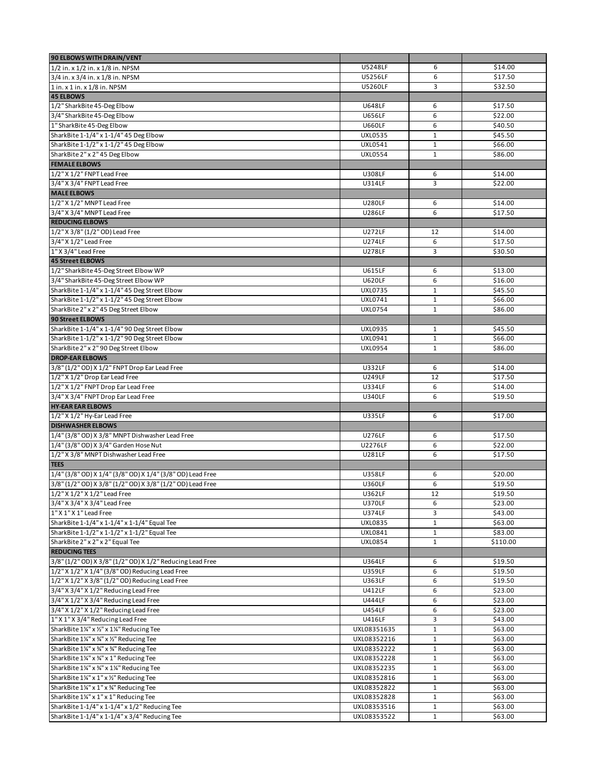| 90 ELBOWS WITH DRAIN/VENT                                                        |                                  |                              |                     |
|----------------------------------------------------------------------------------|----------------------------------|------------------------------|---------------------|
| 1/2 in. x 1/2 in. x 1/8 in. NPSM                                                 | U5248LF                          | 6                            | \$14.00             |
| 3/4 in. x 3/4 in. x 1/8 in. NPSM                                                 | U5256LF                          | 6                            | \$17.50             |
| 1 in. x 1 in. x 1/8 in. NPSM                                                     | U5260LF                          | $\overline{3}$               | \$32.50             |
| <b>45 ELBOWS</b>                                                                 |                                  |                              |                     |
| 1/2" SharkBite 45-Deg Elbow                                                      | <b>U648LF</b>                    | 6                            | \$17.50             |
| 3/4" SharkBite 45-Deg Elbow                                                      | <b>U656LF</b>                    | 6                            | \$22.00             |
| 1" SharkBite 45-Deg Elbow                                                        | <b>U660LF</b>                    | 6                            | \$40.50             |
| SharkBite 1-1/4" x 1-1/4" 45 Deg Elbow                                           | <b>UXL0535</b>                   | $\mathbf 1$<br>$\mathbf 1$   | \$45.50             |
| SharkBite 1-1/2" x 1-1/2" 45 Deg Elbow<br>SharkBite 2" x 2" 45 Deg Elbow         | <b>UXL0541</b><br><b>UXL0554</b> | $\mathbf{1}$                 | \$66.00             |
| <b>FEMALE ELBOWS</b>                                                             |                                  |                              | \$86.00             |
| 1/2" X 1/2" FNPT Lead Free                                                       | <b>U308LF</b>                    | 6                            | \$14.00             |
| 3/4" X 3/4" FNPT Lead Free                                                       | <b>U314LF</b>                    | 3                            | \$22.00             |
| <b>MALE ELBOWS</b>                                                               |                                  |                              |                     |
| 1/2" X 1/2" MNPT Lead Free                                                       | <b>U280LF</b>                    | 6                            | \$14.00             |
| 3/4" X 3/4" MNPT Lead Free                                                       | U286LF                           | 6                            | \$17.50             |
| <b>REDUCING ELBOWS</b>                                                           |                                  |                              |                     |
| 1/2" X 3/8" (1/2" OD) Lead Free                                                  | <b>U272LF</b>                    | 12                           | \$14.00             |
| 3/4" X 1/2" Lead Free                                                            | <b>U274LF</b>                    | 6                            | \$17.50             |
| 1" X 3/4" Lead Free                                                              | <b>U278LF</b>                    | 3                            | \$30.50             |
| <b>45 Street ELBOWS</b>                                                          |                                  |                              |                     |
| 1/2" SharkBite 45-Deg Street Elbow WP                                            | <b>U615LF</b>                    | 6                            | \$13.00             |
| 3/4" SharkBite 45-Deg Street Elbow WP                                            | <b>U620LF</b>                    | 6                            | \$16.00             |
| SharkBite 1-1/4" x 1-1/4" 45 Deg Street Elbow                                    | <b>UXL0735</b>                   | $\mathbf{1}$                 | \$45.50             |
| SharkBite 1-1/2" x 1-1/2" 45 Deg Street Elbow                                    | UXL0741                          | 1                            | \$66.00             |
| SharkBite 2" x 2" 45 Deg Street Elbow                                            | <b>UXL0754</b>                   | $\mathbf{1}$                 | \$86.00             |
| 90 Street ELBOWS                                                                 |                                  |                              |                     |
| SharkBite 1-1/4" x 1-1/4" 90 Deg Street Elbow                                    | <b>UXL0935</b>                   | $\mathbf{1}$                 | \$45.50             |
| SharkBite 1-1/2" x 1-1/2" 90 Deg Street Elbow                                    | UXL0941                          | $\mathbf 1$                  | \$66.00             |
| SharkBite 2" x 2" 90 Deg Street Elbow                                            | <b>UXL0954</b>                   | $\mathbf{1}$                 | \$86.00             |
| <b>DROP-EAR ELBOWS</b><br>3/8" (1/2" OD) X 1/2" FNPT Drop Ear Lead Free          | <b>U332LF</b>                    | 6                            |                     |
| 1/2" X 1/2" Drop Ear Lead Free                                                   | <b>U249LF</b>                    | 12                           | \$14.00<br>\$17.50  |
| 1/2" X 1/2" FNPT Drop Ear Lead Free                                              | <b>U334LF</b>                    | 6                            | \$14.00             |
| 3/4" X 3/4" FNPT Drop Ear Lead Free                                              | <b>U340LF</b>                    | 6                            | \$19.50             |
| <b>HY-EAR EAR ELBOWS</b>                                                         |                                  |                              |                     |
| 1/2" X 1/2" Hy-Ear Lead Free                                                     | <b>U335LF</b>                    | 6                            | \$17.00             |
| <b>DISHWASHER ELBOWS</b>                                                         |                                  |                              |                     |
| 1/4" (3/8" OD) X 3/8" MNPT Dishwasher Lead Free                                  | <b>U276LF</b>                    | 6                            | \$17.50             |
| 1/4" (3/8" OD) X 3/4" Garden Hose Nut                                            | U2276LF                          | 6                            | \$22.00             |
| 1/2" X 3/8" MNPT Dishwasher Lead Free                                            | U281LF                           | 6                            | \$17.50             |
| <b>TEES</b>                                                                      |                                  |                              |                     |
| 1/4" (3/8" OD) X 1/4" (3/8" OD) X 1/4" (3/8" OD) Lead Free                       | <b>U358LF</b>                    | 6                            | \$20.00             |
| 3/8" (1/2" OD) X 3/8" (1/2" OD) X 3/8" (1/2" OD) Lead Free                       | <b>U360LF</b>                    | 6                            | \$19.50             |
| $1/2$ " X $1/2$ " X $1/2$ " Lead Free                                            | U362LF                           | 12                           | \$19.50             |
| 3/4" X 3/4" X 3/4" Lead Free                                                     | <b>U370LF</b>                    | 6                            | \$23.00             |
| 1" X 1" X 1" Lead Free<br>SharkBite 1-1/4" x 1-1/4" x 1-1/4" Equal Tee           | U374LF<br><b>UXL0835</b>         | 3                            | \$43.00             |
|                                                                                  | UXL0841                          | $\mathbf 1$                  | \$63.00             |
| SharkBite 1-1/2" x 1-1/2" x 1-1/2" Equal Tee<br>SharkBite 2" x 2" x 2" Equal Tee | <b>UXL0854</b>                   | $\mathbf{1}$<br>$\mathbf{1}$ | \$83.00<br>\$110.00 |
| <b>REDUCING TEES</b>                                                             |                                  |                              |                     |
| 3/8" (1/2" OD) X 3/8" (1/2" OD) X 1/2" Reducing Lead Free                        | U364LF                           | 6                            | \$19.50             |
| 1/2" X 1/2" X 1/4" (3/8" OD) Reducing Lead Free                                  | <b>U359LF</b>                    | 6                            | \$19.50             |
| 1/2" X 1/2" X 3/8" (1/2" OD) Reducing Lead Free                                  | U363LF                           | 6                            | \$19.50             |
| 3/4" X 3/4" X 1/2" Reducing Lead Free                                            | <b>U412LF</b>                    | 6                            | \$23.00             |
| 3/4" X 1/2" X 3/4" Reducing Lead Free                                            | <b>U444LF</b>                    | 6                            | \$23.00             |
| 3/4" X 1/2" X 1/2" Reducing Lead Free                                            | <b>U454LF</b>                    | 6                            | \$23.00             |
| 1" X 1" X 3/4" Reducing Lead Free                                                | <b>U416LF</b>                    | $\overline{3}$               | \$43.00             |
| SharkBite 1¼" x 1/2" x 1¼" Reducing Tee                                          | UXL08351635                      | $1\,$                        | \$63.00             |
| SharkBite 1¼" x ¾" x ½" Reducing Tee                                             | UXL08352216                      | $1\,$                        | \$63.00             |
| SharkBite 1¼" x 3⁄4" x 3⁄4" Reducing Tee                                         | UXL08352222                      | $\mathbf 1$                  | \$63.00             |
| SharkBite 1¼" x 3⁄4" x 1" Reducing Tee                                           | UXL08352228                      | $\mathbf{1}$                 | \$63.00             |
| SharkBite 1¼" x 3⁄4" x 1¼" Reducing Tee                                          | UXL08352235                      | $\mathbf{1}$                 | \$63.00             |
| SharkBite 1¼" x 1" x 1" Reducing Tee                                             | UXL08352816                      | $\mathbf{1}$                 | \$63.00             |
| SharkBite 1¼" x 1" x 3⁄4" Reducing Tee                                           | UXL08352822                      | $\mathbf{1}$                 | \$63.00             |
| SharkBite 1¼" x 1" x 1" Reducing Tee                                             | UXL08352828                      | $\mathbf 1$                  | \$63.00             |
| SharkBite 1-1/4" x 1-1/4" x 1/2" Reducing Tee                                    | UXL08353516                      | $\mathbf{1}$                 | \$63.00             |
| SharkBite 1-1/4" x 1-1/4" x 3/4" Reducing Tee                                    | UXL08353522                      | $\mathbf{1}$                 | \$63.00             |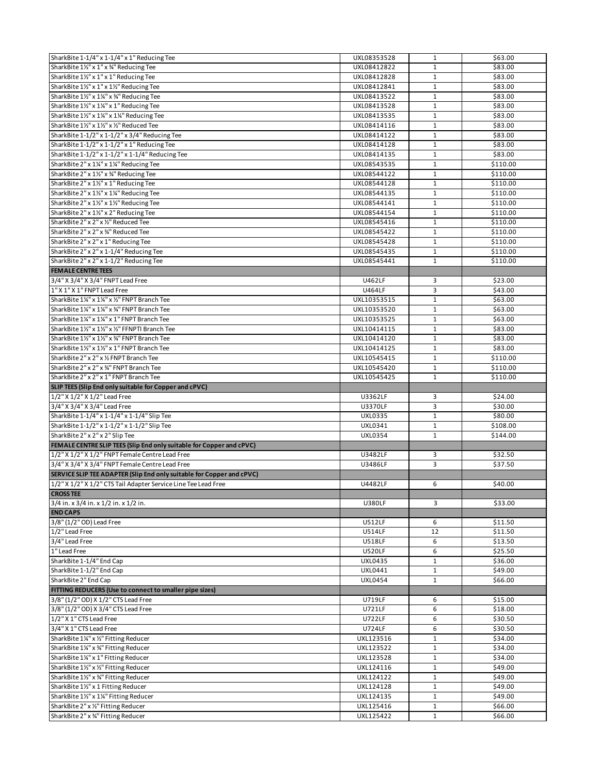| SharkBite 1-1/4" x 1-1/4" x 1" Reducing Tee                              | UXL08353528            | $\mathbf{1}$                 | \$63.00            |
|--------------------------------------------------------------------------|------------------------|------------------------------|--------------------|
| SharkBite 11/2" x 1" x 3/4" Reducing Tee                                 | UXL08412822            | $\mathbf{1}$                 | \$83.00            |
| SharkBite 11/2" x 1" x 1" Reducing Tee                                   | UXL08412828            | $\mathbf{1}$                 | \$83.00            |
| SharkBite 11/2" x 1" x 11/2" Reducing Tee                                | UXL08412841            | $\mathbf{1}$                 | \$83.00            |
| SharkBite 11/2" x 11/4" x 3/4" Reducing Tee                              | UXL08413522            | $\mathbf{1}$                 | \$83.00            |
| SharkBite 11/2" x 11/4" x 1" Reducing Tee                                | UXL08413528            | $\mathbf{1}$                 | \$83.00            |
| SharkBite 11/2" x 11/4" x 11/4" Reducing Tee                             | UXL08413535            | $\mathbf 1$                  | \$83.00            |
| SharkBite 11/2" x 11/2" x 1/2" Reduced Tee                               | UXL08414116            | $\mathbf{1}$                 | \$83.00            |
| SharkBite 1-1/2" x 1-1/2" x 3/4" Reducing Tee                            | UXL08414122            | $\mathbf{1}$                 | \$83.00            |
| SharkBite 1-1/2" x 1-1/2" x 1" Reducing Tee                              | UXL08414128            | $\mathbf 1$                  | \$83.00            |
| SharkBite 1-1/2" x 1-1/2" x 1-1/4" Reducing Tee                          | UXL08414135            | $\mathbf 1$                  | \$83.00            |
| SharkBite 2" x 1¼" x 1¼" Reducing Tee                                    | UXL08543535            | $\mathbf{1}$                 | \$110.00           |
| SharkBite 2" x 11/2" x 3/4" Reducing Tee                                 | UXL08544122            | $\mathbf 1$                  | \$110.00           |
| SharkBite 2" x 11/2" x 1" Reducing Tee                                   | UXL08544128            | $\mathbf{1}$                 | \$110.00           |
| SharkBite 2" x 11/2" x 11/4" Reducing Tee                                | UXL08544135            | $\mathbf{1}$                 | \$110.00           |
| SharkBite 2" x 11/2" x 11/2" Reducing Tee                                | UXL08544141            | $\mathbf{1}$                 | \$110.00           |
| SharkBite 2" x 11/2" x 2" Reducing Tee                                   | UXL08544154            | $\mathbf 1$                  | \$110.00           |
| SharkBite 2" x 2" x 1/2" Reduced Tee                                     | UXL08545416            | $\mathbf{1}$                 | \$110.00           |
| SharkBite 2" x 2" x 34" Reduced Tee                                      |                        | $\mathbf{1}$                 | \$110.00           |
|                                                                          | UXL08545422            |                              |                    |
| SharkBite 2" x 2" x 1" Reducing Tee                                      | UXL08545428            | $\mathbf 1$                  | \$110.00           |
| SharkBite 2" x 2" x 1-1/4" Reducing Tee                                  | UXL08545435            | $\mathbf{1}$                 | \$110.00           |
| SharkBite 2" x 2" x 1-1/2" Reducing Tee                                  | UXL08545441            | $\mathbf{1}$                 | \$110.00           |
| <b>FEMALE CENTRE TEES</b>                                                |                        |                              |                    |
| 3/4" X 3/4" X 3/4" FNPT Lead Free                                        | <b>U462LF</b>          | 3                            | \$23.00            |
| 1" X 1" X 1" FNPT Lead Free                                              | <b>U464LF</b>          | 3                            | \$43.00            |
| SharkBite 11/4" x 11/4" x 1/2" FNPT Branch Tee                           | UXL10353515            | $\mathbf{1}$                 | \$63.00            |
| SharkBite 11/4" x 11/4" x 3/4" FNPT Branch Tee                           | UXL10353520            | $\mathbf{1}$                 | \$63.00            |
| SharkBite 1¼" x 1¼" x 1" FNPT Branch Tee                                 | UXL10353525            | $\mathbf{1}$                 | \$63.00            |
| SharkBite 11/2" x 11/2" x 1/2" FFNPTI Branch Tee                         | UXL10414115            | $\mathbf{1}$                 | \$83.00            |
| SharkBite 11/2" x 11/2" x 3/4" FNPT Branch Tee                           | UXL10414120            | $\mathbf 1$                  | \$83.00            |
| SharkBite 11/2" x 11/2" x 1" FNPT Branch Tee                             | UXL10414125            | $\mathbf{1}$                 | \$83.00            |
| SharkBite 2" x 2" x 1/2 FNPT Branch Tee                                  | UXL10545415            | $\mathbf{1}$                 | \$110.00           |
| SharkBite 2" x 2" x 34" FNPT Branch Tee                                  | UXL10545420            | $\mathbf 1$                  | \$110.00           |
| SharkBite 2" x 2" x 1" FNPT Branch Tee                                   | UXL10545425            | $\mathbf{1}$                 | \$110.00           |
|                                                                          |                        |                              |                    |
| SLIP TEES (Slip End only suitable for Copper and cPVC)                   |                        |                              |                    |
| 1/2" X 1/2" X 1/2" Lead Free                                             | U3362LF                | 3                            | \$24.00            |
| 3/4" X 3/4" X 3/4" Lead Free                                             | U3370LF                | 3                            | \$30.00            |
| SharkBite 1-1/4" x 1-1/4" x 1-1/4" Slip Tee                              | <b>UXL0335</b>         | $\mathbf{1}$                 | \$80.00            |
| SharkBite 1-1/2" x 1-1/2" x 1-1/2" Slip Tee                              | UXL0341                | $\mathbf{1}$                 | \$108.00           |
| SharkBite 2" x 2" x 2" Slip Tee                                          | <b>UXL0354</b>         | $\mathbf 1$                  | \$144.00           |
| FEMALE CENTRE SLIP TEES (Slip End only suitable for Copper and cPVC)     |                        |                              |                    |
| 1/2" X 1/2" X 1/2" FNPT Female Centre Lead Free                          | U3482LF                | 3                            | \$32.50            |
| 3/4" X 3/4" X 3/4" FNPT Female Centre Lead Free                          | U3486LF                | 3                            | \$37.50            |
| SERVICE SLIP TEE ADAPTER (Slip End only suitable for Copper and cPVC)    |                        |                              |                    |
| 1/2" X 1/2" X 1/2" CTS Tail Adapter Service Line Tee Lead Free           | U4482LF                | 6                            | \$40.00            |
| <b>CROSS TEE</b>                                                         |                        |                              |                    |
| 3/4 in. x 3/4 in. x 1/2 in. x 1/2 in.                                    | <b>U380LF</b>          | 3                            | \$33.00            |
| <b>END CAPS</b>                                                          |                        |                              |                    |
| 3/8" (1/2" OD) Lead Free                                                 | <b>U512LF</b>          | 6                            | \$11.50            |
| 1/2" Lead Free                                                           | <b>U514LF</b>          | 12                           | \$11.50            |
| 3/4" Lead Free                                                           | <b>U518LF</b>          | 6                            | \$13.50            |
| 1" Lead Free                                                             | <b>U520LF</b>          | 6                            | \$25.50            |
| SharkBite 1-1/4" End Cap                                                 | <b>UXL0435</b>         | $\mathbf{1}$                 | \$36.00            |
| SharkBite 1-1/2" End Cap                                                 | UXL0441                | $\mathbf{1}$                 | \$49.00            |
|                                                                          |                        | $\mathbf{1}$                 |                    |
| SharkBite 2" End Cap                                                     | <b>UXL0454</b>         |                              | \$66.00            |
| FITTING REDUCERS (Use to connect to smaller pipe sizes)                  |                        |                              |                    |
| 3/8" (1/2" OD) X 1/2" CTS Lead Free                                      | U719LF                 | 6                            | \$15.00            |
| 3/8" (1/2" OD) X 3/4" CTS Lead Free                                      | U721LF                 | 6                            | \$18.00            |
| 1/2" X 1" CTS Lead Free                                                  | U722LF                 | 6                            | \$30.50            |
| 3/4" X 1" CTS Lead Free                                                  | U724LF                 | 6                            | \$30.50            |
| SharkBite 1¼" x ½" Fitting Reducer                                       | UXL123516              | $\mathbf{1}$                 | \$34.00            |
| SharkBite 1¼" x ¾" Fitting Reducer                                       | UXL123522              | $\mathbf{1}$                 | \$34.00            |
| SharkBite 1%" x 1" Fitting Reducer                                       | UXL123528              | $\mathbf{1}$                 | \$34.00            |
| SharkBite 11/2" x 1/2" Fitting Reducer                                   | UXL124116              | $\mathbf{1}$                 | \$49.00            |
| SharkBite 1½" x %" Fitting Reducer                                       | UXL124122              | $\mathbf{1}$                 | \$49.00            |
| SharkBite 11/2" x 1 Fitting Reducer                                      | UXL124128              | $\mathbf{1}$                 | \$49.00            |
| SharkBite 1½" x 1¼" Fitting Reducer                                      | UXL124135              | $\mathbf 1$                  | \$49.00            |
| SharkBite 2" x 1/2" Fitting Reducer<br>SharkBite 2" x %" Fitting Reducer | UXL125416<br>UXL125422 | $\mathbf{1}$<br>$\mathbf{1}$ | \$66.00<br>\$66.00 |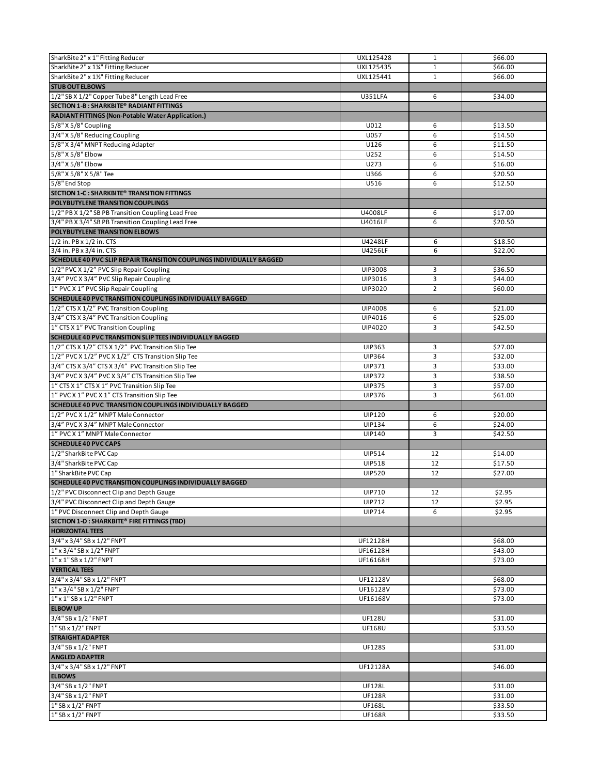| SharkBite 2" x 1" Fitting Reducer                                           | UXL125428      | $\mathbf{1}$   | \$66.00 |
|-----------------------------------------------------------------------------|----------------|----------------|---------|
| SharkBite 2" x 1%" Fitting Reducer                                          | UXL125435      | $\mathbf{1}$   | \$66.00 |
| SharkBite 2" x 1%" Fitting Reducer                                          | UXL125441      | $\mathbf{1}$   | \$66.00 |
| <b>STUB OUT ELBOWS</b>                                                      |                |                |         |
| 1/2" SB X 1/2" Copper Tube 8" Length Lead Free                              | U351LFA        | 6              | \$34.00 |
| SECTION 1-B: SHARKBITE® RADIANT FITTINGS                                    |                |                |         |
| <b>RADIANT FITTINGS (Non-Potable Water Application.)</b>                    |                |                |         |
| 5/8" X 5/8" Coupling                                                        | U012           | 6              | \$13.50 |
| 3/4" X 5/8" Reducing Coupling                                               | U057           | 6              | \$14.50 |
| 5/8" X 3/4" MNPT Reducing Adapter                                           | U126           | 6              | \$11.50 |
| 5/8" X 5/8" Elbow                                                           | U252           | 6              | \$14.50 |
| 3/4" X 5/8" Elbow                                                           | U273           | 6              | \$16.00 |
| 5/8" X 5/8" X 5/8" Tee                                                      | U366           | 6              | \$20.50 |
| 5/8" End Stop                                                               | U516           | 6              | \$12.50 |
| SECTION 1-C: SHARKBITE® TRANSITION FITTINGS                                 |                |                |         |
| POLYBUTYLENE TRANSITION COUPLINGS                                           |                |                |         |
| 1/2" PB X 1/2" SB PB Transition Coupling Lead Free                          | U4008LF        | 6              | \$17.00 |
| 3/4" PB X 3/4" SB PB Transition Coupling Lead Free                          | U4016LF        | 6              | \$20.50 |
| POLYBUTYLENE TRANSITION ELBOWS                                              |                |                |         |
| 1/2 in. PB x 1/2 in. CTS                                                    | U4248LF        | 6              | \$18.50 |
| 3/4 in. PB x 3/4 in. CTS                                                    | U4256LF        | 6              | \$22.00 |
| <b>SCHEDULE 40 PVC SLIP REPAIR TRANSITION COUPLINGS INDIVIDUALLY BAGGED</b> |                |                |         |
| 1/2" PVC X 1/2" PVC Slip Repair Coupling                                    | <b>UIP3008</b> | 3              | \$36.50 |
| 3/4" PVC X 3/4" PVC Slip Repair Coupling                                    | UIP3016        | 3              | \$44.00 |
| 1" PVC X 1" PVC Slip Repair Coupling                                        | UIP3020        | $\overline{2}$ | \$60.00 |
| <b>SCHEDULE 40 PVC TRANSITION COUPLINGS INDIVIDUALLY BAGGED</b>             |                |                |         |
| 1/2" CTS X 1/2" PVC Transition Coupling                                     | <b>UIP4008</b> | 6              | \$21.00 |
| 3/4" CTS X 3/4" PVC Transition Coupling                                     | UIP4016        | 6              | \$25.00 |
| 1" CTS X 1" PVC Transition Coupling                                         | UIP4020        | 3              | \$42.50 |
|                                                                             |                |                |         |
| SCHEDULE 40 PVC TRANSITION SLIP TEES INDIVIDUALLY BAGGED                    |                |                |         |
| 1/2" CTS X 1/2" CTS X 1/2" PVC Transition Slip Tee                          | <b>UIP363</b>  | 3              | \$27.00 |
| 1/2" PVC X 1/2" PVC X 1/2" CTS Transition Slip Tee                          | <b>UIP364</b>  | 3              | \$32.00 |
| 3/4" CTS X 3/4" CTS X 3/4" PVC Transition Slip Tee                          | UIP371         | 3              | \$33.00 |
| 3/4" PVC X 3/4" PVC X 3/4" CTS Transition Slip Tee                          | <b>UIP372</b>  | 3              | \$38.50 |
| 1" CTS X 1" CTS X 1" PVC Transition Slip Tee                                | <b>UIP375</b>  | 3              | \$57.00 |
| 1" PVC X 1" PVC X 1" CTS Transition Slip Tee                                | <b>UIP376</b>  | 3              | \$61.00 |
| SCHEDULE 40 PVC TRANSITION COUPLINGS INDIVIDUALLY BAGGED                    |                |                |         |
| 1/2" PVC X 1/2" MNPT Male Connector                                         | <b>UIP120</b>  | 6              | \$20.00 |
| 3/4" PVC X 3/4" MNPT Male Connector                                         | <b>UIP134</b>  | 6              | \$24.00 |
| 1" PVC X 1" MNPT Male Connector                                             | <b>UIP140</b>  | 3              | \$42.50 |
| <b>SCHEDULE 40 PVC CAPS</b>                                                 |                |                |         |
| 1/2" SharkBite PVC Cap                                                      | <b>UIP514</b>  | 12             | \$14.00 |
| 3/4" SharkBite PVC Cap                                                      | <b>UIP518</b>  | 12             | \$17.50 |
| 1" SharkBite PVC Cap                                                        | <b>UIP520</b>  | 12             | \$27.00 |
| SCHEDULE 40 PVC TRANSITION COUPLINGS INDIVIDUALLY BAGGED                    |                |                |         |
| [1/2" PVC Disconnect Clip and Depth Gauge                                   | UIP710         | 12             | \$2.95  |
| 3/4" PVC Disconnect Clip and Depth Gauge                                    | <b>UIP712</b>  | 12             | \$2.95  |
| 1" PVC Disconnect Clip and Depth Gauge                                      | <b>UIP714</b>  | 6              | \$2.95  |
| SECTION 1-D : SHARKBITE® FIRE FITTINGS (TBD)                                |                |                |         |
| <b>HORIZONTAL TEES</b>                                                      |                |                |         |
| 3/4" x 3/4" SB x 1/2" FNPT                                                  | UF12128H       |                | \$68.00 |
| 1" x 3/4" SB x 1/2" FNPT                                                    | UF16128H       |                | \$43.00 |
| 1" x 1" SB x 1/2" FNPT                                                      | UF16168H       |                | \$73.00 |
| <b>VERTICAL TEES</b>                                                        |                |                |         |
| 3/4" x 3/4" SB x 1/2" FNPT                                                  | UF12128V       |                | \$68.00 |
| 1" x 3/4" SB x 1/2" FNPT                                                    | UF16128V       |                | \$73.00 |
| 1" x 1" SB x 1/2" FNPT                                                      | UF16168V       |                | \$73.00 |
| <b>ELBOW UP</b>                                                             |                |                |         |
| 3/4" SB x 1/2" FNPT                                                         | <b>UF128U</b>  |                | \$31.00 |
| 1" SB x 1/2" FNPT                                                           | UF168U         |                | \$33.50 |
| <b>STRAIGHT ADAPTER</b>                                                     |                |                |         |
| 3/4" SB x 1/2" FNPT                                                         | <b>UF128S</b>  |                | \$31.00 |
| <b>ANGLED ADAPTER</b>                                                       |                |                |         |
| 3/4" x 3/4" SB x 1/2" FNPT                                                  | UF12128A       |                | \$46.00 |
| <b>ELBOWS</b>                                                               |                |                |         |
| 3/4" SB x 1/2" FNPT                                                         | <b>UF128L</b>  |                | \$31.00 |
| 3/4" SB x 1/2" FNPT                                                         | <b>UF128R</b>  |                | \$31.00 |
| 1" SB x 1/2" FNPT                                                           | UF168L         |                | \$33.50 |
| 1" SB x 1/2" FNPT                                                           | <b>UF168R</b>  |                | \$33.50 |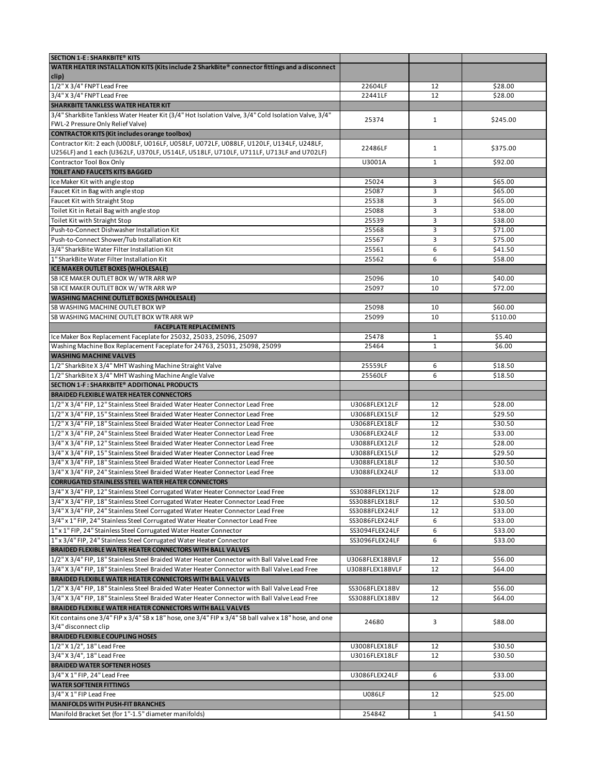| SECTION 1-E: SHARKBITE® KITS                                                                                                                                      |                 |              |                    |
|-------------------------------------------------------------------------------------------------------------------------------------------------------------------|-----------------|--------------|--------------------|
| WATER HEATER INSTALLATION KITS (Kits include 2 SharkBite® connector fittings and a disconnect<br>clip)                                                            |                 |              |                    |
| 1/2" X 3/4" FNPT Lead Free                                                                                                                                        | 22604LF         | 12           | \$28.00            |
| 3/4" X 3/4" FNPT Lead Free                                                                                                                                        | 22441LF         | 12           | \$28.00            |
| SHARKBITE TANKLESS WATER HEATER KIT                                                                                                                               |                 |              |                    |
| 3/4" SharkBite Tankless Water Heater Kit (3/4" Hot Isolation Valve, 3/4" Cold Isolation Valve, 3/4"                                                               | 25374           | $\mathbf{1}$ | \$245.00           |
| FWL-2 Pressure Only Relief Valve)                                                                                                                                 |                 |              |                    |
| CONTRACTOR KITS (Kit includes orange toolbox)                                                                                                                     |                 |              |                    |
| Contractor Kit: 2 each (U008LF, U016LF, U058LF, U072LF, U088LF, U120LF, U134LF, U248LF,                                                                           | 22486LF         | $\mathbf{1}$ | \$375.00           |
| U256LF) and 1 each (U362LF, U370LF, U514LF, U518LF, U710LF, U711LF, U713LF and U702LF)                                                                            |                 |              |                    |
| Contractor Tool Box Only                                                                                                                                          | U3001A          | $\mathbf{1}$ | \$92.00            |
| TOILET AND FAUCETS KITS BAGGED                                                                                                                                    |                 |              |                    |
| Ice Maker Kit with angle stop                                                                                                                                     | 25024           | 3<br>3       | \$65.00            |
| Faucet Kit in Bag with angle stop                                                                                                                                 | 25087           | 3            | \$65.00            |
| Faucet Kit with Straight Stop<br>Toilet Kit in Retail Bag with angle stop                                                                                         | 25538<br>25088  | 3            | \$65.00<br>\$38.00 |
| Toilet Kit with Straight Stop                                                                                                                                     | 25539           | 3            | \$38.00            |
| Push-to-Connect Dishwasher Installation Kit                                                                                                                       | 25568           | 3            | \$71.00            |
| Push-to-Connect Shower/Tub Installation Kit                                                                                                                       | 25567           | 3            | \$75.00            |
| 3/4" SharkBite Water Filter Installation Kit                                                                                                                      | 25561           | 6            | \$41.50            |
| 1" SharkBite Water Filter Installation Kit                                                                                                                        | 25562           | 6            | \$58.00            |
| ICE MAKER OUTLET BOXES (WHOLESALE)                                                                                                                                |                 |              |                    |
| SB ICE MAKER OUTLET BOX W/ WTR ARR WP                                                                                                                             | 25096           | 10           | \$40.00            |
| SB ICE MAKER OUTLET BOX W/WTR ARR WP                                                                                                                              | 25097           | 10           | \$72.00            |
| <b>WASHING MACHINE OUTLET BOXES (WHOLESALE)</b>                                                                                                                   |                 |              |                    |
| SB WASHING MACHINE OUTLET BOX WP                                                                                                                                  | 25098           | 10           | \$60.00            |
| SB WASHING MACHINE OUTLET BOX WTR ARR WP                                                                                                                          | 25099           | 10           | \$110.00           |
| <b>FACEPLATE REPLACEMENTS</b>                                                                                                                                     |                 |              |                    |
| Ice Maker Box Replacement Faceplate for 25032, 25033, 25096, 25097                                                                                                | 25478           | $\mathbf{1}$ | \$5.40             |
| Washing Machine Box Replacement Faceplate for 24763, 25031, 25098, 25099                                                                                          | 25464           | $\mathbf{1}$ | \$6.00             |
| <b>WASHING MACHINE VALVES</b>                                                                                                                                     |                 |              |                    |
| 1/2" SharkBite X 3/4" MHT Washing Machine Straight Valve                                                                                                          | 25559LF         | 6            | \$18.50            |
| 1/2" SharkBite X 3/4" MHT Washing Machine Angle Valve                                                                                                             | 25560LF         | 6            | \$18.50            |
| SECTION 1-F: SHARKBITE® ADDITIONAL PRODUCTS                                                                                                                       |                 |              |                    |
| <b>BRAIDED FLEXIBLE WATER HEATER CONNECTORS</b>                                                                                                                   |                 |              |                    |
| 1/2" X 3/4" FIP, 12" Stainless Steel Braided Water Heater Connector Lead Free                                                                                     | U3068FLEX12LF   | 12           | \$28.00            |
| 1/2" X 3/4" FIP, 15" Stainless Steel Braided Water Heater Connector Lead Free                                                                                     | U3068FLEX15LF   | 12           | \$29.50            |
| 1/2" X 3/4" FIP, 18" Stainless Steel Braided Water Heater Connector Lead Free                                                                                     | U3068FLEX18LF   | 12           | \$30.50            |
| 1/2" X 3/4" FIP, 24" Stainless Steel Braided Water Heater Connector Lead Free                                                                                     | U3068FLEX24LF   | 12           | \$33.00            |
| 3/4" X 3/4" FIP, 12" Stainless Steel Braided Water Heater Connector Lead Free                                                                                     | U3088FLEX12LF   | 12           | \$28.00            |
| 3/4" X 3/4" FIP, 15" Stainless Steel Braided Water Heater Connector Lead Free                                                                                     | U3088FLEX15LF   | 12           | \$29.50            |
| 3/4" X 3/4" FIP, 18" Stainless Steel Braided Water Heater Connector Lead Free                                                                                     | U3088FLEX18LF   | 12           | \$30.50            |
| 3/4" X 3/4" FIP, 24" Stainless Steel Braided Water Heater Connector Lead Free                                                                                     | U3088FLEX24LF   | 12           | \$33.00            |
| <b>CORRUGATED STAINLESS STEEL WATER HEATER CONNECTORS</b>                                                                                                         |                 |              |                    |
| 3/4" X 3/4" FIP, 12" Stainless Steel Corrugated Water Heater Connector Lead Free                                                                                  | SS3088FLEX12LF  | 12           | \$28.00            |
| 3/4" X 3/4" FIP, 18" Stainless Steel Corrugated Water Heater Connector Lead Free                                                                                  | SS3088FLEX18LF  | 12           | \$30.50            |
| 3/4" X 3/4" FIP, 24" Stainless Steel Corrugated Water Heater Connector Lead Free                                                                                  | SS3088FLEX24LF  | 12           | \$33.00            |
| 3/4" x 1" FIP, 24" Stainless Steel Corrugated Water Heater Connector Lead Free                                                                                    | SS3086FLEX24LF  | 6            | \$33.00            |
| 1" x 1" FIP, 24" Stainless Steel Corrugated Water Heater Connector                                                                                                | SS3094FLEX24LF  | 6            | \$33.00            |
| 1" x 3/4" FIP, 24" Stainless Steel Corrugated Water Heater Connector                                                                                              | SS3096FLEX24LF  | 6            | \$33.00            |
| <b>BRAIDED FLEXIBLE WATER HEATER CONNECTORS WITH BALL VALVES</b>                                                                                                  |                 |              |                    |
| 1/2" X 3/4" FIP, 18" Stainless Steel Braided Water Heater Connector with Ball Valve Lead Free                                                                     | U3068FLEX18BVLF | 12           | \$56.00            |
| 3/4" X 3/4" FIP, 18" Stainless Steel Braided Water Heater Connector with Ball Valve Lead Free<br><b>BRAIDED FLEXIBLE WATER HEATER CONNECTORS WITH BALL VALVES</b> | U3088FLEX18BVLF | 12           | \$64.00            |
| 1/2" X 3/4" FIP, 18" Stainless Steel Braided Water Heater Connector with Ball Valve Lead Free                                                                     | SS3068FLEX18BV  | 12           | \$56.00            |
| 3/4" X 3/4" FIP, 18" Stainless Steel Braided Water Heater Connector with Ball Valve Lead Free                                                                     | SS3088FLEX18BV  | 12           | \$64.00            |
| BRAIDED FLEXIBLE WATER HEATER CONNECTORS WITH BALL VALVES                                                                                                         |                 |              |                    |
| Kit contains one 3/4" FIP x 3/4" SB x 18" hose, one 3/4" FIP x 3/4" SB ball valve x 18" hose, and one                                                             |                 |              |                    |
| 3/4" disconnect clip                                                                                                                                              | 24680           | 3            | \$88.00            |
| <b>BRAIDED FLEXIBLE COUPLING HOSES</b>                                                                                                                            |                 |              |                    |
| 1/2" X 1/2", 18" Lead Free                                                                                                                                        | U3008FLEX18LF   | 12           | \$30.50            |
| 3/4" X 3/4", 18" Lead Free                                                                                                                                        | U3016FLEX18LF   | 12           | \$30.50            |
| <b>BRAIDED WATER SOFTENER HOSES</b>                                                                                                                               |                 |              |                    |
| 3/4" X 1" FIP, 24" Lead Free                                                                                                                                      | U3086FLEX24LF   | 6            | \$33.00            |
| <b>WATER SOFTENER FITTINGS</b>                                                                                                                                    |                 |              |                    |
| 3/4" X 1" FIP Lead Free                                                                                                                                           | <b>U086LF</b>   | 12           | \$25.00            |
| <b>MANIFOLDS WITH PUSH-FIT BRANCHES</b>                                                                                                                           |                 |              |                    |
| Manifold Bracket Set (for 1"-1.5" diameter manifolds)                                                                                                             | 25484Z          | $\mathbf{1}$ | \$41.50            |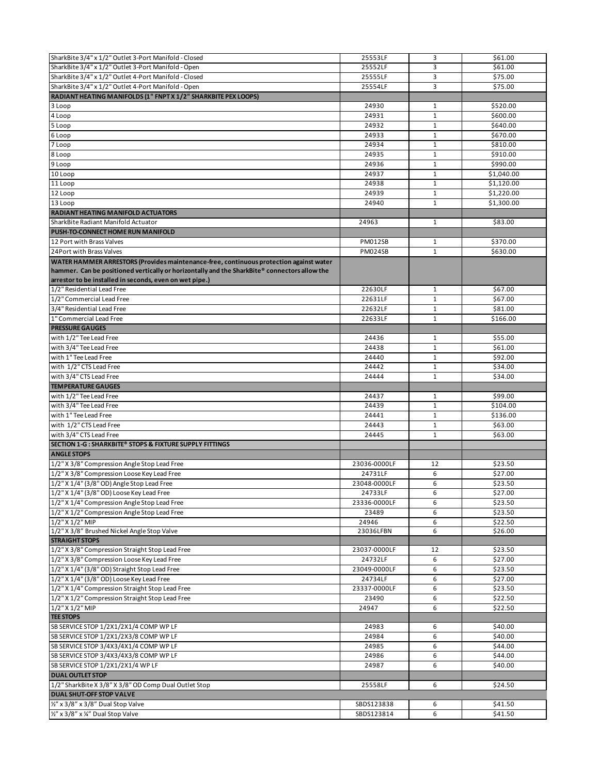| SharkBite 3/4" x 1/2" Outlet 3-Port Manifold - Closed                                                                                                                                                                                             | 25553LF                  | 3              | \$61.00            |
|---------------------------------------------------------------------------------------------------------------------------------------------------------------------------------------------------------------------------------------------------|--------------------------|----------------|--------------------|
| SharkBite 3/4" x 1/2" Outlet 3-Port Manifold - Open                                                                                                                                                                                               | 25552LF                  | 3              | \$61.00            |
| SharkBite 3/4" x 1/2" Outlet 4-Port Manifold - Closed                                                                                                                                                                                             | 25555LF                  | 3              | \$75.00            |
| SharkBite 3/4" x 1/2" Outlet 4-Port Manifold - Open                                                                                                                                                                                               | 25554LF                  | $\overline{3}$ | \$75.00            |
| RADIANT HEATING MANIFOLDS (1" FNPT X 1/2" SHARKBITE PEX LOOPS)                                                                                                                                                                                    |                          |                |                    |
|                                                                                                                                                                                                                                                   |                          |                |                    |
| 3 Loop                                                                                                                                                                                                                                            | 24930                    | $\mathbf{1}$   | \$520.00           |
| 4 Loop                                                                                                                                                                                                                                            | 24931                    | $\mathbf{1}$   | \$600.00           |
| 5 Loop                                                                                                                                                                                                                                            | 24932                    | $\mathbf{1}$   | \$640.00           |
| 6 Loop                                                                                                                                                                                                                                            | 24933                    | $\mathbf{1}$   | \$670.00           |
| 7 Loop                                                                                                                                                                                                                                            | 24934                    | $\mathbf{1}$   | \$810.00           |
| 8 Loop                                                                                                                                                                                                                                            | 24935                    | $\mathbf{1}$   | \$910.00           |
| 9 Loop                                                                                                                                                                                                                                            | 24936                    | $\mathbf{1}$   | \$990.00           |
| 10 Loop                                                                                                                                                                                                                                           | 24937                    | $\mathbf{1}$   | \$1,040.00         |
| 11 Loop                                                                                                                                                                                                                                           | 24938                    | $\mathbf{1}$   | \$1,120.00         |
| 12 Loop                                                                                                                                                                                                                                           | 24939                    | $\mathbf{1}$   | \$1,220.00         |
| 13 Loop                                                                                                                                                                                                                                           | 24940                    | $\mathbf{1}$   | \$1,300.00         |
| RADIANT HEATING MANIFOLD ACTUATORS                                                                                                                                                                                                                |                          |                |                    |
| SharkBite Radiant Manifold Actuator                                                                                                                                                                                                               | 24963                    | $\mathbf{1}$   | \$83.00            |
|                                                                                                                                                                                                                                                   |                          |                |                    |
| PUSH-TO-CONNECT HOME RUN MANIFOLD                                                                                                                                                                                                                 |                          |                |                    |
| 12 Port with Brass Valves                                                                                                                                                                                                                         | PM012SB                  | 1              | \$370.00           |
| 24 Port with Brass Valves                                                                                                                                                                                                                         | <b>PM024SB</b>           | $\mathbf{1}$   | \$630.00           |
| WATER HAMMER ARRESTORS (Provides maintenance-free, continuous protection against water<br>hammer. Can be positioned vertically or horizontally and the SharkBite® connectors allow the<br>arrestor to be installed in seconds, even on wet pipe.) |                          |                |                    |
| 1/2" Residential Lead Free                                                                                                                                                                                                                        | 22630LF                  | $\mathbf{1}$   | \$67.00            |
| 1/2" Commercial Lead Free                                                                                                                                                                                                                         | 22631LF                  | $\mathbf{1}$   | \$67.00            |
| 3/4" Residential Lead Free                                                                                                                                                                                                                        | 22632LF                  | $\mathbf{1}$   | \$81.00            |
| 1" Commercial Lead Free                                                                                                                                                                                                                           | 22633LF                  | $\mathbf{1}$   | \$166.00           |
| <b>PRESSURE GAUGES</b>                                                                                                                                                                                                                            |                          |                |                    |
| with 1/2" Tee Lead Free                                                                                                                                                                                                                           | 24436                    | $\mathbf{1}$   | \$55.00            |
| with 3/4" Tee Lead Free                                                                                                                                                                                                                           | 24438                    | 1              | \$61.00            |
| with 1" Tee Lead Free                                                                                                                                                                                                                             | 24440                    | $\mathbf{1}$   | \$92.00            |
|                                                                                                                                                                                                                                                   |                          |                |                    |
| with 1/2" CTS Lead Free                                                                                                                                                                                                                           | 24442                    | $\mathbf{1}$   | \$34.00            |
| with 3/4" CTS Lead Free                                                                                                                                                                                                                           | 24444                    | $\mathbf{1}$   | \$34.00            |
| <b>TEMPERATURE GAUGES</b>                                                                                                                                                                                                                         |                          |                |                    |
| with 1/2" Tee Lead Free                                                                                                                                                                                                                           | 24437                    | 1              | \$99.00            |
| with 3/4" Tee Lead Free                                                                                                                                                                                                                           | 24439                    | $\mathbf{1}$   | \$104.00           |
| with 1" Tee Lead Free                                                                                                                                                                                                                             | 24441                    | $\mathbf{1}$   | \$136.00           |
| with 1/2" CTS Lead Free                                                                                                                                                                                                                           | 24443                    | $\mathbf{1}$   | \$63.00            |
| with 3/4" CTS Lead Free                                                                                                                                                                                                                           | 24445                    | $\mathbf{1}$   | \$63.00            |
| SECTION 1-G : SHARKBITE® STOPS & FIXTURE SUPPLY FITTINGS                                                                                                                                                                                          |                          |                |                    |
| <b>ANGLE STOPS</b>                                                                                                                                                                                                                                |                          |                |                    |
| 1/2" X 3/8" Compression Angle Stop Lead Free                                                                                                                                                                                                      | 23036-0000LF             | 12             | \$23.50            |
| 1/2" X 3/8" Compression Loose Key Lead Free                                                                                                                                                                                                       | 24731LF                  | 6              | \$27.00            |
| 1/2" X 1/4" (3/8" OD) Angle Stop Lead Free                                                                                                                                                                                                        | 23048-0000LF             | 6              | \$23.50            |
|                                                                                                                                                                                                                                                   | 24733LF                  |                |                    |
| 1/2" X 1/4" (3/8" OD) Loose Key Lead Free                                                                                                                                                                                                         |                          | 6              | \$27.00            |
| 1/2" X 1/4" Compression Angle Stop Lead Free                                                                                                                                                                                                      | 23336-0000LF             | 6              | \$23.50            |
| 1/2" X 1/2" Compression Angle Stop Lead Free                                                                                                                                                                                                      | 23489                    | 6              | \$23.50            |
| 1/2" X 1/2" MIP                                                                                                                                                                                                                                   | 24946                    | 6              | \$22.50            |
| 1/2" X 3/8" Brushed Nickel Angle Stop Valve                                                                                                                                                                                                       | 23036LFBN                | 6              | \$26.00            |
| <b>STRAIGHT STOPS</b>                                                                                                                                                                                                                             |                          |                |                    |
| 1/2" X 3/8" Compression Straight Stop Lead Free                                                                                                                                                                                                   | 23037-0000LF             | 12             | \$23.50            |
| 1/2" X 3/8" Compression Loose Key Lead Free                                                                                                                                                                                                       | 24732LF                  | 6              | \$27.00            |
| 1/2" X 1/4" (3/8" OD) Straight Stop Lead Free                                                                                                                                                                                                     | 23049-0000LF             | 6              | \$23.50            |
| 1/2" X 1/4" (3/8" OD) Loose Key Lead Free                                                                                                                                                                                                         | 24734LF                  | 6              | \$27.00            |
| 1/2" X 1/4" Compression Straight Stop Lead Free                                                                                                                                                                                                   | 23337-0000LF             | 6              | \$23.50            |
| 1/2" X 1/2" Compression Straight Stop Lead Free                                                                                                                                                                                                   | 23490                    | 6              | \$22.50            |
| $1/2$ " X $1/2$ " MIP                                                                                                                                                                                                                             | 24947                    | 6              | \$22.50            |
| <b>TEE STOPS</b>                                                                                                                                                                                                                                  |                          |                |                    |
| SB SERVICE STOP 1/2X1/2X1/4 COMP WP LF                                                                                                                                                                                                            | 24983                    | 6              | \$40.00            |
| SB SERVICE STOP 1/2X1/2X3/8 COMP WP LF                                                                                                                                                                                                            | 24984                    | 6              | \$40.00            |
| SB SERVICE STOP 3/4X3/4X1/4 COMP WP LF                                                                                                                                                                                                            | 24985                    | 6              | \$44.00            |
| SB SERVICE STOP 3/4X3/4X3/8 COMP WP LF                                                                                                                                                                                                            | 24986                    | 6              | \$44.00            |
| SB SERVICE STOP 1/2X1/2X1/4 WP LF                                                                                                                                                                                                                 | 24987                    | 6              |                    |
| <b>DUAL OUTLET STOP</b>                                                                                                                                                                                                                           |                          |                | \$40.00            |
|                                                                                                                                                                                                                                                   |                          |                |                    |
| 1/2" SharkBite X 3/8" X 3/8" OD Comp Dual Outlet Stop                                                                                                                                                                                             | 25558LF                  | 6              | \$24.50            |
|                                                                                                                                                                                                                                                   |                          |                |                    |
| <b>DUAL SHUT-OFF STOP VALVE</b>                                                                                                                                                                                                                   |                          |                |                    |
| 1/2" x 3/8" x 3/8" Dual Stop Valve<br>1/2" x 3/8" x 1/4" Dual Stop Valve                                                                                                                                                                          | SBDS123838<br>SBDS123814 | 6<br>6         | \$41.50<br>\$41.50 |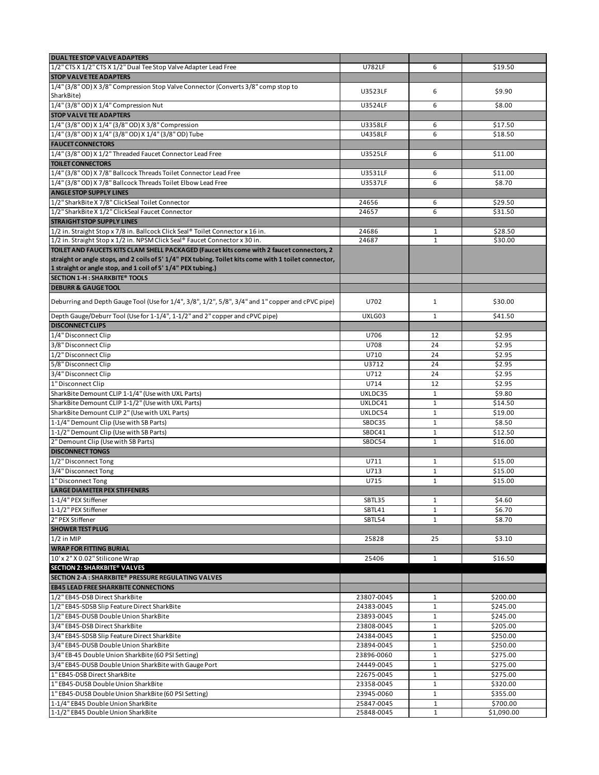| <b>DUAL TEE STOP VALVE ADAPTERS</b>                                                                   |                |              |            |
|-------------------------------------------------------------------------------------------------------|----------------|--------------|------------|
| 1/2" CTS X 1/2" CTS X 1/2" Dual Tee Stop Valve Adapter Lead Free                                      | <b>U782LF</b>  | 6            | \$19.50    |
| <b>STOP VALVE TEE ADAPTERS</b>                                                                        |                |              |            |
| 1/4" (3/8" OD) X 3/8" Compression Stop Valve Connector (Converts 3/8" comp stop to                    |                |              |            |
| SharkBite)                                                                                            | U3523LF        | 6            | \$9.90     |
| 1/4" (3/8" OD) X 1/4" Compression Nut                                                                 | U3524LF        | 6            | \$8.00     |
| <b>STOP VALVE TEE ADAPTERS</b>                                                                        |                |              |            |
| 1/4" (3/8" OD) X 1/4" (3/8" OD) X 3/8" Compression                                                    | U3358LF        | 6            | \$17.50    |
| 1/4" (3/8" OD) X 1/4" (3/8" OD) X 1/4" (3/8" OD) Tube                                                 | U4358LF        | 6            | \$18.50    |
| <b>FAUCET CONNECTORS</b>                                                                              |                |              |            |
| 1/4" (3/8" OD) X 1/2" Threaded Faucet Connector Lead Free                                             | U3525LF        | 6            | \$11.00    |
| <b>TOILET CONNECTORS</b>                                                                              |                |              |            |
| 1/4" (3/8" OD) X 7/8" Ballcock Threads Toilet Connector Lead Free                                     | U3531LF        | 6            | \$11.00    |
| 1/4" (3/8" OD) X 7/8" Ballcock Threads Toilet Elbow Lead Free                                         | <b>U3537LF</b> | 6            | \$8.70     |
| <b>ANGLE STOP SUPPLY LINES</b>                                                                        |                |              |            |
| 1/2" SharkBite X 7/8" ClickSeal Toilet Connector                                                      | 24656          | 6            | \$29.50    |
| 1/2" SharkBite X 1/2" ClickSeal Faucet Connector                                                      | 24657          | 6            | \$31.50    |
| <b>STRAIGHT STOP SUPPLY LINES</b>                                                                     |                |              |            |
| 1/2 in. Straight Stop x 7/8 in. Ballcock Click Seal® Toilet Connector x 16 in.                        | 24686          | $\mathbf{1}$ | \$28.50    |
| 1/2 in. Straight Stop x 1/2 in. NPSM Click Seal® Faucet Connector x 30 in.                            | 24687          | $\mathbf{1}$ | \$30.00    |
| TOILET AND FAUCETS KITS CLAM SHELL PACKAGED (Faucet kits come with 2 faucet connectors, 2             |                |              |            |
| straight or angle stops, and 2 coils of 5' 1/4" PEX tubing. Toilet kits come with 1 toilet connector, |                |              |            |
| 1 straight or angle stop, and 1 coil of 5' 1/4" PEX tubing.)                                          |                |              |            |
| <b>SECTION 1-H : SHARKBITE® TOOLS</b>                                                                 |                |              |            |
| <b>DEBURR &amp; GAUGE TOOL</b>                                                                        |                |              |            |
| Deburring and Depth Gauge Tool (Use for 1/4", 3/8", 1/2", 5/8", 3/4" and 1" copper and cPVC pipe)     | U702           | $\mathbf{1}$ | \$30.00    |
|                                                                                                       |                |              |            |
| Depth Gauge/Deburr Tool (Use for 1-1/4", 1-1/2" and 2" copper and cPVC pipe)                          | UXLG03         | $\mathbf{1}$ | \$41.50    |
| <b>DISCONNECT CLIPS</b>                                                                               |                |              |            |
| 1/4" Disconnect Clip                                                                                  | U706           | 12           | \$2.95     |
| 3/8" Disconnect Clip                                                                                  | U708           | 24           | \$2.95     |
| 1/2" Disconnect Clip                                                                                  | U710           | 24           | \$2.95     |
| 5/8" Disconnect Clip                                                                                  | U3712          | 24           | \$2.95     |
| 3/4" Disconnect Clip                                                                                  | U712           | 24           | \$2.95     |
| 1" Disconnect Clip                                                                                    | U714           | 12           | \$2.95     |
| SharkBite Demount CLIP 1-1/4" (Use with UXL Parts)                                                    | UXLDC35        | $\mathbf{1}$ | \$9.80     |
| SharkBite Demount CLIP 1-1/2" (Use with UXL Parts)                                                    | UXLDC41        | $\mathbf{1}$ | \$14.50    |
| SharkBite Demount CLIP 2" (Use with UXL Parts)                                                        | UXLDC54        | $\mathbf{1}$ | \$19.00    |
| 1-1/4" Demount Clip (Use with SB Parts)                                                               | SBDC35         | $\mathbf{1}$ | \$8.50     |
| 1-1/2" Demount Clip (Use with SB Parts)                                                               | SBDC41         | $\mathbf{1}$ | \$12.50    |
| 2" Demount Clip (Use with SB Parts)                                                                   | SBDC54         | $\mathbf{1}$ | \$16.00    |
| <b>DISCONNECT TONGS</b>                                                                               |                |              |            |
| 1/2" Disconnect Tong                                                                                  | U711           | $\mathbf{1}$ | \$15.00    |
| 3/4" Disconnect Tong                                                                                  | U713           | $\mathbf{1}$ | \$15.00    |
| 1" Disconnect Tong                                                                                    | U715           | $\mathbf{1}$ | \$15.00    |
| <b>LARGE DIAMETER PEX STIFFENERS</b>                                                                  |                |              |            |
| 1-1/4" PEX Stiffener                                                                                  | SBTL35         | $\mathbf{1}$ | \$4.60     |
| 1-1/2" PEX Stiffener                                                                                  | SBTL41         | 1            | \$6.70     |
| 2" PEX Stiffener                                                                                      | SBTL54         | $\mathbf{1}$ | \$8.70     |
| <b>SHOWER TEST PLUG</b>                                                                               |                |              |            |
| $1/2$ in MIP                                                                                          | 25828          | 25           | \$3.10     |
| <b>WRAP FOR FITTING BURIAL</b>                                                                        |                |              |            |
| 10'x 2" X 0.02" Stilicone Wrap                                                                        | 25406          | $\mathbf{1}$ | \$16.50    |
| SECTION 2: SHARKBITE® VALVES                                                                          |                |              |            |
| SECTION 2-A : SHARKBITE® PRESSURE REGULATING VALVES                                                   |                |              |            |
| <b>EB45 LEAD FREE SHARKBITE CONNECTIONS</b>                                                           |                |              |            |
| 1/2" EB45-DSB Direct SharkBite                                                                        | 23807-0045     | $\mathbf{1}$ | \$200.00   |
| 1/2" EB45-SDSB Slip Feature Direct SharkBite                                                          | 24383-0045     | $\mathbf{1}$ | \$245.00   |
| 1/2" EB45-DUSB Double Union SharkBite                                                                 | 23893-0045     | $\mathbf 1$  | \$245.00   |
| 3/4" EB45-DSB Direct SharkBite                                                                        | 23808-0045     | $\mathbf{1}$ | \$205.00   |
| 3/4" EB45-SDSB Slip Feature Direct SharkBite                                                          | 24384-0045     | $\mathbf{1}$ | \$250.00   |
| 3/4" EB45-DUSB Double Union SharkBite                                                                 | 23894-0045     | 1            | \$250.00   |
| 3/4" EB-45 Double Union SharkBite (60 PSI Setting)                                                    | 23896-0060     | $\mathbf{1}$ | \$275.00   |
| 3/4" EB45-DUSB Double Union SharkBite with Gauge Port                                                 | 24449-0045     | $\mathbf{1}$ | \$275.00   |
| 1" EB45-DSB Direct SharkBite                                                                          | 22675-0045     | 1            | \$275.00   |
| 1" EB45-DUSB Double Union SharkBite                                                                   | 23358-0045     | $\mathbf{1}$ | \$320.00   |
| 1" EB45-DUSB Double Union SharkBite (60 PSI Setting)                                                  | 23945-0060     | $\mathbf{1}$ | \$355.00   |
| 1-1/4" EB45 Double Union SharkBite                                                                    | 25847-0045     | 1            | \$700.00   |
| 1-1/2" EB45 Double Union SharkBite                                                                    | 25848-0045     | $\mathbf 1$  | \$1,090.00 |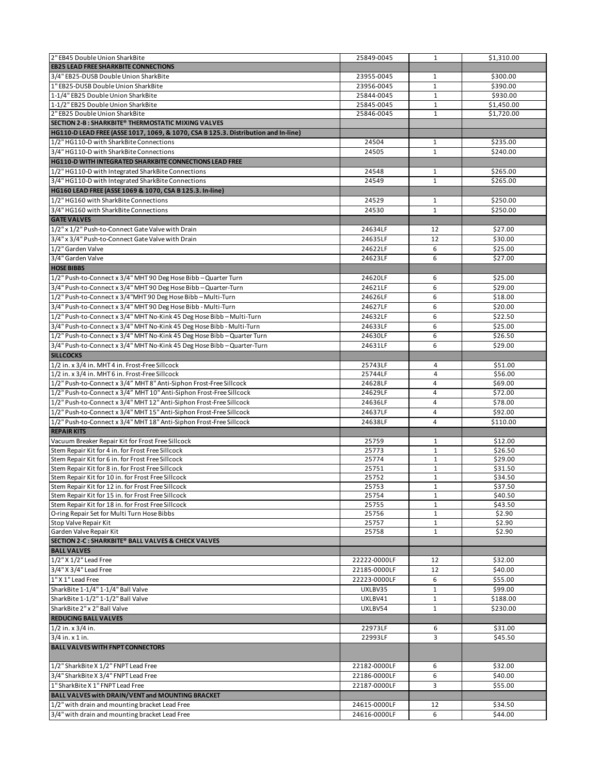| 2" EB45 Double Union SharkBite                                                     | 25849-0045   | $\mathbf{1}$ | \$1,310.00 |
|------------------------------------------------------------------------------------|--------------|--------------|------------|
| <b>EB25 LEAD FREE SHARKBITE CONNECTIONS</b>                                        |              |              |            |
|                                                                                    |              |              |            |
| 3/4" EB25-DUSB Double Union SharkBite                                              | 23955-0045   | 1            | \$300.00   |
| 1" EB25-DUSB Double Union SharkBite                                                | 23956-0045   | $\mathbf{1}$ | \$390.00   |
| 1-1/4" EB25 Double Union SharkBite                                                 | 25844-0045   | $\mathbf{1}$ | \$930.00   |
| 1-1/2" EB25 Double Union SharkBite                                                 | 25845-0045   | 1            | \$1,450.00 |
| 2" EB25 Double Union SharkBite                                                     | 25846-0045   | $\mathbf{1}$ | \$1,720.00 |
| SECTION 2-B: SHARKBITE® THERMOSTATIC MIXING VALVES                                 |              |              |            |
| HG110-D LEAD FREE (ASSE 1017, 1069, & 1070, CSA B 125.3. Distribution and In-line) |              |              |            |
| 1/2" HG110-D with SharkBite Connections                                            | 24504        | $\mathbf{1}$ | \$235.00   |
| 3/4" HG110-D with SharkBite Connections                                            | 24505        | $\mathbf{1}$ | \$240.00   |
| HG110-D WITH INTEGRATED SHARKBITE CONNECTIONS LEAD FREE                            |              |              |            |
|                                                                                    |              |              |            |
| 1/2" HG110-D with Integrated SharkBite Connections                                 | 24548        | $\mathbf{1}$ | \$265.00   |
| 3/4" HG110-D with Integrated SharkBite Connections                                 | 24549        | $\mathbf{1}$ | \$265.00   |
| HG160 LEAD FREE (ASSE 1069 & 1070, CSA B 125.3. In-line)                           |              |              |            |
| 1/2" HG160 with SharkBite Connections                                              | 24529        | $\mathbf{1}$ | \$250.00   |
| 3/4" HG160 with SharkBite Connections                                              | 24530        | $\mathbf{1}$ | \$250.00   |
| <b>GATE VALVES</b>                                                                 |              |              |            |
| 1/2" x 1/2" Push-to-Connect Gate Valve with Drain                                  |              | 12           | \$27.00    |
|                                                                                    | 24634LF      |              |            |
| 3/4" x 3/4" Push-to-Connect Gate Valve with Drain                                  | 24635LF      | 12           | \$30.00    |
| 1/2" Garden Valve                                                                  | 24622LF      | 6            | \$25.00    |
| 3/4" Garden Valve                                                                  | 24623LF      | 6            | \$27.00    |
| <b>HOSE BIBBS</b>                                                                  |              |              |            |
| 1/2" Push-to-Connect x 3/4" MHT 90 Deg Hose Bibb - Quarter Turn                    | 24620LF      | 6            | \$25.00    |
| 3/4" Push-to-Connect x 3/4" MHT 90 Deg Hose Bibb - Quarter-Turn                    | 24621LF      | 6            | \$29.00    |
| 1/2" Push-to-Connect x 3/4"MHT 90 Deg Hose Bibb - Multi-Turn                       |              | 6            |            |
|                                                                                    | 24626LF      |              | \$18.00    |
| 3/4" Push-to-Connect x 3/4" MHT 90 Deg Hose Bibb - Multi-Turn                      | 24627LF      | 6            | \$20.00    |
| 1/2" Push-to-Connect x 3/4" MHT No-Kink 45 Deg Hose Bibb - Multi-Turn              | 24632LF      | 6            | \$22.50    |
| 3/4" Push-to-Connect x 3/4" MHT No-Kink 45 Deg Hose Bibb - Multi-Turn              | 24633LF      | 6            | \$25.00    |
| 1/2" Push-to-Connect x 3/4" MHT No-Kink 45 Deg Hose Bibb - Quarter Turn            | 24630LF      | 6            | \$26.50    |
| 3/4" Push-to-Connect x 3/4" MHT No-Kink 45 Deg Hose Bibb - Quarter-Turn            | 24631LF      | 6            | \$29.00    |
| <b>SILLCOCKS</b>                                                                   |              |              |            |
| 1/2 in. x 3/4 in. MHT 4 in. Frost-Free Sillcock                                    | 25743LF      | 4            | \$51.00    |
| 1/2 in. x 3/4 in. MHT 6 in. Frost-Free Sillcock                                    |              | 4            | \$56.00    |
|                                                                                    | 25744LF      |              |            |
| 1/2" Push-to-Connect x 3/4" MHT 8" Anti-Siphon Frost-Free Sillcock                 | 24628LF      | 4            | \$69.00    |
| 1/2" Push-to-Connect x 3/4" MHT 10" Anti-Siphon Frost-Free Sillcock                | 24629LF      | 4            | \$72.00    |
| 1/2" Push-to-Connect x 3/4" MHT 12" Anti-Siphon Frost-Free Sillcock                | 24636LF      | 4            | \$78.00    |
| 1/2" Push-to-Connect x 3/4" MHT 15" Anti-Siphon Frost-Free Sillcock                | 24637LF      | 4            | \$92.00    |
| 1/2" Push-to-Connect x 3/4" MHT 18" Anti-Siphon Frost-Free Sillcock                | 24638LF      | 4            | \$110.00   |
| <b>REPAIR KITS</b>                                                                 |              |              |            |
| Vacuum Breaker Repair Kit for Frost Free Sillcock                                  | 25759        | $\mathbf{1}$ | \$12.00    |
| Stem Repair Kit for 4 in. for Frost Free Sillcock                                  | 25773        | $\mathbf 1$  | \$26.50    |
|                                                                                    |              |              |            |
| Stem Repair Kit for 6 in. for Frost Free Sillcock                                  | 25774        | $\mathbf{1}$ | \$29.00    |
| Stem Repair Kit for 8 in, for Frost Free Sillcock                                  | 25751        | $\mathbf{1}$ | \$31.50    |
| Stem Repair Kit for 10 in. for Frost Free Sillcock                                 | 25752        | $\mathbf{1}$ | \$34.50    |
| Stem Repair Kit for 12 in. for Frost Free Sillcock                                 | 25753        | $\mathbf{1}$ | \$37.50    |
| Stem Repair Kit for 15 in. for Frost Free Sillcock                                 | 25754        | 1            | \$40.50    |
| Stem Repair Kit for 18 in. for Frost Free Sillcock                                 | 25755        | $\mathbf 1$  | \$43.50    |
| O-ring Repair Set for Multi Turn Hose Bibbs                                        | 25756        | $\mathbf{1}$ | \$2.90     |
| Stop Valve Repair Kit                                                              | 25757        | $\mathbf{1}$ | \$2.90     |
| Garden Valve Repair Kit                                                            | 25758        | $\mathbf{1}$ | \$2.90     |
| SECTION 2-C : SHARKBITE® BALL VALVES & CHECK VALVES                                |              |              |            |
| <b>BALL VALVES</b>                                                                 |              |              |            |
| 1/2" X 1/2" Lead Free                                                              | 22222-0000LF | 12           | \$32.00    |
| 3/4" X 3/4" Lead Free                                                              | 22185-0000LF | 12           | \$40.00    |
|                                                                                    |              |              |            |
| 1" X 1" Lead Free                                                                  | 22223-0000LF | 6            | \$55.00    |
| SharkBite 1-1/4" 1-1/4" Ball Valve                                                 | UXLBV35      | $\mathbf 1$  | \$99.00    |
| SharkBite 1-1/2" 1-1/2" Ball Valve                                                 | UXLBV41      | 1            | \$188.00   |
| SharkBite 2" x 2" Ball Valve                                                       | UXLBV54      | $\mathbf{1}$ | \$230.00   |
| <b>REDUCING BALL VALVES</b>                                                        |              |              |            |
| $1/2$ in. x $3/4$ in.                                                              | 22973LF      | 6            | \$31.00    |
| $3/4$ in. x 1 in.                                                                  | 22993LF      | 3            | \$45.50    |
|                                                                                    |              |              |            |
| <b>BALL VALVES WITH FNPT CONNECTORS</b>                                            |              |              |            |
|                                                                                    |              |              |            |
| 1/2" SharkBite X 1/2" FNPT Lead Free                                               | 22182-0000LF | 6            | \$32.00    |
| 3/4" SharkBite X 3/4" FNPT Lead Free                                               | 22186-0000LF | 6            | \$40.00    |
| 1" SharkBite X 1" FNPT Lead Free                                                   | 22187-0000LF | 3            | \$55.00    |
| BALL VALVES with DRAIN/VENT and MOUNTING BRACKET                                   |              |              |            |
| 1/2" with drain and mounting bracket Lead Free                                     | 24615-0000LF | 12           | \$34.50    |
|                                                                                    |              |              |            |
| 3/4" with drain and mounting bracket Lead Free                                     | 24616-0000LF | 6            | \$44.00    |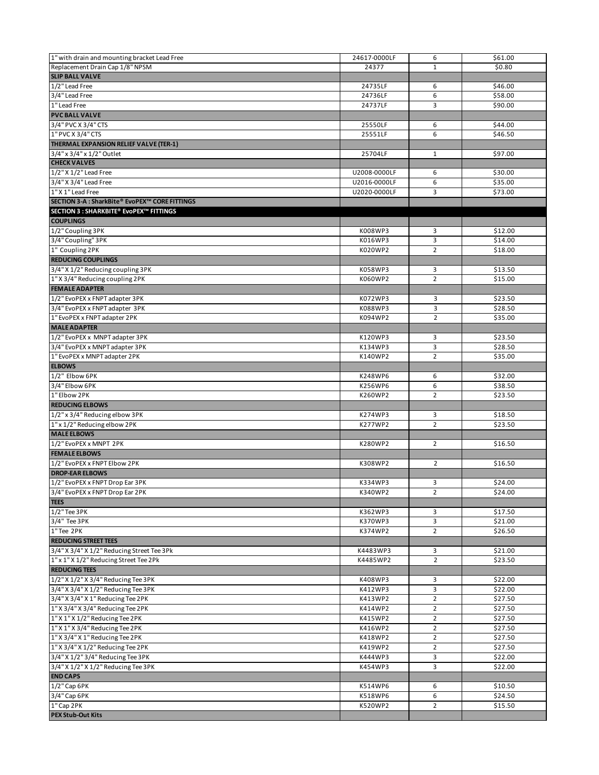| 1" with drain and mounting bracket Lead Free     | 24617-0000LF | 6              | \$61.00 |
|--------------------------------------------------|--------------|----------------|---------|
| Replacement Drain Cap 1/8" NPSM                  | 24377        | $\mathbf{1}$   | \$0.80  |
| <b>SLIP BALL VALVE</b>                           |              |                |         |
| 1/2" Lead Free                                   | 24735LF      | 6              | \$46.00 |
| 3/4" Lead Free                                   | 24736LF      | 6              | \$58.00 |
| 1" Lead Free                                     | 24737LF      | 3              | \$90.00 |
| <b>PVC BALL VALVE</b>                            |              |                |         |
| 3/4" PVC X 3/4" CTS                              | 25550LF      | 6              | \$44.00 |
| 1" PVC X 3/4" CTS                                | 25551LF      | 6              | \$46.50 |
| THERMAL EXPANSION RELIEF VALVE (TER-1)           |              |                |         |
| 3/4" x 3/4" x 1/2" Outlet<br><b>CHECK VALVES</b> | 25704LF      | 1              | \$97.00 |
| 1/2" X 1/2" Lead Free                            | U2008-0000LF | 6              | \$30.00 |
| 3/4" X 3/4" Lead Free                            | U2016-0000LF | 6              | \$35.00 |
| 1" X 1" Lead Free                                | U2020-0000LF | 3              | \$73.00 |
| SECTION 3-A : SharkBite® EvoPEX™ CORE FITTINGS   |              |                |         |
| SECTION 3 : SHARKBITE® EvoPEX™ FITTINGS          |              |                |         |
| <b>COUPLINGS</b>                                 |              |                |         |
| 1/2" Coupling 3PK                                | K008WP3      | 3              | \$12.00 |
| 3/4" Coupling" 3PK                               | K016WP3      | 3              | \$14.00 |
| 1" Coupling 2PK                                  | K020WP2      | $\overline{2}$ | \$18.00 |
| <b>REDUCING COUPLINGS</b>                        |              |                |         |
| 3/4" X 1/2" Reducing coupling 3PK                | K058WP3      | 3              | \$13.50 |
| 1" X 3/4" Reducing coupling 2PK                  | K060WP2      | $\overline{2}$ | \$15.00 |
| <b>FEMALE ADAPTER</b>                            |              |                |         |
| 1/2" EvoPEX x FNPT adapter 3PK                   | K072WP3      | 3              | \$23.50 |
| 3/4" EvoPEX x FNPT adapter 3PK                   | K088WP3      | 3              | \$28.50 |
| 1" EvoPEX x FNPT adapter 2PK                     | K094WP2      | $\overline{2}$ | \$35.00 |
| <b>MALE ADAPTER</b>                              |              |                |         |
| 1/2" EvoPEX x MNPT adapter 3PK                   | K120WP3      | 3              | \$23.50 |
| 3/4" EvoPEX x MNPT adapter 3PK                   | K134WP3      | 3              | \$28.50 |
| 1" EvoPEX x MNPT adapter 2PK                     | K140WP2      | $\overline{2}$ | \$35.00 |
| <b>ELBOWS</b>                                    |              |                |         |
| 1/2" Elbow 6PK                                   | K248WP6      | 6              | \$32.00 |
| 3/4" Elbow 6PK                                   | K256WP6      | 6              | \$38.50 |
| 1" Elbow 2PK                                     | K260WP2      | $\overline{2}$ | \$23.50 |
| <b>REDUCING ELBOWS</b>                           |              |                |         |
| 1/2" x 3/4" Reducing elbow 3PK                   | K274WP3      | 3              | \$18.50 |
| 1" x 1/2" Reducing elbow 2PK                     | K277WP2      | $\overline{2}$ | \$23.50 |
| <b>MALE ELBOWS</b>                               |              |                |         |
| 1/2" EvoPEX x MNPT 2PK                           | K280WP2      | $\overline{2}$ | \$16.50 |
| <b>FEMALE ELBOWS</b>                             |              |                |         |
| 1/2" EvoPEX x FNPT Elbow 2PK                     | K308WP2      | $\overline{2}$ | \$16.50 |
| <b>DROP-EAR ELBOWS</b>                           |              |                |         |
| 1/2" EvoPEX x FNPT Drop Ear 3PK                  | K334WP3      | 3              | \$24.00 |
| 3/4" EvoPEX x FNPT Drop Ear 2PK                  | K340WP2      | 2              | \$24.00 |
| <b>TEES</b><br>1/2" Tee 3PK                      | K362WP3      | 3              | \$17.50 |
| 3/4" Tee 3PK                                     | K370WP3      | 3              | \$21.00 |
| 1"Tee 2PK                                        | K374WP2      | $\overline{2}$ | \$26.50 |
| <b>REDUCING STREET TEES</b>                      |              |                |         |
| 3/4" X 3/4" X 1/2" Reducing Street Tee 3Pk       | K4483WP3     | 3              | \$21.00 |
| 1" x 1" X 1/2" Reducing Street Tee 2Pk           | K4485WP2     | $\overline{2}$ | \$23.50 |
| <b>REDUCING TEES</b>                             |              |                |         |
| 1/2" X 1/2" X 3/4" Reducing Tee 3PK              | K408WP3      | 3              | \$22.00 |
| 3/4" X 3/4" X 1/2" Reducing Tee 3PK              | K412WP3      | $\overline{3}$ | \$22.00 |
| 3/4" X 3/4" X 1" Reducing Tee 2PK                | K413WP2      | $\overline{2}$ | \$27.50 |
| 1" X 3/4" X 3/4" Reducing Tee 2PK                | K414WP2      | $\overline{2}$ | \$27.50 |
| 1" X 1" X 1/2" Reducing Tee 2PK                  | K415WP2      | $\overline{2}$ | \$27.50 |
| 1" X 1" X 3/4" Reducing Tee 2PK                  | K416WP2      | $\overline{2}$ | \$27.50 |
| 1" X 3/4" X 1" Reducing Tee 2PK                  | K418WP2      | $\overline{2}$ | \$27.50 |
| 1" X 3/4" X 1/2" Reducing Tee 2PK                | K419WP2      | $\overline{2}$ | \$27.50 |
| 3/4" X 1/2" 3/4" Reducing Tee 3PK                | K444WP3      | 3              | \$22.00 |
| 3/4" X 1/2" X 1/2" Reducing Tee 3PK              | K454WP3      | 3              | \$22.00 |
| <b>END CAPS</b>                                  |              |                |         |
| 1/2" Cap 6PK                                     | K514WP6      | 6              | \$10.50 |
| 3/4" Cap 6PK                                     | K518WP6      | 6              | \$24.50 |
| $1"$ Cap 2PK                                     | K520WP2      | $\overline{2}$ | \$15.50 |
| <b>PEX Stub-Out Kits</b>                         |              |                |         |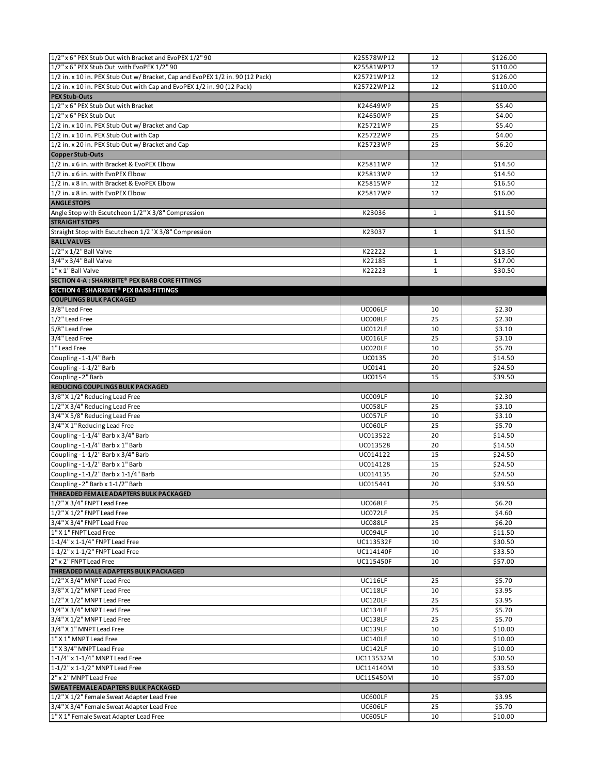| 1/2" x 6" PEX Stub Out with Bracket and EvoPEX 1/2" 90                                                                                                                                                                                                                                    | K25578WP12     | 12           | \$126.00 |
|-------------------------------------------------------------------------------------------------------------------------------------------------------------------------------------------------------------------------------------------------------------------------------------------|----------------|--------------|----------|
| 1/2" x 6" PEX Stub Out with EvoPEX 1/2" 90                                                                                                                                                                                                                                                | K25581WP12     | 12           | \$110.00 |
| 1/2 in. x 10 in. PEX Stub Out w/ Bracket, Cap and EvoPEX 1/2 in. 90 (12 Pack)                                                                                                                                                                                                             | K25721WP12     | 12           | \$126.00 |
| 1/2 in. x 10 in. PEX Stub Out with Cap and EvoPEX 1/2 in. 90 (12 Pack)                                                                                                                                                                                                                    | K25722WP12     | 12           | \$110.00 |
| <b>PEX Stub-Outs</b>                                                                                                                                                                                                                                                                      |                |              |          |
| 1/2" x 6" PEX Stub Out with Bracket                                                                                                                                                                                                                                                       | K24649WP       | 25           | \$5.40   |
| 1/2" x 6" PEX Stub Out                                                                                                                                                                                                                                                                    | K24650WP       | 25           | \$4.00   |
| 1/2 in. x 10 in. PEX Stub Out w/ Bracket and Cap                                                                                                                                                                                                                                          | K25721WP       | 25           | \$5.40   |
| 1/2 in. x 10 in. PEX Stub Out with Cap                                                                                                                                                                                                                                                    | K25722WP       | 25           | \$4.00   |
| 1/2 in. x 20 in. PEX Stub Out w/ Bracket and Cap                                                                                                                                                                                                                                          | K25723WP       | 25           | \$6.20   |
| <b>Copper Stub-Outs</b>                                                                                                                                                                                                                                                                   |                |              |          |
| 1/2 in. x 6 in. with Bracket & EvoPEX Elbow                                                                                                                                                                                                                                               | K25811WP       | 12           | \$14.50  |
| 1/2 in. x 6 in. with EvoPEX Elbow                                                                                                                                                                                                                                                         | K25813WP       | 12           | \$14.50  |
| 1/2 in. x 8 in. with Bracket & EvoPEX Elbow                                                                                                                                                                                                                                               | K25815WP       | 12           | \$16.50  |
| 1/2 in. x 8 in. with EvoPEX Elbow                                                                                                                                                                                                                                                         | K25817WP       | 12           | \$16.00  |
| <b>ANGLE STOPS</b>                                                                                                                                                                                                                                                                        |                |              |          |
|                                                                                                                                                                                                                                                                                           |                |              |          |
| Angle Stop with Escutcheon 1/2" X 3/8" Compression                                                                                                                                                                                                                                        | K23036         | $\mathbf{1}$ | \$11.50  |
| <b>STRAIGHT STOPS</b>                                                                                                                                                                                                                                                                     |                |              |          |
| Straight Stop with Escutcheon 1/2" X 3/8" Compression                                                                                                                                                                                                                                     | K23037         | $\mathbf{1}$ | \$11.50  |
| <b>BALL VALVES</b>                                                                                                                                                                                                                                                                        |                |              |          |
| $1/2$ " x $1/2$ " Ball Valve                                                                                                                                                                                                                                                              | K22222         | $\mathbf{1}$ | \$13.50  |
| $3/4$ " x $3/4$ " Ball Valve                                                                                                                                                                                                                                                              | K22185         | $\mathbf{1}$ | \$17.00  |
| 1" x 1" Ball Valve                                                                                                                                                                                                                                                                        | K22223         | $\mathbf{1}$ | \$30.50  |
| SECTION 4-A : SHARKBITE® PEX BARB CORE FITTINGS                                                                                                                                                                                                                                           |                |              |          |
| <b>SECTION 4 : SHARKBITE® PEX BARB FITTINGS</b>                                                                                                                                                                                                                                           |                |              |          |
| <b>COUPLINGS BULK PACKAGED</b>                                                                                                                                                                                                                                                            |                |              |          |
| 3/8" Lead Free                                                                                                                                                                                                                                                                            | UC006LF        | 10           | \$2.30   |
| 1/2" Lead Free                                                                                                                                                                                                                                                                            | UC008LF        | 25           | \$2.30   |
| 5/8" Lead Free                                                                                                                                                                                                                                                                            | UC012LF        | 10           | \$3.10   |
| 3/4" Lead Free                                                                                                                                                                                                                                                                            | UC016LF        | 25           | \$3.10   |
| 1" Lead Free                                                                                                                                                                                                                                                                              | UC020LF        | 10           | \$5.70   |
| Coupling - 1-1/4" Barb                                                                                                                                                                                                                                                                    | UC0135         | 20           | \$14.50  |
| Coupling - 1-1/2" Barb                                                                                                                                                                                                                                                                    | UC0141         | 20           | \$24.50  |
| Coupling - 2" Barb                                                                                                                                                                                                                                                                        | UC0154         | 15           | \$39.50  |
| REDUCING COUPLINGS BULK PACKAGED                                                                                                                                                                                                                                                          |                |              |          |
|                                                                                                                                                                                                                                                                                           |                |              |          |
|                                                                                                                                                                                                                                                                                           | UC009LF        | 10           | \$2.30   |
| 3/8" X 1/2" Reducing Lead Free                                                                                                                                                                                                                                                            | UC058LF        | 25           | \$3.10   |
| 3/4" X 5/8" Reducing Lead Free                                                                                                                                                                                                                                                            | UC057LF        | 10           | \$3.10   |
|                                                                                                                                                                                                                                                                                           | UC060LF        | 25           |          |
|                                                                                                                                                                                                                                                                                           | UC013522       | 20           | \$5.70   |
| 1/2" X 3/4" Reducing Lead Free<br>3/4" X 1" Reducing Lead Free<br>Coupling - 1-1/4" Barb x 3/4" Barb                                                                                                                                                                                      |                |              | \$14.50  |
| Coupling - 1-1/4" Barb x 1" Barb                                                                                                                                                                                                                                                          | UC013528       | 20           | \$14.50  |
| Coupling - 1-1/2" Barb x 3/4" Barb                                                                                                                                                                                                                                                        | UC014122       | 15           | \$24.50  |
| Coupling - 1-1/2" Barb x 1" Barb                                                                                                                                                                                                                                                          | UC014128       | 15           | \$24.50  |
| Coupling - 1-1/2" Barb x 1-1/4" Barb                                                                                                                                                                                                                                                      | UC014135       | 20           | \$24.50  |
| Coupling - 2" Barb x 1-1/2" Barb                                                                                                                                                                                                                                                          | UC015441       | 20           | \$39.50  |
| THREADED FEMALE ADAPTERS BULK PACKAGED                                                                                                                                                                                                                                                    |                |              |          |
|                                                                                                                                                                                                                                                                                           | UC068LF        | 25           | \$6.20   |
|                                                                                                                                                                                                                                                                                           | UC072LF        | 25           | \$4.60   |
|                                                                                                                                                                                                                                                                                           | UC088LF        | 25           | \$6.20   |
|                                                                                                                                                                                                                                                                                           | UC094LF        | 10           | \$11.50  |
| 1-1/4" x 1-1/4" FNPT Lead Free                                                                                                                                                                                                                                                            | UC113532F      | 10           | \$30.50  |
|                                                                                                                                                                                                                                                                                           | UC114140F      | 10           | \$33.50  |
| 2" x 2" FNPT Lead Free                                                                                                                                                                                                                                                                    | UC115450F      | 10           | \$57.00  |
|                                                                                                                                                                                                                                                                                           |                |              |          |
| 1/2" X 3/4" MNPT Lead Free                                                                                                                                                                                                                                                                | UC116LF        | 25           | \$5.70   |
| 3/8" X 1/2" MNPT Lead Free                                                                                                                                                                                                                                                                | <b>UC118LF</b> | 10           | \$3.95   |
|                                                                                                                                                                                                                                                                                           | <b>UC120LF</b> | 25           | \$3.95   |
| 3/4" X 3/4" MNPT Lead Free                                                                                                                                                                                                                                                                | UC134LF        | 25           | \$5.70   |
|                                                                                                                                                                                                                                                                                           | <b>UC138LF</b> | 25           | \$5.70   |
| 1/2" X 3/4" FNPT Lead Free<br>1/2" X 1/2" FNPT Lead Free<br>3/4" X 3/4" FNPT Lead Free<br>1" X 1" FNPT Lead Free<br>1-1/2" x 1-1/2" FNPT Lead Free<br><b>THREADED MALE ADAPTERS BULK PACKAGED</b><br>1/2" X 1/2" MNPT Lead Free<br>3/4" X 1/2" MNPT Lead Free<br>3/4" X 1" MNPT Lead Free | UC139LF        | 10           | \$10.00  |
| 1" X 1" MNPT Lead Free                                                                                                                                                                                                                                                                    | UC140LF        | 10           | \$10.00  |
|                                                                                                                                                                                                                                                                                           | <b>UC142LF</b> | 10           | \$10.00  |
| 1-1/4" x 1-1/4" MNPT Lead Free                                                                                                                                                                                                                                                            | UC113532M      | 10           | \$30.50  |
| 1-1/2" x 1-1/2" MNPT Lead Free                                                                                                                                                                                                                                                            | UC114140M      | 10           | \$33.50  |
| 1" X 3/4" MNPT Lead Free<br>2" x 2" MNPT Lead Free                                                                                                                                                                                                                                        | UC115450M      | 10           | \$57.00  |
| <b>SWEAT FEMALE ADAPTERS BULK PACKAGED</b>                                                                                                                                                                                                                                                |                |              |          |
| 1/2" X 1/2" Female Sweat Adapter Lead Free                                                                                                                                                                                                                                                | UC600LF        | 25           | \$3.95   |
| 3/4" X 3/4" Female Sweat Adapter Lead Free                                                                                                                                                                                                                                                | UC606LF        | 25           | \$5.70   |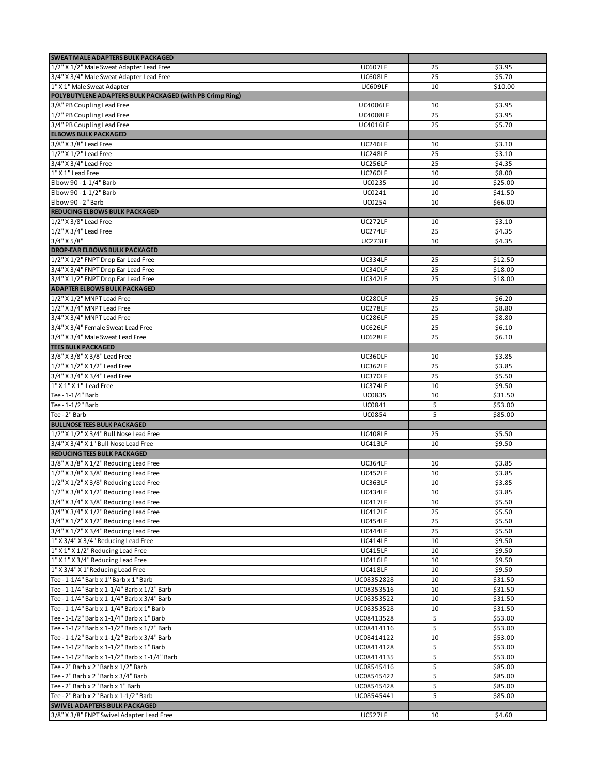| <b>SWEAT MALE ADAPTERS BULK PACKAGED</b>                                          |                    |    |         |
|-----------------------------------------------------------------------------------|--------------------|----|---------|
| 1/2" X 1/2" Male Sweat Adapter Lead Free                                          | UC607LF            | 25 | \$3.95  |
| 3/4" X 3/4" Male Sweat Adapter Lead Free                                          | UC608LF            | 25 | \$5.70  |
| 1" X 1" Male Sweat Adapter                                                        | UC609LF            | 10 | \$10.00 |
| POLYBUTYLENE ADAPTERS BULK PACKAGED (with PB Crimp Ring)                          |                    |    |         |
| 3/8" PB Coupling Lead Free                                                        | <b>UC4006LF</b>    | 10 | \$3.95  |
| 1/2" PB Coupling Lead Free                                                        | <b>UC4008LF</b>    | 25 | \$3.95  |
| 3/4" PB Coupling Lead Free                                                        | <b>UC4016LF</b>    | 25 | \$5.70  |
| <b>ELBOWS BULK PACKAGED</b>                                                       |                    |    |         |
| 3/8" X 3/8" Lead Free                                                             | UC246LF            | 10 | \$3.10  |
| 1/2" X 1/2" Lead Free                                                             | UC248LF            | 25 | \$3.10  |
| 3/4" X 3/4" Lead Free                                                             | UC256LF            | 25 | \$4.35  |
| $1"$ X $1"$ Lead Free                                                             | UC260LF            | 10 | \$8.00  |
| Elbow 90 - 1-1/4" Barb                                                            | <b>UC0235</b>      | 10 | \$25.00 |
| Elbow 90 - 1-1/2" Barb                                                            | UC0241             | 10 | \$41.50 |
| Elbow 90 - 2" Barb                                                                | <b>UC0254</b>      | 10 | \$66.00 |
| <b>REDUCING ELBOWS BULK PACKAGED</b>                                              |                    |    |         |
|                                                                                   |                    |    |         |
| 1/2" X 3/8" Lead Free                                                             | UC272LF            | 10 | \$3.10  |
| 1/2" X 3/4" Lead Free                                                             | UC274LF            | 25 | \$4.35  |
| 3/4" X 5/8"                                                                       | UC273LF            | 10 | \$4.35  |
| <b>DROP-EAR ELBOWS BULK PACKAGED</b>                                              |                    |    |         |
| 1/2" X 1/2" FNPT Drop Ear Lead Free                                               | UC334LF            | 25 | \$12.50 |
| 3/4" X 3/4" FNPT Drop Ear Lead Free                                               | UC340LF            | 25 | \$18.00 |
| 3/4" X 1/2" FNPT Drop Ear Lead Free                                               | UC342LF            | 25 | \$18.00 |
| <b>ADAPTER ELBOWS BULK PACKAGED</b>                                               |                    |    |         |
| 1/2" X 1/2" MNPT Lead Free                                                        | UC280LF            | 25 | \$6.20  |
| 1/2" X 3/4" MNPT Lead Free                                                        | UC278LF            | 25 | \$8.80  |
| 3/4" X 3/4" MNPT Lead Free                                                        | <b>UC286LF</b>     | 25 | \$8.80  |
| 3/4" X 3/4" Female Sweat Lead Free                                                | UC626LF            | 25 | \$6.10  |
| 3/4" X 3/4" Male Sweat Lead Free                                                  | <b>UC628LF</b>     | 25 | \$6.10  |
| <b>TEES BULK PACKAGED</b>                                                         |                    |    |         |
| 3/8" X 3/8" X 3/8" Lead Free                                                      | UC360LF            | 10 | \$3.85  |
| 1/2" X 1/2" X 1/2" Lead Free                                                      | UC362LF            | 25 | \$3.85  |
| 3/4" X 3/4" X 3/4" Lead Free                                                      | UC370LF            | 25 | \$5.50  |
| 1" X 1" X 1" Lead Free                                                            | UC374LF            | 10 | \$9.50  |
| Tee - 1-1/4" Barb                                                                 | <b>UC0835</b>      | 10 | \$31.50 |
| Tee - 1-1/2" Barb                                                                 | UC0841             | 5  | \$53.00 |
| Tee - 2" Barb                                                                     | <b>UC0854</b>      | 5  | \$85.00 |
| <b>BULLNOSE TEES BULK PACKAGED</b>                                                |                    |    |         |
| 1/2" X 1/2" X 3/4" Bull Nose Lead Free                                            | UC408LF            | 25 | \$5.50  |
| 3/4" X 3/4" X 1" Bull Nose Lead Free                                              | UC413LF            | 10 | \$9.50  |
| <b>REDUCING TEES BULK PACKAGED</b>                                                |                    |    |         |
| 3/8" X 3/8" X 1/2" Reducing Lead Free                                             |                    |    |         |
|                                                                                   | UC364LF<br>UC452LF | 10 | \$3.85  |
| 1/2" X 3/8" X 3/8" Reducing Lead Free                                             |                    | 10 | \$3.85  |
| 1/2" X 1/2" X 3/8" Reducing Lead Free                                             | <b>UC363LF</b>     | 10 | \$3.85  |
| 1/2" X 3/8" X 1/2" Reducing Lead Free                                             | UC434LF            | 10 | \$3.85  |
| 3/4" X 3/4" X 3/8" Reducing Lead Free                                             | UC417LF            | 10 | \$5.50  |
| 3/4" X 3/4" X 1/2" Reducing Lead Free                                             | UC412LF            | 25 | \$5.50  |
| 3/4" X 1/2" X 1/2" Reducing Lead Free                                             | UC454LF            | 25 | \$5.50  |
| 3/4" X 1/2" X 3/4" Reducing Lead Free                                             | UC444LF            | 25 | \$5.50  |
| 1" X 3/4" X 3/4" Reducing Lead Free                                               | UC414LF            | 10 | \$9.50  |
| 1" X 1" X 1/2" Reducing Lead Free                                                 | UC415LF            | 10 | \$9.50  |
| 1" X 1" X 3/4" Reducing Lead Free                                                 | UC416LF            | 10 | \$9.50  |
| 1" X 3/4" X 1"Reducing Lead Free                                                  | UC418LF            | 10 | \$9.50  |
| Tee - 1-1/4" Barb x 1" Barb x 1" Barb                                             | UC08352828         | 10 | \$31.50 |
| Tee - 1-1/4" Barb x 1-1/4" Barb x 1/2" Barb                                       | UC08353516         | 10 | \$31.50 |
| Tee - 1-1/4" Barb x 1-1/4" Barb x 3/4" Barb                                       | UC08353522         | 10 | \$31.50 |
| Tee - 1-1/4" Barb x 1-1/4" Barb x 1" Barb                                         | UC08353528         | 10 | \$31.50 |
| Tee - 1-1/2" Barb x 1-1/4" Barb x 1" Barb                                         | UC08413528         | 5  | \$53.00 |
| Tee - 1-1/2" Barb x 1-1/2" Barb x 1/2" Barb                                       | UC08414116         | 5  | \$53.00 |
| Tee - 1-1/2" Barb x 1-1/2" Barb x 3/4" Barb                                       | UC08414122         | 10 | \$53.00 |
| Tee - 1-1/2" Barb x 1-1/2" Barb x 1" Barb                                         |                    | 5  |         |
| Tee - 1-1/2" Barb x 1-1/2" Barb x 1-1/4" Barb                                     | UC08414128         |    | \$53.00 |
|                                                                                   | UC08414135         | 5  | \$53.00 |
|                                                                                   | UC08545416         | 5  | \$85.00 |
| Tee - 2" Barb x 2" Barb x 1/2" Barb                                               |                    |    | \$85.00 |
| Tee - 2" Barb x 2" Barb x 3/4" Barb                                               | UC08545422         | 5  |         |
| Tee - 2" Barb x 2" Barb x 1" Barb                                                 | UC08545428         | 5  | \$85.00 |
| Tee - 2" Barb x 2" Barb x 1-1/2" Barb                                             | UC08545441         | 5  | \$85.00 |
| <b>SWIVEL ADAPTERS BULK PACKAGED</b><br>3/8" X 3/8" FNPT Swivel Adapter Lead Free |                    |    |         |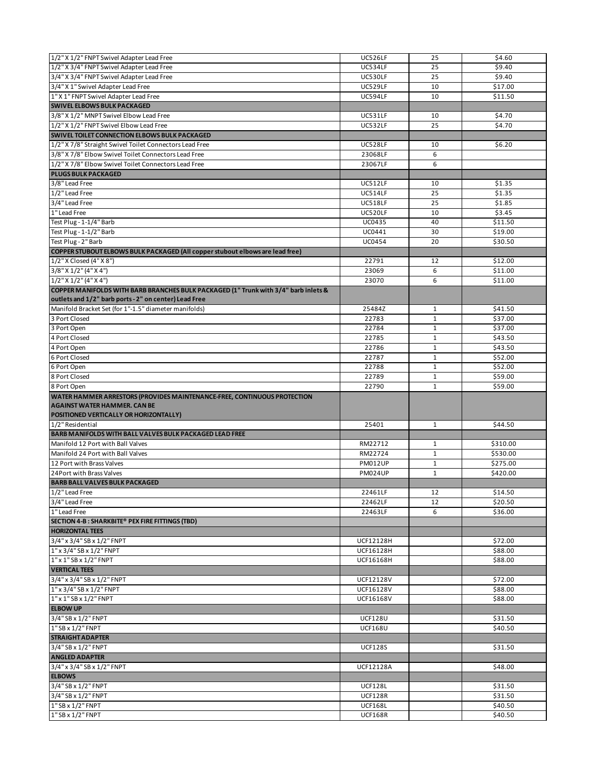| 1/2" X 1/2" FNPT Swivel Adapter Lead Free                                                                                                                                                                                                                                                                                                                     | UC526LF                          | 25           | \$4.60             |
|---------------------------------------------------------------------------------------------------------------------------------------------------------------------------------------------------------------------------------------------------------------------------------------------------------------------------------------------------------------|----------------------------------|--------------|--------------------|
| 1/2" X 3/4" FNPT Swivel Adapter Lead Free                                                                                                                                                                                                                                                                                                                     | <b>UC534LF</b>                   | 25           | \$9.40             |
| 3/4" X 3/4" FNPT Swivel Adapter Lead Free                                                                                                                                                                                                                                                                                                                     | UC530LF                          | 25           | \$9.40             |
| 3/4" X 1" Swivel Adapter Lead Free                                                                                                                                                                                                                                                                                                                            | UC529LF                          | 10           | \$17.00            |
| 1" X 1" FNPT Swivel Adapter Lead Free                                                                                                                                                                                                                                                                                                                         | <b>UC594LF</b>                   | 10           | \$11.50            |
| SWIVEL ELBOWS BULK PACKAGED                                                                                                                                                                                                                                                                                                                                   |                                  |              |                    |
| 3/8" X 1/2" MNPT Swivel Elbow Lead Free                                                                                                                                                                                                                                                                                                                       | <b>UC531LF</b>                   | 10           | \$4.70             |
| 1/2" X 1/2" FNPT Swivel Elbow Lead Free                                                                                                                                                                                                                                                                                                                       | UC532LF                          | 25           | \$4.70             |
| SWIVEL TOILET CONNECTION ELBOWS BULK PACKAGED                                                                                                                                                                                                                                                                                                                 |                                  |              |                    |
| 1/2" X 7/8" Straight Swivel Toilet Connectors Lead Free                                                                                                                                                                                                                                                                                                       | UC528LF                          | 10           | \$6.20             |
| 3/8" X 7/8" Elbow Swivel Toilet Connectors Lead Free                                                                                                                                                                                                                                                                                                          | 23068LF                          | 6            |                    |
| 1/2" X 7/8" Elbow Swivel Toilet Connectors Lead Free                                                                                                                                                                                                                                                                                                          | 23067LF                          | 6            |                    |
| <b>PLUGS BULK PACKAGED</b>                                                                                                                                                                                                                                                                                                                                    |                                  |              |                    |
| 3/8" Lead Free                                                                                                                                                                                                                                                                                                                                                | UC512LF                          | 10           | \$1.35             |
| 1/2" Lead Free                                                                                                                                                                                                                                                                                                                                                | UC514LF                          | 25           | \$1.35             |
| 3/4" Lead Free                                                                                                                                                                                                                                                                                                                                                | <b>UC518LF</b>                   | 25           | \$1.85             |
| 1" Lead Free                                                                                                                                                                                                                                                                                                                                                  | UC520LF                          | 10           | \$3.45             |
| Test Plug - 1-1/4" Barb                                                                                                                                                                                                                                                                                                                                       | <b>UC0435</b>                    | 40           | \$11.50            |
| Test Plug - 1-1/2" Barb                                                                                                                                                                                                                                                                                                                                       | UC0441                           | 30           | \$19.00            |
| Test Plug - 2" Barb                                                                                                                                                                                                                                                                                                                                           | <b>UC0454</b>                    | 20           | \$30.50            |
| COPPER STUBOUT ELBOWS BULK PACKAGED (All copper stubout elbows are lead free)                                                                                                                                                                                                                                                                                 |                                  |              |                    |
| 1/2" X Closed (4" X 8")                                                                                                                                                                                                                                                                                                                                       | 22791                            | 12           | \$12.00            |
| $3/8''$ X $1/2''$ (4" X 4")                                                                                                                                                                                                                                                                                                                                   | 23069                            | 6            | \$11.00            |
|                                                                                                                                                                                                                                                                                                                                                               |                                  | 6            |                    |
| $1/2$ " X $1/2$ " (4" X 4")<br>COPPER MANIFOLDS WITH BARB BRANCHES BULK PACKAGED (1" Trunk with 3/4" barb inlets &                                                                                                                                                                                                                                            | 23070                            |              | \$11.00            |
| outlets and 1/2" barb ports - 2" on center) Lead Free                                                                                                                                                                                                                                                                                                         |                                  |              |                    |
| Manifold Bracket Set (for 1"-1.5" diameter manifolds)                                                                                                                                                                                                                                                                                                         | 25484Z                           | $\mathbf{1}$ | \$41.50            |
| 3 Port Closed                                                                                                                                                                                                                                                                                                                                                 | 22783                            | $\mathbf{1}$ | \$37.00            |
| 3 Port Open                                                                                                                                                                                                                                                                                                                                                   | 22784                            | $\mathbf{1}$ | \$37.00            |
| 4 Port Closed                                                                                                                                                                                                                                                                                                                                                 | 22785                            | $\mathbf{1}$ | \$43.50            |
| 4 Port Open                                                                                                                                                                                                                                                                                                                                                   | 22786                            | $\mathbf{1}$ | \$43.50            |
| 6 Port Closed                                                                                                                                                                                                                                                                                                                                                 | 22787                            | $\mathbf{1}$ | \$52.00            |
| 6 Port Open                                                                                                                                                                                                                                                                                                                                                   | 22788                            | $\mathbf{1}$ | \$52.00            |
| 8 Port Closed                                                                                                                                                                                                                                                                                                                                                 | 22789                            | $\mathbf{1}$ | \$59.00            |
|                                                                                                                                                                                                                                                                                                                                                               |                                  |              |                    |
| 8 Port Open                                                                                                                                                                                                                                                                                                                                                   | 22790                            | $\mathbf{1}$ | \$59.00            |
| WATER HAMMER ARRESTORS (PROVIDES MAINTENANCE-FREE, CONTINUOUS PROTECTION<br><b>AGAINST WATER HAMMER. CAN BE</b>                                                                                                                                                                                                                                               |                                  |              |                    |
| POSITIONED VERTICALLY OR HORIZONTALLY)                                                                                                                                                                                                                                                                                                                        |                                  |              |                    |
| 1/2" Residential                                                                                                                                                                                                                                                                                                                                              | 25401                            | $\mathbf{1}$ | \$44.50            |
| BARB MANIFOLDS WITH BALL VALVES BULK PACKAGED LEAD FREE                                                                                                                                                                                                                                                                                                       |                                  |              |                    |
| Manifold 12 Port with Ball Valves                                                                                                                                                                                                                                                                                                                             | RM22712                          | $\mathbf{1}$ | \$310.00           |
| Manifold 24 Port with Ball Valves                                                                                                                                                                                                                                                                                                                             | RM22724                          | $\mathbf{1}$ | \$530.00           |
| 12 Port with Brass Valves                                                                                                                                                                                                                                                                                                                                     | <b>PM012UP</b>                   | $\mathbf{1}$ | \$275.00           |
| 24 Port with Brass Valves                                                                                                                                                                                                                                                                                                                                     | <b>PM024UP</b>                   | $\mathbf{1}$ | \$420.00           |
| <b>BARB BALL VALVES BULK PACKAGED</b>                                                                                                                                                                                                                                                                                                                         |                                  |              |                    |
|                                                                                                                                                                                                                                                                                                                                                               | 22461LF                          | 12           | \$14.50            |
|                                                                                                                                                                                                                                                                                                                                                               | 22462LF                          | 12           | \$20.50            |
|                                                                                                                                                                                                                                                                                                                                                               | 22463LF                          | 6            | \$36.00            |
|                                                                                                                                                                                                                                                                                                                                                               |                                  |              |                    |
|                                                                                                                                                                                                                                                                                                                                                               |                                  |              |                    |
| 3/4" x 3/4" SB x 1/2" FNPT                                                                                                                                                                                                                                                                                                                                    | <b>UCF12128H</b>                 |              | \$72.00            |
|                                                                                                                                                                                                                                                                                                                                                               | <b>UCF16128H</b>                 |              | \$88.00            |
|                                                                                                                                                                                                                                                                                                                                                               | <b>UCF16168H</b>                 |              | \$88.00            |
| <b>VERTICAL TEES</b>                                                                                                                                                                                                                                                                                                                                          |                                  |              |                    |
|                                                                                                                                                                                                                                                                                                                                                               | <b>UCF12128V</b>                 |              | \$72.00            |
|                                                                                                                                                                                                                                                                                                                                                               | UCF16128V                        |              | \$88.00            |
|                                                                                                                                                                                                                                                                                                                                                               | UCF16168V                        |              | \$88.00            |
| <b>ELBOW UP</b>                                                                                                                                                                                                                                                                                                                                               |                                  |              |                    |
|                                                                                                                                                                                                                                                                                                                                                               | <b>UCF128U</b>                   |              | \$31.50            |
|                                                                                                                                                                                                                                                                                                                                                               | <b>UCF168U</b>                   |              | \$40.50            |
| <b>STRAIGHT ADAPTER</b>                                                                                                                                                                                                                                                                                                                                       |                                  |              |                    |
| 3/4" SB x 1/2" FNPT                                                                                                                                                                                                                                                                                                                                           | <b>UCF128S</b>                   |              | \$31.50            |
| <b>ANGLED ADAPTER</b>                                                                                                                                                                                                                                                                                                                                         |                                  |              |                    |
| 3/4" x 3/4" SB x 1/2" FNPT                                                                                                                                                                                                                                                                                                                                    | <b>UCF12128A</b>                 |              | \$48.00            |
| <b>ELBOWS</b>                                                                                                                                                                                                                                                                                                                                                 |                                  |              |                    |
| $1/2$ " Lead Free<br>3/4" Lead Free<br>1" Lead Free<br>SECTION 4-B : SHARKBITE® PEX FIRE FITTINGS (TBD)<br><b>HORIZONTAL TEES</b><br>1" x 3/4" SB x 1/2" FNPT<br>$1"$ x $1"$ SB x $1/2"$ FNPT<br>3/4" x 3/4" SB x 1/2" FNPT<br>$1''$ x $3/4''$ SB x $1/2''$ FNPT<br>1" x 1" SB x 1/2" FNPT<br>3/4" SB x 1/2" FNPT<br>1" SB x 1/2" FNPT<br>3/4" SB x 1/2" FNPT | <b>UCF128L</b>                   |              | \$31.50            |
|                                                                                                                                                                                                                                                                                                                                                               | <b>UCF128R</b>                   |              | \$31.50            |
| 3/4" SB x 1/2" FNPT<br>1" SB x 1/2" FNPT<br>1" SB x 1/2" FNPT                                                                                                                                                                                                                                                                                                 | <b>UCF168L</b><br><b>UCF168R</b> |              | \$40.50<br>\$40.50 |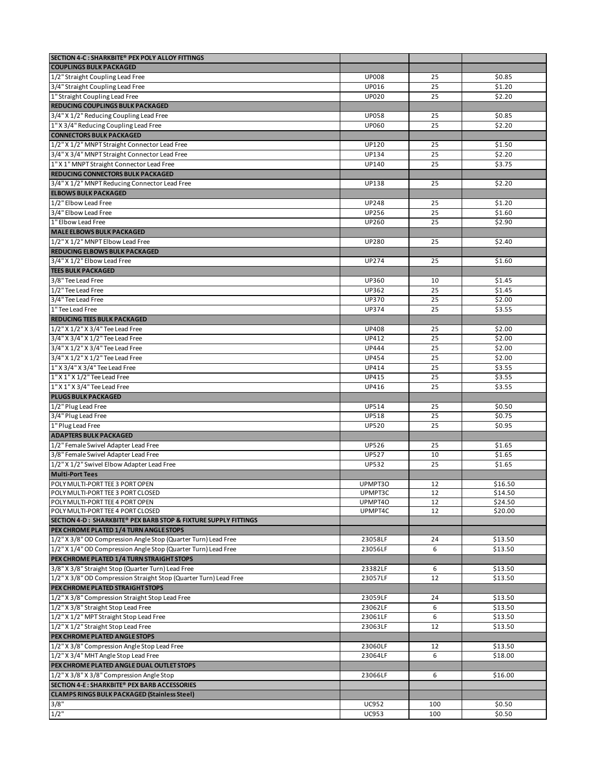| SECTION 4-C : SHARKBITE® PEX POLY ALLOY FITTINGS                  |              |     |         |
|-------------------------------------------------------------------|--------------|-----|---------|
| <b>COUPLINGS BULK PACKAGED</b>                                    |              |     |         |
| 1/2" Straight Coupling Lead Free                                  | <b>UP008</b> | 25  | \$0.85  |
| 3/4" Straight Coupling Lead Free                                  | UP016        | 25  | \$1.20  |
| 1" Straight Coupling Lead Free                                    | <b>UP020</b> | 25  | \$2.20  |
| REDUCING COUPLINGS BULK PACKAGED                                  |              |     |         |
| 3/4" X 1/2" Reducing Coupling Lead Free                           | <b>UP058</b> | 25  | \$0.85  |
| 1" X 3/4" Reducing Coupling Lead Free                             | <b>UP060</b> | 25  | \$2.20  |
| <b>CONNECTORS BULK PACKAGED</b>                                   |              |     |         |
| 1/2" X 1/2" MNPT Straight Connector Lead Free                     | UP120        | 25  | \$1.50  |
| 3/4" X 3/4" MNPT Straight Connector Lead Free                     | UP134        | 25  | \$2.20  |
| 1" X 1" MNPT Straight Connector Lead Free                         | <b>UP140</b> | 25  | \$3.75  |
| REDUCING CONNECTORS BULK PACKAGED                                 |              |     |         |
| 3/4" X 1/2" MNPT Reducing Connector Lead Free                     | <b>UP138</b> | 25  | \$2.20  |
| <b>ELBOWS BULK PACKAGED</b>                                       |              |     |         |
| 1/2" Elbow Lead Free                                              | <b>UP248</b> | 25  | \$1.20  |
| 3/4" Elbow Lead Free                                              | UP256        | 25  | \$1.60  |
| 1" Elbow Lead Free                                                | UP260        | 25  | \$2.90  |
| <b>MALE ELBOWS BULK PACKAGED</b>                                  |              |     |         |
| 1/2" X 1/2" MNPT Elbow Lead Free                                  | <b>UP280</b> | 25  | \$2.40  |
| <b>REDUCING ELBOWS BULK PACKAGED</b>                              |              |     |         |
| 3/4" X 1/2" Elbow Lead Free                                       | UP274        | 25  | \$1.60  |
| <b>TEES BULK PACKAGED</b>                                         |              |     |         |
| 3/8" Tee Lead Free                                                | <b>UP360</b> | 10  | \$1.45  |
| $1/2$ " Tee Lead Free                                             | UP362        | 25  | \$1.45  |
| 3/4" Tee Lead Free                                                | UP370        | 25  | \$2.00  |
| 1" Tee Lead Free                                                  | UP374        | 25  | \$3.55  |
| <b>REDUCING TEES BULK PACKAGED</b>                                |              |     |         |
| 1/2" X 1/2" X 3/4" Tee Lead Free                                  | <b>UP408</b> | 25  | \$2.00  |
| 3/4" X 3/4" X 1/2" Tee Lead Free                                  | UP412        | 25  | \$2.00  |
| 3/4" X 1/2" X 3/4" Tee Lead Free                                  | <b>UP444</b> | 25  | \$2.00  |
| 3/4" X 1/2" X 1/2" Tee Lead Free                                  | UP454        | 25  | \$2.00  |
| 1" X 3/4" X 3/4" Tee Lead Free                                    | UP414        | 25  | \$3.55  |
| 1" X 1" X 1/2" Tee Lead Free                                      | UP415        | 25  | \$3.55  |
| 1" X 1" X 3/4" Tee Lead Free                                      | UP416        | 25  | \$3.55  |
| <b>PLUGS BULK PACKAGED</b>                                        |              |     |         |
| 1/2" Plug Lead Free                                               | UP514        | 25  | \$0.50  |
| 3/4" Plug Lead Free                                               | <b>UP518</b> | 25  | \$0.75  |
| 1" Plug Lead Free                                                 | <b>UP520</b> | 25  | \$0.95  |
| <b>ADAPTERS BULK PACKAGED</b>                                     |              |     |         |
| 1/2" Female Swivel Adapter Lead Free                              | <b>UP526</b> | 25  | \$1.65  |
| 3/8" Female Swivel Adapter Lead Free                              | <b>UP527</b> | 10  | \$1.65  |
| 1/2" X 1/2" Swivel Elbow Adapter Lead Free                        | <b>UP532</b> | 25  | \$1.65  |
| <b>Multi-Port Tees</b>                                            |              |     |         |
| POLY MULTI-PORT TEE 3 PORT OPEN                                   | UPMPT30      | 12  | \$16.50 |
| POLY MULTI-PORT TEE 3 PORT CLOSED                                 | UPMPT3C      | 12  | \$14.50 |
| POLY MULTI-PORT TEE 4 PORT OPEN                                   | UPMPT40      | 12  | \$24.50 |
| POLY MULTI-PORT TEE 4 PORT CLOSED                                 | UPMPT4C      | 12  | \$20.00 |
| SECTION 4-D : SHARKBITE® PEX BARB STOP & FIXTURE SUPPLY FITTINGS  |              |     |         |
| PEX CHROME PLATED 1/4 TURN ANGLE STOPS                            |              |     |         |
| 1/2" X 3/8" OD Compression Angle Stop (Quarter Turn) Lead Free    | 23058LF      | 24  | \$13.50 |
| 1/2" X 1/4" OD Compression Angle Stop (Quarter Turn) Lead Free    | 23056LF      | 6   | \$13.50 |
| PEX CHROME PLATED 1/4 TURN STRAIGHT STOPS                         |              |     |         |
| 3/8" X 3/8" Straight Stop (Quarter Turn) Lead Free                | 23382LF      | 6   | \$13.50 |
| 1/2" X 3/8" OD Compression Straight Stop (Quarter Turn) Lead Free | 23057LF      | 12  | \$13.50 |
| PEX CHROME PLATED STRAIGHT STOPS                                  |              |     |         |
| 1/2" X 3/8" Compression Straight Stop Lead Free                   | 23059LF      | 24  | \$13.50 |
| 1/2" X 3/8" Straight Stop Lead Free                               | 23062LF      | 6   | \$13.50 |
| 1/2" X 1/2" MPT Straight Stop Lead Free                           | 23061LF      | 6   | \$13.50 |
| 1/2" X 1/2" Straight Stop Lead Free                               | 23063LF      | 12  | \$13.50 |
| PEX CHROME PLATED ANGLE STOPS                                     |              |     |         |
| 1/2" X 3/8" Compression Angle Stop Lead Free                      | 23060LF      | 12  | \$13.50 |
| 1/2" X 3/4" MHT Angle Stop Lead Free                              | 23064LF      | 6   | \$18.00 |
| PEX CHROME PLATED ANGLE DUAL OUTLET STOPS                         |              |     |         |
| 1/2" X 3/8" X 3/8" Compression Angle Stop                         | 23066LF      | 6   | \$16.00 |
| SECTION 4-E : SHARKBITE® PEX BARB ACCESSORIES                     |              |     |         |
| <b>CLAMPS RINGS BULK PACKAGED (Stainless Steel)</b>               |              |     |         |
| 3/8"                                                              | <b>UC952</b> | 100 | \$0.50  |
| $1/2$ "                                                           | <b>UC953</b> | 100 | \$0.50  |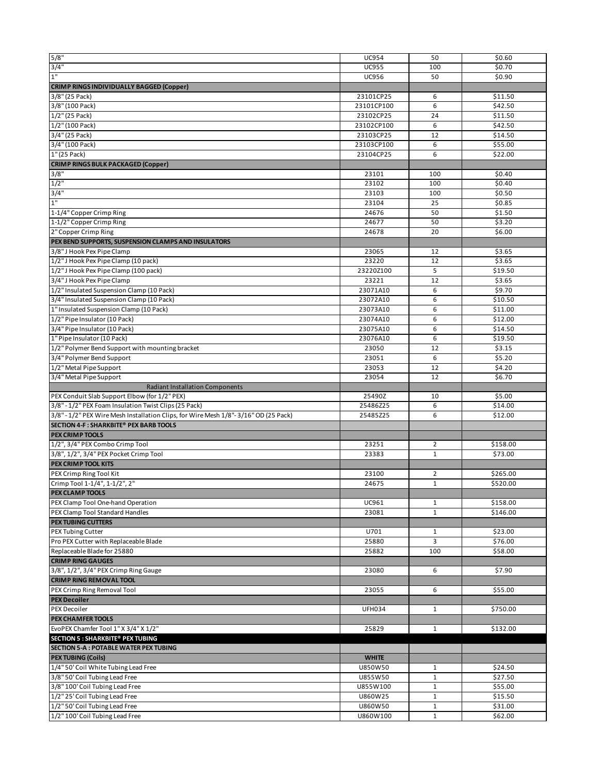| 5/8"                                                                                | <b>UC954</b>        | 50                           | \$0.60             |
|-------------------------------------------------------------------------------------|---------------------|------------------------------|--------------------|
| 3/4"                                                                                | <b>UC955</b>        | 100                          | \$0.70             |
| $1"$                                                                                | <b>UC956</b>        | 50                           | \$0.90             |
| <b>CRIMP RINGS INDIVIDUALLY BAGGED (Copper)</b>                                     |                     |                              |                    |
| 3/8" (25 Pack)                                                                      | 23101CP25           | 6                            | \$11.50            |
| 3/8" (100 Pack)                                                                     | 23101CP100          | 6                            | \$42.50            |
| 1/2" (25 Pack)                                                                      | 23102CP25           | 24                           | \$11.50            |
| 1/2" (100 Pack)                                                                     | 23102CP100          | 6                            | \$42.50            |
| 3/4" (25 Pack)                                                                      | 23103CP25           | 12                           | \$14.50            |
| 3/4" (100 Pack)                                                                     | 23103CP100          | 6                            | \$55.00            |
| 1" (25 Pack)                                                                        | 23104CP25           | 6                            | \$22.00            |
| <b>CRIMP RINGS BULK PACKAGED (Copper)</b>                                           |                     |                              |                    |
| 3/8"                                                                                | 23101               | 100                          | \$0.40             |
| $1/2$ "                                                                             | 23102               | 100                          | \$0.40             |
| 3/4"                                                                                | 23103               | 100                          | \$0.50             |
| 1"                                                                                  | 23104               | 25                           | \$0.85             |
| 1-1/4" Copper Crimp Ring                                                            | 24676               | 50                           | \$1.50             |
| 1-1/2" Copper Crimp Ring                                                            | 24677               | 50                           | \$3.20             |
| 2" Copper Crimp Ring                                                                | 24678               | 20                           | \$6.00             |
| PEX BEND SUPPORTS, SUSPENSION CLAMPS AND INSULATORS                                 |                     |                              |                    |
| 3/8" J Hook Pex Pipe Clamp                                                          | 23065               | 12                           | \$3.65             |
| 1/2" J Hook Pex Pipe Clamp (10 pack)                                                | 23220               | 12                           | \$3.65             |
| 1/2" J Hook Pex Pipe Clamp (100 pack)                                               | 23220Z100           | 5                            | \$19.50            |
| 3/4" J Hook Pex Pipe Clamp                                                          | 23221               | 12                           | \$3.65             |
| 1/2" Insulated Suspension Clamp (10 Pack)                                           | 23071A10            | 6                            | \$9.70             |
| 3/4" Insulated Suspension Clamp (10 Pack)                                           | 23072A10            | 6                            | \$10.50            |
| 1" Insulated Suspension Clamp (10 Pack)                                             | 23073A10            | 6                            | \$11.00            |
| 1/2" Pipe Insulator (10 Pack)                                                       | 23074A10            | 6                            | \$12.00            |
| 3/4" Pipe Insulator (10 Pack)                                                       | 23075A10            | 6                            | \$14.50            |
| 1" Pipe Insulator (10 Pack)                                                         | 23076A10            | 6                            | \$19.50            |
| 1/2" Polymer Bend Support with mounting bracket                                     | 23050               | 12                           | \$3.15             |
| 3/4" Polymer Bend Support                                                           | 23051               | 6                            | \$5.20             |
| 1/2" Metal Pipe Support                                                             | 23053               | 12                           | \$4.20             |
| 3/4" Metal Pipe Support                                                             | 23054               | 12                           | \$6.70             |
| <b>Radiant Installation Components</b>                                              |                     |                              |                    |
| PEX Conduit Slab Support Elbow (for 1/2" PEX)                                       | 25490Z              | 10                           | \$5.00             |
|                                                                                     |                     |                              |                    |
| 3/8" - 1/2" PEX Foam Insulation Twist Clips (25 Pack)                               | 25486Z25            | 6                            | \$14.00            |
| 3/8" - 1/2" PEX Wire Mesh Installation Clips, for Wire Mesh 1/8"-3/16" OD (25 Pack) | 25485Z25            | 6                            | \$12.00            |
| SECTION 4-F: SHARKBITE® PEX BARB TOOLS                                              |                     |                              |                    |
| <b>PEX CRIMP TOOLS</b>                                                              |                     |                              |                    |
| 1/2", 3/4" PEX Combo Crimp Tool                                                     | 23251               | $\overline{2}$               | \$158.00           |
| 3/8", 1/2", 3/4" PEX Pocket Crimp Tool                                              | 23383               | $\mathbf{1}$                 | \$73.00            |
| PEX CRIMP TOOL KITS                                                                 |                     |                              |                    |
| PEX Crimp Ring Tool Kit                                                             | 23100               | $\overline{2}$               | \$265.00           |
| Crimp Tool 1-1/4", 1-1/2", 2"                                                       | 24675               | $\mathbf{1}$                 | \$520.00           |
| <b>PEX CLAMP TOOLS</b>                                                              |                     |                              |                    |
| PEX Clamp Tool One-hand Operation                                                   | UC961               | $\mathbf{1}$                 | \$158.00           |
| PEX Clamp Tool Standard Handles                                                     | 23081               | $\mathbf{1}$                 | \$146.00           |
| <b>PEX TUBING CUTTERS</b>                                                           |                     |                              |                    |
| PEX Tubing Cutter                                                                   | U701                | 1                            | \$23.00            |
| Pro PEX Cutter with Replaceable Blade                                               | 25880               | 3                            | \$76.00            |
| Replaceable Blade for 25880                                                         | 25882               | 100                          | \$58.00            |
| <b>CRIMP RING GAUGES</b>                                                            |                     |                              |                    |
| 3/8", 1/2", 3/4" PEX Crimp Ring Gauge                                               | 23080               | 6                            | \$7.90             |
| <b>CRIMP RING REMOVAL TOOL</b>                                                      |                     |                              |                    |
| PEX Crimp Ring Removal Tool<br><b>PEX Decoiler</b>                                  | 23055               | 6                            | \$55.00            |
| PEX Decoiler                                                                        | <b>UFH034</b>       | $\mathbf{1}$                 | \$750.00           |
| <b>PEX CHAMFER TOOLS</b>                                                            |                     |                              |                    |
| EvoPEX Chamfer Tool 1" X 3/4" X 1/2"                                                | 25829               | $\mathbf{1}$                 | \$132.00           |
| SECTION 5 : SHARKBITE® PEX TUBING                                                   |                     |                              |                    |
| SECTION 5-A : POTABLE WATER PEX TUBING                                              |                     |                              |                    |
| <b>PEX TUBING (Coils)</b>                                                           | <b>WHITE</b>        |                              |                    |
| 1/4" 50' Coil White Tubing Lead Free                                                | U850W50             | 1                            | \$24.50            |
| 3/8" 50' Coil Tubing Lead Free                                                      | U855W50             | $\mathbf{1}$                 | \$27.50            |
| 3/8" 100' Coil Tubing Lead Free                                                     | U855W100            | $\mathbf{1}$                 | \$55.00            |
| 1/2" 25' Coil Tubing Lead Free                                                      | U860W25             | $\mathbf 1$                  | \$15.50            |
| 1/2" 50' Coil Tubing Lead Free<br>1/2" 100' Coil Tubing Lead Free                   | U860W50<br>U860W100 | $\mathbf{1}$<br>$\mathbf{1}$ | \$31.00<br>\$62.00 |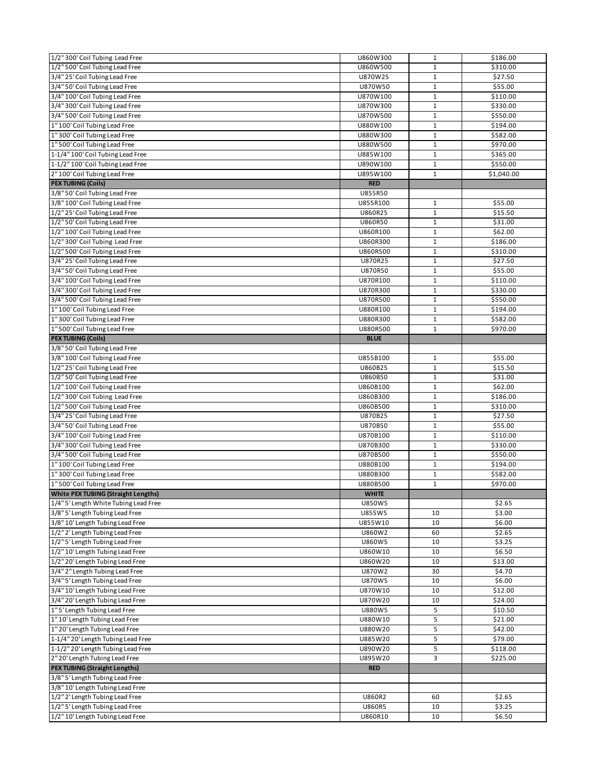| 1/2" 300' Coil Tubing Lead Free                                     | U860W300                 | $\mathbf{1}$ | \$186.00            |
|---------------------------------------------------------------------|--------------------------|--------------|---------------------|
| 1/2" 500' Coil Tubing Lead Free                                     | U860W500                 | $\mathbf{1}$ | \$310.00            |
| 3/4" 25' Coil Tubing Lead Free                                      | U870W25                  | 1            | \$27.50             |
| 3/4" 50' Coil Tubing Lead Free                                      | U870W50                  | $\mathbf 1$  | \$55.00             |
| 3/4" 100' Coil Tubing Lead Free                                     | U870W100                 | $\mathbf{1}$ | \$110.00            |
| 3/4" 300' Coil Tubing Lead Free                                     | U870W300                 | 1            | \$330.00            |
| 3/4" 500' Coil Tubing Lead Free                                     | U870W500                 | $\mathbf 1$  | \$550.00            |
| 1" 100' Coil Tubing Lead Free                                       | U880W100                 | $\mathbf 1$  | \$194.00            |
| 1" 300' Coil Tubing Lead Free                                       | U880W300                 | $\mathbf{1}$ | \$582.00            |
| 1" 500' Coil Tubing Lead Free                                       | U880W500                 | $\mathbf{1}$ | \$970.00            |
| 1-1/4" 100' Coil Tubing Lead Free                                   | U885W100                 | $\mathbf{1}$ | \$365.00            |
| 1-1/2" 100' Coil Tubing Lead Free                                   | U890W100                 | $\mathbf{1}$ | \$550.00            |
| 2" 100' Coil Tubing Lead Free                                       | U895W100                 | $\mathbf 1$  | \$1,040.00          |
| <b>PEX TUBING (Coils)</b>                                           | <b>RED</b>               |              |                     |
| 3/8" 50' Coil Tubing Lead Free                                      | U855R50                  |              |                     |
| 3/8" 100' Coil Tubing Lead Free                                     | U855R100                 | 1            | \$55.00             |
| 1/2" 25' Coil Tubing Lead Free                                      | U860R25                  | $\mathbf{1}$ | \$15.50             |
| 1/2" 50' Coil Tubing Lead Free                                      | U860R50                  | $\mathbf 1$  | \$31.00             |
| 1/2" 100' Coil Tubing Lead Free                                     | U860R100                 | $\mathbf 1$  | \$62.00             |
| 1/2" 300' Coil Tubing Lead Free                                     | U860R300                 | $1\,$        | \$186.00            |
| 1/2" 500' Coil Tubing Lead Free                                     | U860R500                 | $\mathbf{1}$ | \$310.00            |
| 3/4" 25' Coil Tubing Lead Free                                      | U870R25                  | $\mathbf{1}$ | \$27.50             |
| 3/4" 50' Coil Tubing Lead Free                                      | U870R50                  | $\mathbf{1}$ | \$55.00             |
| 3/4" 100' Coil Tubing Lead Free                                     | U870R100                 | $\mathbf 1$  | \$110.00            |
| 3/4" 300' Coil Tubing Lead Free                                     | U870R300                 | $\mathbf{1}$ | \$330.00            |
| 3/4" 500' Coil Tubing Lead Free                                     | U870R500                 | 1            | \$550.00            |
| 1"100' Coil Tubing Lead Free                                        | U880R100                 | $\mathbf 1$  | \$194.00            |
| 1" 300' Coil Tubing Lead Free                                       | U880R300                 | $\mathbf{1}$ | \$582.00            |
| 1" 500' Coil Tubing Lead Free                                       | U880R500                 | $\mathbf{1}$ | \$970.00            |
| <b>PEX TUBING (Coils)</b>                                           | <b>BLUE</b>              |              |                     |
| 3/8" 50' Coil Tubing Lead Free                                      |                          |              |                     |
| 3/8" 100' Coil Tubing Lead Free                                     | U855B100                 | $\mathbf{1}$ | \$55.00             |
| 1/2" 25' Coil Tubing Lead Free                                      | U860B25                  | $\mathbf{1}$ | \$15.50             |
| 1/2" 50' Coil Tubing Lead Free                                      | U860B50                  | $\mathbf{1}$ | \$31.00             |
| 1/2" 100' Coil Tubing Lead Free                                     | U860B100                 | $\mathbf{1}$ | \$62.00             |
|                                                                     |                          |              |                     |
| 1/2" 300' Coil Tubing Lead Free                                     | U860B300                 | $\mathbf{1}$ | \$186.00            |
| 1/2" 500' Coil Tubing Lead Free                                     | U860B500                 | $\mathbf{1}$ | \$310.00            |
| 3/4" 25' Coil Tubing Lead Free                                      | U870B25                  | $\mathbf 1$  | $\overline{$}27.50$ |
| 3/4" 50' Coil Tubing Lead Free                                      | U870B50                  | $\mathbf{1}$ | \$55.00             |
| 3/4" 100' Coil Tubing Lead Free                                     | U870B100                 | $1\,$        | \$110.00            |
| 3/4" 300' Coil Tubing Lead Free                                     | U870B300                 | $1\,$        | \$330.00            |
| 3/4" 500' Coil Tubing Lead Free                                     | U870B500                 | $\mathbf{1}$ | \$550.00            |
| 1" 100' Coil Tubing Lead Free                                       | U880B100                 | $\mathbf{1}$ | \$194.00            |
| 1" 300' Coil Tubing Lead Free                                       | U880B300                 | $\mathbf 1$  | \$582.00            |
| 1" 500' Coil Tubing Lead Free                                       | U880B500                 | $\mathbf{1}$ | \$970.00            |
| <b>White PEX TUBING (Straight Lengths)</b>                          | <b>WHITE</b>             |              |                     |
| 1/4" 5' Length White Tubing Lead Free                               | U850W5                   |              | \$2.65              |
| 3/8" 5' Length Tubing Lead Free                                     | U855W5                   | 10           | \$3.00              |
| 3/8" 10' Length Tubing Lead Free                                    | U855W10                  | 10           | \$6.00              |
| 1/2" 2' Length Tubing Lead Free                                     | U860W2                   | 60           | \$2.65              |
| 1/2" 5' Length Tubing Lead Free                                     | U860W5                   | 10           | \$3.25              |
| 1/2" 10' Length Tubing Lead Free                                    | U860W10                  | 10           | \$6.50              |
| 1/2" 20' Length Tubing Lead Free                                    | U860W20                  | 10           | \$13.00             |
| 3/4" 2" Length Tubing Lead Free                                     | U870W2                   | 30           | \$4.70              |
| 3/4" 5' Length Tubing Lead Free                                     | U870W5                   | 10           | \$6.00              |
| 3/4" 10' Length Tubing Lead Free                                    | U870W10                  | 10           | \$12.00             |
| 3/4" 20' Length Tubing Lead Free                                    | U870W20                  | 10           | \$24.00             |
| 1" 5' Length Tubing Lead Free                                       | U880W5                   | 5            | \$10.50             |
| 1"10'Length Tubing Lead Free                                        | U880W10                  | 5            | \$21.00             |
| 1" 20' Length Tubing Lead Free                                      | U880W20                  | 5            | \$42.00             |
| 1-1/4" 20' Length Tubing Lead Free                                  | U885W20                  | 5            | \$79.00             |
| 1-1/2" 20' Length Tubing Lead Free                                  | U890W20                  | 5            | \$118.00            |
| 2" 20' Length Tubing Lead Free                                      | U895W20                  | 3            | \$225.00            |
| <b>PEX TUBING (Straight Lengths)</b>                                | <b>RED</b>               |              |                     |
| 3/8" 5' Length Tubing Lead Free                                     |                          |              |                     |
| 3/8" 10' Length Tubing Lead Free                                    |                          |              |                     |
| 1/2" 2' Length Tubing Lead Free                                     | U860R2                   | 60           | \$2.65              |
| 1/2" 5' Length Tubing Lead Free<br>1/2" 10' Length Tubing Lead Free | <b>U860R5</b><br>U860R10 | 10<br>10     | \$3.25<br>\$6.50    |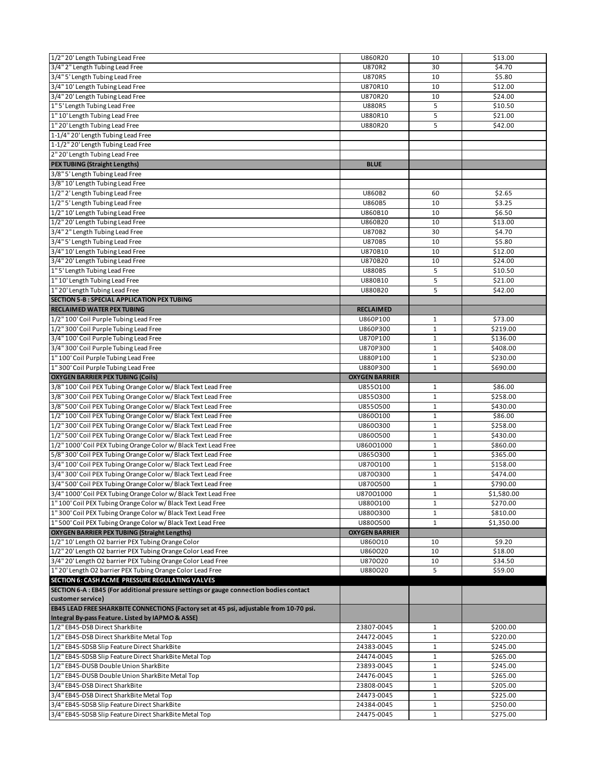| 1/2" 20' Length Tubing Lead Free                                                        | U860R20                  | 10                          | \$13.00    |
|-----------------------------------------------------------------------------------------|--------------------------|-----------------------------|------------|
| 3/4" 2" Length Tubing Lead Free                                                         | <b>U870R2</b>            | 30                          | \$4.70     |
| 3/4" 5' Length Tubing Lead Free                                                         | <b>U870R5</b>            | 10                          | \$5.80     |
| 3/4" 10' Length Tubing Lead Free                                                        | U870R10                  | 10                          | \$12.00    |
| 3/4" 20' Length Tubing Lead Free                                                        | U870R20                  | 10                          | \$24.00    |
| 1" 5' Length Tubing Lead Free                                                           | <b>U880R5</b>            | 5                           | \$10.50    |
| 1" 10' Length Tubing Lead Free                                                          | U880R10                  | $\overline{5}$              | \$21.00    |
| 1"20'Length Tubing Lead Free                                                            | U880R20                  | 5                           | \$42.00    |
| 1-1/4" 20' Length Tubing Lead Free                                                      |                          |                             |            |
| 1-1/2" 20' Length Tubing Lead Free                                                      |                          |                             |            |
| 2" 20' Length Tubing Lead Free                                                          |                          |                             |            |
| <b>PEX TUBING (Straight Lengths)</b>                                                    | <b>BLUE</b>              |                             |            |
| 3/8" 5' Length Tubing Lead Free                                                         |                          |                             |            |
| 3/8" 10' Length Tubing Lead Free                                                        |                          |                             |            |
| 1/2" 2' Length Tubing Lead Free                                                         | U860B2                   | 60                          | \$2.65     |
| 1/2" 5' Length Tubing Lead Free                                                         | U860B5                   | 10                          | \$3.25     |
| 1/2" 10' Length Tubing Lead Free                                                        | U860B10                  | 10                          | \$6.50     |
|                                                                                         | U860B20                  | 10                          | \$13.00    |
| 1/2" 20' Length Tubing Lead Free                                                        |                          |                             |            |
| 3/4" 2" Length Tubing Lead Free                                                         | U870B2                   | 30                          | \$4.70     |
| 3/4" 5' Length Tubing Lead Free                                                         | U870B5                   | 10                          | \$5.80     |
| 3/4" 10' Length Tubing Lead Free                                                        | U870B10                  | 10                          | \$12.00    |
| 3/4" 20' Length Tubing Lead Free                                                        | U870B20                  | 10                          | \$24.00    |
| 1" 5' Length Tubing Lead Free                                                           | <b>U880B5</b>            | 5                           | \$10.50    |
| 1" 10' Length Tubing Lead Free                                                          | U880B10                  | 5                           | \$21.00    |
| 1" 20' Length Tubing Lead Free                                                          | U880B20                  | 5                           | \$42.00    |
| SECTION 5-B : SPECIAL APPLICATION PEX TUBING                                            |                          |                             |            |
| <b>RECLAIMED WATER PEX TUBING</b>                                                       | <b>RECLAIMED</b>         |                             |            |
| 1/2" 100' Coil Purple Tubing Lead Free                                                  | U860P100                 | $\mathbf{1}$                | \$73.00    |
| 1/2" 300' Coil Purple Tubing Lead Free                                                  | U860P300                 | $\mathbf{1}$                | \$219.00   |
| 3/4" 100' Coil Purple Tubing Lead Free                                                  | U870P100                 | $\mathbf{1}$                | \$136.00   |
| 3/4" 300' Coil Purple Tubing Lead Free                                                  | U870P300                 | $1\,$                       | \$408.00   |
| 1" 100' Coil Purple Tubing Lead Free                                                    | U880P100                 | $\mathbf{1}$                | \$230.00   |
| 1" 300' Coil Purple Tubing Lead Free                                                    | U880P300                 | $\mathbf 1$                 | \$690.00   |
| <b>OXYGEN BARRIER PEX TUBING (Coils)</b>                                                | <b>OXYGEN BARRIER</b>    |                             |            |
| 3/8" 100' Coil PEX Tubing Orange Color w/ Black Text Lead Free                          | U8550100                 | 1                           | \$86.00    |
| 3/8" 300' Coil PEX Tubing Orange Color w/ Black Text Lead Free                          | U8550300                 | $\mathbf{1}$                | \$258.00   |
| 3/8" 500' Coil PEX Tubing Orange Color w/ Black Text Lead Free                          | U8550500                 | $\mathbf{1}$                | \$430.00   |
| 1/2" 100' Coil PEX Tubing Orange Color w/ Black Text Lead Free                          | U8600100                 | $\mathbf 1$                 | \$86.00    |
| 1/2" 300' Coil PEX Tubing Orange Color w/ Black Text Lead Free                          | U8600300                 | $\mathbf 1$                 | \$258.00   |
| 1/2" 500' Coil PEX Tubing Orange Color w/ Black Text Lead Free                          | U8600500                 | $\mathbf 1$                 | \$430.00   |
| 1/2" 1000' Coil PEX Tubing Orange Color w/ Black Text Lead Free                         | U860O1000                | $\mathbf{1}$                | \$860.00   |
| 5/8" 300' Coil PEX Tubing Orange Color w/ Black Text Lead Free                          | U8650300                 | $\mathbf{1}$                | \$365.00   |
| 3/4" 100' Coil PEX Tubing Orange Color w/ Black Text Lead Free                          | U8700100                 | $\mathbf{1}$                | \$158.00   |
| 3/4" 300' Coil PEX Tubing Orange Color w/ Black Text Lead Free                          | U8700300                 | $\mathbf 1$                 | \$474.00   |
| 3/4" 500' Coil PEX Tubing Orange Color w/ Black Text Lead Free                          | U8700500                 | $\mathbf{1}$                | \$790.00   |
| 3/4" 1000' Coil PEX Tubing Orange Color w/ Black Text Lead Free                         | U87001000                | 1                           | \$1,580.00 |
| 1" 100' Coil PEX Tubing Orange Color w/ Black Text Lead Free                            | U8800100                 | $\mathbf 1$                 | \$270.00   |
| 1" 300' Coil PEX Tubing Orange Color w/ Black Text Lead Free                            | U8800300                 | 1                           | \$810.00   |
| 1" 500' Coil PEX Tubing Orange Color w/ Black Text Lead Free                            | U8800500                 | $1\,$                       | \$1,350.00 |
| <b>OXYGEN BARRIER PEX TUBING (Straight Lengths)</b>                                     | <b>OXYGEN BARRIER</b>    |                             |            |
| 1/2" 10' Length O2 barrier PEX Tubing Orange Color                                      | U860010                  | 10                          | \$9.20     |
| 1/2" 20' Length O2 barrier PEX Tubing Orange Color Lead Free                            | U860020                  | 10                          | \$18.00    |
| 3/4" 20' Length O2 barrier PEX Tubing Orange Color Lead Free                            | U870020                  | 10                          | \$34.50    |
| 1" 20' Length O2 barrier PEX Tubing Orange Color Lead Free                              | U880020                  | 5                           | \$59.00    |
| SECTION 6: CASH ACME PRESSURE REGULATING VALVES                                         |                          |                             |            |
| SECTION 6-A : EB45 (For additional pressure settings or gauge connection bodies contact |                          |                             |            |
| customer service)                                                                       |                          |                             |            |
| EB45 LEAD FREE SHARKBITE CONNECTIONS (Factory set at 45 psi, adjustable from 10-70 psi. |                          |                             |            |
| Integral By-pass Feature. Listed by IAPMO & ASSE)                                       |                          |                             |            |
| 1/2" EB45-DSB Direct SharkBite                                                          | 23807-0045               | $\mathbf{1}$                | \$200.00   |
| 1/2" EB45-DSB Direct SharkBite Metal Top                                                | 24472-0045               | $\mathbf{1}$                | \$220.00   |
| 1/2" EB45-SDSB Slip Feature Direct SharkBite                                            | 24383-0045               | $\mathbf{1}$                | \$245.00   |
| 1/2" EB45-SDSB Slip Feature Direct SharkBite Metal Top                                  | 24474-0045               | $\mathbf{1}$                | \$265.00   |
| 1/2" EB45-DUSB Double Union SharkBite                                                   | 23893-0045               | $\mathbf{1}$                | \$245.00   |
| 1/2" EB45-DUSB Double Union SharkBite Metal Top                                         | 24476-0045               | $\mathbf{1}$                | \$265.00   |
| 3/4" EB45-DSB Direct SharkBite                                                          | 23808-0045               | $\mathbf{1}$                | \$205.00   |
| 3/4" EB45-DSB Direct SharkBite Metal Top                                                | 24473-0045               | $1\,$                       | \$225.00   |
| 3/4" EB45-SDSB Slip Feature Direct SharkBite                                            |                          |                             | \$250.00   |
| 3/4" EB45-SDSB Slip Feature Direct SharkBite Metal Top                                  | 24384-0045<br>24475-0045 | $\mathbf{1}$<br>$\mathbf 1$ | \$275.00   |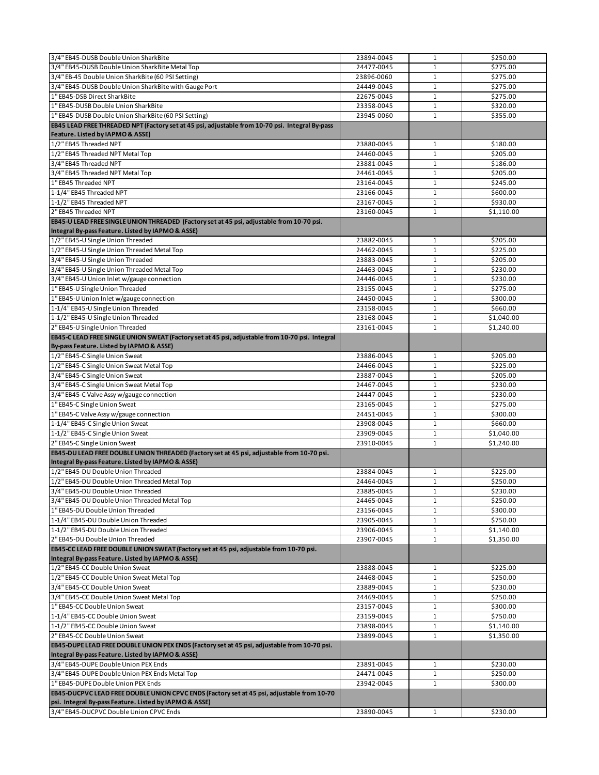| 3/4" EB45-DUSB Double Union SharkBite                                                                                                           | 23894-0045               | $\mathbf 1$                  | \$250.00             |
|-------------------------------------------------------------------------------------------------------------------------------------------------|--------------------------|------------------------------|----------------------|
| 3/4" EB45-DUSB Double Union SharkBite Metal Top                                                                                                 | 24477-0045               | $\mathbf{1}$                 | \$275.00             |
| 3/4" EB-45 Double Union SharkBite (60 PSI Setting)                                                                                              | 23896-0060               | 1                            | \$275.00             |
| 3/4" EB45-DUSB Double Union SharkBite with Gauge Port                                                                                           | 24449-0045               | $\mathbf{1}$                 | \$275.00             |
| 1" EB45-DSB Direct SharkBite                                                                                                                    | 22675-0045               | $\mathbf{1}$                 | \$275.00             |
| 1" EB45-DUSB Double Union SharkBite                                                                                                             | 23358-0045               | $\mathbf{1}$                 | \$320.00             |
| 1" EB45-DUSB Double Union SharkBite (60 PSI Setting)                                                                                            | 23945-0060               | $\mathbf{1}$                 | \$355.00             |
| EB45 LEAD FREE THREADED NPT (Factory set at 45 psi, adjustable from 10-70 psi. Integral By-pass                                                 |                          |                              |                      |
| Feature. Listed by IAPMO & ASSE)                                                                                                                |                          |                              |                      |
| 1/2" EB45 Threaded NPT                                                                                                                          | 23880-0045               | 1                            | \$180.00             |
| 1/2" EB45 Threaded NPT Metal Top                                                                                                                | 24460-0045               | $\mathbf{1}$                 | \$205.00             |
| 3/4" EB45 Threaded NPT                                                                                                                          | 23881-0045               | 1                            | \$186.00             |
| 3/4" EB45 Threaded NPT Metal Top                                                                                                                | 24461-0045               | $\mathbf{1}$                 | \$205.00             |
| 1" EB45 Threaded NPT                                                                                                                            | 23164-0045               | $\mathbf{1}$                 | \$245.00             |
| 1-1/4" EB45 Threaded NPT                                                                                                                        | 23166-0045               | $\mathbf{1}$                 | \$600.00             |
| 1-1/2" EB45 Threaded NPT                                                                                                                        | 23167-0045               | $\mathbf{1}$                 | \$930.00             |
| 2" EB45 Threaded NPT                                                                                                                            | 23160-0045               | 1                            | \$1,110.00           |
| EB45-U LEAD FREE SINGLE UNION THREADED (Factory set at 45 psi, adjustable from 10-70 psi.                                                       |                          |                              |                      |
| Integral By-pass Feature. Listed by IAPMO & ASSE)                                                                                               |                          |                              |                      |
| 1/2" EB45-U Single Union Threaded                                                                                                               | 23882-0045               | 1                            | \$205.00             |
| 1/2" EB45-U Single Union Threaded Metal Top                                                                                                     | 24462-0045               | $\mathbf{1}$                 | \$225.00             |
| 3/4" EB45-U Single Union Threaded                                                                                                               | 23883-0045               | $\mathbf{1}$                 | \$205.00             |
| 3/4" EB45-U Single Union Threaded Metal Top                                                                                                     | 24463-0045               | $\mathbf{1}$                 | \$230.00             |
| 3/4" EB45-U Union Inlet w/gauge connection                                                                                                      | 24446-0045               | $\mathbf 1$                  | \$230.00             |
| 1" EB45-U Single Union Threaded                                                                                                                 | 23155-0045               | $\mathbf{1}$                 | \$275.00             |
| 1" EB45-U Union Inlet w/gauge connection                                                                                                        | 24450-0045               | $\mathbf{1}$                 | \$300.00             |
| 1-1/4" EB45-U Single Union Threaded                                                                                                             | 23158-0045               | $\mathbf{1}$                 | \$660.00             |
| 1-1/2" EB45-U Single Union Threaded                                                                                                             | 23168-0045               | $\mathbf{1}$                 | \$1,040.00           |
| 2" EB45-U Single Union Threaded                                                                                                                 | 23161-0045               | $\mathbf{1}$                 | \$1,240.00           |
| EB45-C LEAD FREE SINGLE UNION SWEAT (Factory set at 45 psi, adjustable from 10-70 psi. Integral                                                 |                          |                              |                      |
| By-pass Feature. Listed by IAPMO & ASSE)                                                                                                        |                          |                              |                      |
| 1/2" EB45-C Single Union Sweat                                                                                                                  | 23886-0045               | $\mathbf{1}$                 | \$205.00             |
| 1/2" EB45-C Single Union Sweat Metal Top                                                                                                        | 24466-0045               | $\mathbf{1}$                 | \$225.00             |
| 3/4" EB45-C Single Union Sweat                                                                                                                  | 23887-0045               | $\mathbf{1}$                 | \$205.00             |
| 3/4" EB45-C Single Union Sweat Metal Top                                                                                                        | 24467-0045               | $\mathbf{1}$                 | \$230.00             |
| 3/4" EB45-C Valve Assy w/gauge connection                                                                                                       | 24447-0045               | $\mathbf{1}$                 | \$230.00             |
| 1" EB45-C Single Union Sweat                                                                                                                    | 23165-0045               | $\mathbf{1}$                 | \$275.00             |
| 1" EB45-C Valve Assy w/gauge connection                                                                                                         | 24451-0045               | $\mathbf 1$                  | \$300.00             |
| 1-1/4" EB45-C Single Union Sweat                                                                                                                | 23908-0045               | $\mathbf{1}$                 | \$660.00             |
| 1-1/2" EB45-C Single Union Sweat                                                                                                                | 23909-0045               | 1                            | \$1,040.00           |
| 2" EB45-C Single Union Sweat                                                                                                                    | 23910-0045               | $\mathbf{1}$                 | \$1,240.00           |
| EB45-DU LEAD FREE DOUBLE UNION THREADED (Factory set at 45 psi, adjustable from 10-70 psi.<br>Integral By-pass Feature. Listed by IAPMO & ASSE) |                          |                              |                      |
| 1/2" EB45-DU Double Union Threaded                                                                                                              | 23884-0045               | 1                            | \$225.00             |
| 1/2" EB45-DU Double Union Threaded Metal Top                                                                                                    | 24464-0045               | 1                            | \$250.00             |
| 3/4" EB45-DU Double Union Threaded                                                                                                              | 23885-0045               | $\mathbf 1$                  | \$230.00             |
| 3/4" EB45-DU Double Union Threaded Metal Top                                                                                                    | 24465-0045               | $\mathbf{1}$                 | \$250.00             |
| 1" EB45-DU Double Union Threaded                                                                                                                | 23156-0045               | 1                            | \$300.00             |
| 1-1/4" EB45-DU Double Union Threaded                                                                                                            | 23905-0045               | $1\,$                        | \$750.00             |
| 1-1/2" EB45-DU Double Union Threaded                                                                                                            | 23906-0045               | $\mathbf{1}$                 | \$1,140.00           |
| 2" EB45-DU Double Union Threaded                                                                                                                | 23907-0045               | $\mathbf{1}$                 | \$1,350.00           |
| EB45-CC LEAD FREE DOUBLE UNION SWEAT (Factory set at 45 psi, adjustable from 10-70 psi.<br>Integral By-pass Feature. Listed by IAPMO & ASSE)    |                          |                              |                      |
| 1/2" EB45-CC Double Union Sweat                                                                                                                 | 23888-0045               | $\mathbf{1}$                 | \$225.00             |
| 1/2" EB45-CC Double Union Sweat Metal Top                                                                                                       | 24468-0045               | $\mathbf{1}$                 | \$250.00             |
| 3/4" EB45-CC Double Union Sweat                                                                                                                 | 23889-0045               | 1                            | \$230.00             |
| 3/4" EB45-CC Double Union Sweat Metal Top                                                                                                       | 24469-0045               | $\mathbf{1}$                 | \$250.00             |
| 1" EB45-CC Double Union Sweat                                                                                                                   | 23157-0045               | $\mathbf{1}$                 | \$300.00             |
| 1-1/4" EB45-CC Double Union Sweat                                                                                                               | 23159-0045               | $\mathbf{1}$                 | \$750.00             |
| 1-1/2" EB45-CC Double Union Sweat                                                                                                               | 23898-0045               | $\mathbf 1$                  | \$1,140.00           |
| 2" EB45-CC Double Union Sweat                                                                                                                   | 23899-0045               | 1                            | \$1,350.00           |
| EB45-DUPE LEAD FREE DOUBLE UNION PEX ENDS (Factory set at 45 psi, adjustable from 10-70 psi.                                                    |                          |                              |                      |
| Integral By-pass Feature. Listed by IAPMO & ASSE)                                                                                               |                          |                              |                      |
| 3/4" EB45-DUPE Double Union PEX Ends                                                                                                            | 23891-0045               | $\mathbf{1}$                 | \$230.00             |
| 3/4" EB45-DUPE Double Union PEX Ends Metal Top<br>1" EB45-DUPE Double Union PEX Ends                                                            | 24471-0045<br>23942-0045 | $\mathbf{1}$<br>$\mathbf{1}$ | \$250.00<br>\$300.00 |
| EB45-DUCPVC LEAD FREE DOUBLE UNION CPVC ENDS (Factory set at 45 psi, adjustable from 10-70                                                      |                          |                              |                      |
| psi. Integral By-pass Feature. Listed by IAPMO & ASSE)                                                                                          |                          |                              |                      |
| 3/4" EB45-DUCPVC Double Union CPVC Ends                                                                                                         | 23890-0045               | 1                            | \$230.00             |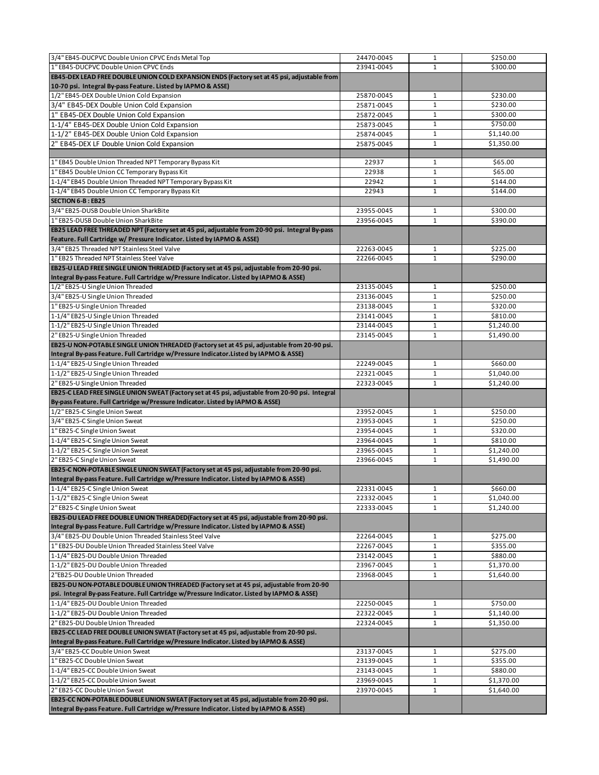| 23941-0045<br>$\mathbf{1}$<br>\$300.00<br>1/2" EB45-DEX Double Union Cold Expansion<br>25870-0045<br>\$230.00<br>$\mathbf{1}$<br>\$230.00<br>$\mathbf{1}$<br>25871-0045<br>$\mathbf 1$<br>\$300.00<br>25872-0045<br>\$750.00<br>1-1/4" EB45-DEX Double Union Cold Expansion<br>$\mathbf{1}$<br>25873-0045<br>$\mathbf{1}$<br>\$1,140.00<br>25874-0045<br>$\mathbf{1}$<br>\$1,350.00<br>25875-0045<br>1" EB45 Double Union Threaded NPT Temporary Bypass Kit<br>\$65.00<br>22937<br>1<br>1" EB45 Double Union CC Temporary Bypass Kit<br>\$65.00<br>22938<br>$\mathbf{1}$<br>1-1/4" EB45 Double Union Threaded NPT Temporary Bypass Kit<br>22942<br>\$144.00<br>$\mathbf{1}$<br>1-1/4" EB45 Double Union CC Temporary Bypass Kit<br>22943<br>$\mathbf{1}$<br>\$144.00<br><b>SECTION 6-B: EB25</b><br>3/4" EB25-DUSB Double Union SharkBite<br>23955-0045<br>\$300.00<br>$\mathbf{1}$<br>1" EB25-DUSB Double Union SharkBite<br>$\mathbf{1}$<br>23956-0045<br>\$390.00<br>EB25 LEAD FREE THREADED NPT (Factory set at 45 psi, adjustable from 20-90 psi. Integral By-pass<br>3/4" EB25 Threaded NPT Stainless Steel Valve<br>\$225.00<br>22263-0045<br>$\mathbf{1}$<br>\$290.00<br>1" EB25 Threaded NPT Stainless Steel Valve<br>22266-0045<br>$\mathbf{1}$<br>EB25-U LEAD FREE SINGLE UNION THREADED (Factory set at 45 psi, adjustable from 20-90 psi.<br>Integral By-pass Feature. Full Cartridge w/Pressure Indicator. Listed by IAPMO & ASSE)<br>\$250.00<br>1/2" EB25-U Single Union Threaded<br>23135-0045<br>$\mathbf{1}$<br>3/4" EB25-U Single Union Threaded<br>$\mathbf{1}$<br>\$250.00<br>23136-0045<br>1" EB25-U Single Union Threaded<br>23138-0045<br>$\mathbf{1}$<br>\$320.00<br>1-1/4" EB25-U Single Union Threaded<br>23141-0045<br>$\mathbf{1}$<br>\$810.00<br>1-1/2" EB25-U Single Union Threaded<br>$\mathbf 1$<br>23144-0045<br>\$1,240.00<br>2" EB25-U Single Union Threaded<br>23145-0045<br>$\mathbf{1}$<br>\$1,490.00<br>EB25-U NON-POTABLE SINGLE UNION THREADED (Factory set at 45 psi, adjustable from 20-90 psi.<br>\$660.00<br>22249-0045<br>1<br>1-1/2" EB25-U Single Union Threaded<br>$\mathbf{1}$<br>22321-0045<br>\$1,040.00<br>2" EB25-U Single Union Threaded<br>\$1,240.00<br>22323-0045<br>$\mathbf{1}$<br>EB25-C LEAD FREE SINGLE UNION SWEAT (Factory set at 45 psi, adjustable from 20-90 psi. Integral<br>By-pass Feature. Full Cartridge w/Pressure Indicator. Listed by IAPMO & ASSE)<br>\$250.00<br>23952-0045<br>$\mathbf{1}$<br>23953-0045<br>$\mathbf{1}$<br>\$250.00<br>$\mathbf{1}$<br>\$320.00<br>23954-0045<br>23964-0045<br>$\mathbf{1}$<br>\$810.00<br>$\mathbf{1}$<br>\$1,240.00<br>23965-0045<br>23966-0045<br>\$1,490.00<br>$\mathbf{1}$<br>22331-0045<br>\$660.00<br>1<br>22332-0045<br>$\mathbf 1$<br>\$1,040.00<br>22333-0045<br>$\mathbf{1}$<br>\$1,240.00<br>22264-0045<br>\$275.00<br>$\mathbf{1}$<br>\$355.00<br>22267-0045<br>1<br>$\mathbf 1$<br>23142-0045<br>\$880.00<br>23967-0045<br>$\mathbf{1}$<br>\$1,370.00<br>23968-0045<br>\$1,640.00<br>1<br>22250-0045<br>$\mathbf{1}$<br>\$750.00<br>22322-0045<br>$1\,$<br>\$1,140.00<br>\$1,350.00<br>22324-0045<br>1<br>\$275.00<br>23137-0045<br>1<br>23139-0045<br>$\mathbf{1}$<br>\$355.00<br>23143-0045<br>\$880.00<br>$\mathbf{1}$<br>23969-0045<br>$\mathbf{1}$<br>\$1,370.00<br>$\mathbf{1}$<br>23970-0045<br>\$1,640.00<br>EB25-CC NON-POTABLE DOUBLE UNION SWEAT (Factory set at 45 psi, adjustable from 20-90 psi.<br>Integral By-pass Feature. Full Cartridge w/Pressure Indicator. Listed by IAPMO & ASSE) | 3/4" EB45-DUCPVC Double Union CPVC Ends Metal Top                                                                                                                                      | 24470-0045 | $\mathbf{1}$ | \$250.00 |
|------------------------------------------------------------------------------------------------------------------------------------------------------------------------------------------------------------------------------------------------------------------------------------------------------------------------------------------------------------------------------------------------------------------------------------------------------------------------------------------------------------------------------------------------------------------------------------------------------------------------------------------------------------------------------------------------------------------------------------------------------------------------------------------------------------------------------------------------------------------------------------------------------------------------------------------------------------------------------------------------------------------------------------------------------------------------------------------------------------------------------------------------------------------------------------------------------------------------------------------------------------------------------------------------------------------------------------------------------------------------------------------------------------------------------------------------------------------------------------------------------------------------------------------------------------------------------------------------------------------------------------------------------------------------------------------------------------------------------------------------------------------------------------------------------------------------------------------------------------------------------------------------------------------------------------------------------------------------------------------------------------------------------------------------------------------------------------------------------------------------------------------------------------------------------------------------------------------------------------------------------------------------------------------------------------------------------------------------------------------------------------------------------------------------------------------------------------------------------------------------------------------------------------------------------------------------------------------------------------------------------------------------------------------------------------------------------------------------------------------------------------------------------------------------------------------------------------------------------------------------------------------------------------------------------------------------------------------------------------------------------------------------------------------------------------------------------------------------------------------------------------------------------------------------------------------------------------------------------------------------------------------------------------------------------------------------------------------------------------------------------------------------------------------------------------------------------------------------------------------------------------------------------------------|----------------------------------------------------------------------------------------------------------------------------------------------------------------------------------------|------------|--------------|----------|
|                                                                                                                                                                                                                                                                                                                                                                                                                                                                                                                                                                                                                                                                                                                                                                                                                                                                                                                                                                                                                                                                                                                                                                                                                                                                                                                                                                                                                                                                                                                                                                                                                                                                                                                                                                                                                                                                                                                                                                                                                                                                                                                                                                                                                                                                                                                                                                                                                                                                                                                                                                                                                                                                                                                                                                                                                                                                                                                                                                                                                                                                                                                                                                                                                                                                                                                                                                                                                                                                                                                                          | 1" EB45-DUCPVC Double Union CPVC Ends                                                                                                                                                  |            |              |          |
|                                                                                                                                                                                                                                                                                                                                                                                                                                                                                                                                                                                                                                                                                                                                                                                                                                                                                                                                                                                                                                                                                                                                                                                                                                                                                                                                                                                                                                                                                                                                                                                                                                                                                                                                                                                                                                                                                                                                                                                                                                                                                                                                                                                                                                                                                                                                                                                                                                                                                                                                                                                                                                                                                                                                                                                                                                                                                                                                                                                                                                                                                                                                                                                                                                                                                                                                                                                                                                                                                                                                          | EB45-DEX LEAD FREE DOUBLE UNION COLD EXPANSION ENDS (Factory set at 45 psi, adjustable from                                                                                            |            |              |          |
|                                                                                                                                                                                                                                                                                                                                                                                                                                                                                                                                                                                                                                                                                                                                                                                                                                                                                                                                                                                                                                                                                                                                                                                                                                                                                                                                                                                                                                                                                                                                                                                                                                                                                                                                                                                                                                                                                                                                                                                                                                                                                                                                                                                                                                                                                                                                                                                                                                                                                                                                                                                                                                                                                                                                                                                                                                                                                                                                                                                                                                                                                                                                                                                                                                                                                                                                                                                                                                                                                                                                          | 10-70 psi. Integral By-pass Feature. Listed by IAPMO & ASSE)                                                                                                                           |            |              |          |
|                                                                                                                                                                                                                                                                                                                                                                                                                                                                                                                                                                                                                                                                                                                                                                                                                                                                                                                                                                                                                                                                                                                                                                                                                                                                                                                                                                                                                                                                                                                                                                                                                                                                                                                                                                                                                                                                                                                                                                                                                                                                                                                                                                                                                                                                                                                                                                                                                                                                                                                                                                                                                                                                                                                                                                                                                                                                                                                                                                                                                                                                                                                                                                                                                                                                                                                                                                                                                                                                                                                                          |                                                                                                                                                                                        |            |              |          |
|                                                                                                                                                                                                                                                                                                                                                                                                                                                                                                                                                                                                                                                                                                                                                                                                                                                                                                                                                                                                                                                                                                                                                                                                                                                                                                                                                                                                                                                                                                                                                                                                                                                                                                                                                                                                                                                                                                                                                                                                                                                                                                                                                                                                                                                                                                                                                                                                                                                                                                                                                                                                                                                                                                                                                                                                                                                                                                                                                                                                                                                                                                                                                                                                                                                                                                                                                                                                                                                                                                                                          | 3/4" EB45-DEX Double Union Cold Expansion                                                                                                                                              |            |              |          |
|                                                                                                                                                                                                                                                                                                                                                                                                                                                                                                                                                                                                                                                                                                                                                                                                                                                                                                                                                                                                                                                                                                                                                                                                                                                                                                                                                                                                                                                                                                                                                                                                                                                                                                                                                                                                                                                                                                                                                                                                                                                                                                                                                                                                                                                                                                                                                                                                                                                                                                                                                                                                                                                                                                                                                                                                                                                                                                                                                                                                                                                                                                                                                                                                                                                                                                                                                                                                                                                                                                                                          | 1" EB45-DEX Double Union Cold Expansion                                                                                                                                                |            |              |          |
|                                                                                                                                                                                                                                                                                                                                                                                                                                                                                                                                                                                                                                                                                                                                                                                                                                                                                                                                                                                                                                                                                                                                                                                                                                                                                                                                                                                                                                                                                                                                                                                                                                                                                                                                                                                                                                                                                                                                                                                                                                                                                                                                                                                                                                                                                                                                                                                                                                                                                                                                                                                                                                                                                                                                                                                                                                                                                                                                                                                                                                                                                                                                                                                                                                                                                                                                                                                                                                                                                                                                          |                                                                                                                                                                                        |            |              |          |
|                                                                                                                                                                                                                                                                                                                                                                                                                                                                                                                                                                                                                                                                                                                                                                                                                                                                                                                                                                                                                                                                                                                                                                                                                                                                                                                                                                                                                                                                                                                                                                                                                                                                                                                                                                                                                                                                                                                                                                                                                                                                                                                                                                                                                                                                                                                                                                                                                                                                                                                                                                                                                                                                                                                                                                                                                                                                                                                                                                                                                                                                                                                                                                                                                                                                                                                                                                                                                                                                                                                                          | 1-1/2" EB45-DEX Double Union Cold Expansion                                                                                                                                            |            |              |          |
|                                                                                                                                                                                                                                                                                                                                                                                                                                                                                                                                                                                                                                                                                                                                                                                                                                                                                                                                                                                                                                                                                                                                                                                                                                                                                                                                                                                                                                                                                                                                                                                                                                                                                                                                                                                                                                                                                                                                                                                                                                                                                                                                                                                                                                                                                                                                                                                                                                                                                                                                                                                                                                                                                                                                                                                                                                                                                                                                                                                                                                                                                                                                                                                                                                                                                                                                                                                                                                                                                                                                          | 2" EB45-DEX LF Double Union Cold Expansion                                                                                                                                             |            |              |          |
|                                                                                                                                                                                                                                                                                                                                                                                                                                                                                                                                                                                                                                                                                                                                                                                                                                                                                                                                                                                                                                                                                                                                                                                                                                                                                                                                                                                                                                                                                                                                                                                                                                                                                                                                                                                                                                                                                                                                                                                                                                                                                                                                                                                                                                                                                                                                                                                                                                                                                                                                                                                                                                                                                                                                                                                                                                                                                                                                                                                                                                                                                                                                                                                                                                                                                                                                                                                                                                                                                                                                          |                                                                                                                                                                                        |            |              |          |
|                                                                                                                                                                                                                                                                                                                                                                                                                                                                                                                                                                                                                                                                                                                                                                                                                                                                                                                                                                                                                                                                                                                                                                                                                                                                                                                                                                                                                                                                                                                                                                                                                                                                                                                                                                                                                                                                                                                                                                                                                                                                                                                                                                                                                                                                                                                                                                                                                                                                                                                                                                                                                                                                                                                                                                                                                                                                                                                                                                                                                                                                                                                                                                                                                                                                                                                                                                                                                                                                                                                                          |                                                                                                                                                                                        |            |              |          |
|                                                                                                                                                                                                                                                                                                                                                                                                                                                                                                                                                                                                                                                                                                                                                                                                                                                                                                                                                                                                                                                                                                                                                                                                                                                                                                                                                                                                                                                                                                                                                                                                                                                                                                                                                                                                                                                                                                                                                                                                                                                                                                                                                                                                                                                                                                                                                                                                                                                                                                                                                                                                                                                                                                                                                                                                                                                                                                                                                                                                                                                                                                                                                                                                                                                                                                                                                                                                                                                                                                                                          |                                                                                                                                                                                        |            |              |          |
|                                                                                                                                                                                                                                                                                                                                                                                                                                                                                                                                                                                                                                                                                                                                                                                                                                                                                                                                                                                                                                                                                                                                                                                                                                                                                                                                                                                                                                                                                                                                                                                                                                                                                                                                                                                                                                                                                                                                                                                                                                                                                                                                                                                                                                                                                                                                                                                                                                                                                                                                                                                                                                                                                                                                                                                                                                                                                                                                                                                                                                                                                                                                                                                                                                                                                                                                                                                                                                                                                                                                          |                                                                                                                                                                                        |            |              |          |
|                                                                                                                                                                                                                                                                                                                                                                                                                                                                                                                                                                                                                                                                                                                                                                                                                                                                                                                                                                                                                                                                                                                                                                                                                                                                                                                                                                                                                                                                                                                                                                                                                                                                                                                                                                                                                                                                                                                                                                                                                                                                                                                                                                                                                                                                                                                                                                                                                                                                                                                                                                                                                                                                                                                                                                                                                                                                                                                                                                                                                                                                                                                                                                                                                                                                                                                                                                                                                                                                                                                                          |                                                                                                                                                                                        |            |              |          |
|                                                                                                                                                                                                                                                                                                                                                                                                                                                                                                                                                                                                                                                                                                                                                                                                                                                                                                                                                                                                                                                                                                                                                                                                                                                                                                                                                                                                                                                                                                                                                                                                                                                                                                                                                                                                                                                                                                                                                                                                                                                                                                                                                                                                                                                                                                                                                                                                                                                                                                                                                                                                                                                                                                                                                                                                                                                                                                                                                                                                                                                                                                                                                                                                                                                                                                                                                                                                                                                                                                                                          |                                                                                                                                                                                        |            |              |          |
|                                                                                                                                                                                                                                                                                                                                                                                                                                                                                                                                                                                                                                                                                                                                                                                                                                                                                                                                                                                                                                                                                                                                                                                                                                                                                                                                                                                                                                                                                                                                                                                                                                                                                                                                                                                                                                                                                                                                                                                                                                                                                                                                                                                                                                                                                                                                                                                                                                                                                                                                                                                                                                                                                                                                                                                                                                                                                                                                                                                                                                                                                                                                                                                                                                                                                                                                                                                                                                                                                                                                          |                                                                                                                                                                                        |            |              |          |
|                                                                                                                                                                                                                                                                                                                                                                                                                                                                                                                                                                                                                                                                                                                                                                                                                                                                                                                                                                                                                                                                                                                                                                                                                                                                                                                                                                                                                                                                                                                                                                                                                                                                                                                                                                                                                                                                                                                                                                                                                                                                                                                                                                                                                                                                                                                                                                                                                                                                                                                                                                                                                                                                                                                                                                                                                                                                                                                                                                                                                                                                                                                                                                                                                                                                                                                                                                                                                                                                                                                                          |                                                                                                                                                                                        |            |              |          |
|                                                                                                                                                                                                                                                                                                                                                                                                                                                                                                                                                                                                                                                                                                                                                                                                                                                                                                                                                                                                                                                                                                                                                                                                                                                                                                                                                                                                                                                                                                                                                                                                                                                                                                                                                                                                                                                                                                                                                                                                                                                                                                                                                                                                                                                                                                                                                                                                                                                                                                                                                                                                                                                                                                                                                                                                                                                                                                                                                                                                                                                                                                                                                                                                                                                                                                                                                                                                                                                                                                                                          | Feature. Full Cartridge w/ Pressure Indicator. Listed by IAPMO & ASSE)                                                                                                                 |            |              |          |
|                                                                                                                                                                                                                                                                                                                                                                                                                                                                                                                                                                                                                                                                                                                                                                                                                                                                                                                                                                                                                                                                                                                                                                                                                                                                                                                                                                                                                                                                                                                                                                                                                                                                                                                                                                                                                                                                                                                                                                                                                                                                                                                                                                                                                                                                                                                                                                                                                                                                                                                                                                                                                                                                                                                                                                                                                                                                                                                                                                                                                                                                                                                                                                                                                                                                                                                                                                                                                                                                                                                                          |                                                                                                                                                                                        |            |              |          |
|                                                                                                                                                                                                                                                                                                                                                                                                                                                                                                                                                                                                                                                                                                                                                                                                                                                                                                                                                                                                                                                                                                                                                                                                                                                                                                                                                                                                                                                                                                                                                                                                                                                                                                                                                                                                                                                                                                                                                                                                                                                                                                                                                                                                                                                                                                                                                                                                                                                                                                                                                                                                                                                                                                                                                                                                                                                                                                                                                                                                                                                                                                                                                                                                                                                                                                                                                                                                                                                                                                                                          |                                                                                                                                                                                        |            |              |          |
|                                                                                                                                                                                                                                                                                                                                                                                                                                                                                                                                                                                                                                                                                                                                                                                                                                                                                                                                                                                                                                                                                                                                                                                                                                                                                                                                                                                                                                                                                                                                                                                                                                                                                                                                                                                                                                                                                                                                                                                                                                                                                                                                                                                                                                                                                                                                                                                                                                                                                                                                                                                                                                                                                                                                                                                                                                                                                                                                                                                                                                                                                                                                                                                                                                                                                                                                                                                                                                                                                                                                          |                                                                                                                                                                                        |            |              |          |
|                                                                                                                                                                                                                                                                                                                                                                                                                                                                                                                                                                                                                                                                                                                                                                                                                                                                                                                                                                                                                                                                                                                                                                                                                                                                                                                                                                                                                                                                                                                                                                                                                                                                                                                                                                                                                                                                                                                                                                                                                                                                                                                                                                                                                                                                                                                                                                                                                                                                                                                                                                                                                                                                                                                                                                                                                                                                                                                                                                                                                                                                                                                                                                                                                                                                                                                                                                                                                                                                                                                                          |                                                                                                                                                                                        |            |              |          |
|                                                                                                                                                                                                                                                                                                                                                                                                                                                                                                                                                                                                                                                                                                                                                                                                                                                                                                                                                                                                                                                                                                                                                                                                                                                                                                                                                                                                                                                                                                                                                                                                                                                                                                                                                                                                                                                                                                                                                                                                                                                                                                                                                                                                                                                                                                                                                                                                                                                                                                                                                                                                                                                                                                                                                                                                                                                                                                                                                                                                                                                                                                                                                                                                                                                                                                                                                                                                                                                                                                                                          |                                                                                                                                                                                        |            |              |          |
|                                                                                                                                                                                                                                                                                                                                                                                                                                                                                                                                                                                                                                                                                                                                                                                                                                                                                                                                                                                                                                                                                                                                                                                                                                                                                                                                                                                                                                                                                                                                                                                                                                                                                                                                                                                                                                                                                                                                                                                                                                                                                                                                                                                                                                                                                                                                                                                                                                                                                                                                                                                                                                                                                                                                                                                                                                                                                                                                                                                                                                                                                                                                                                                                                                                                                                                                                                                                                                                                                                                                          |                                                                                                                                                                                        |            |              |          |
|                                                                                                                                                                                                                                                                                                                                                                                                                                                                                                                                                                                                                                                                                                                                                                                                                                                                                                                                                                                                                                                                                                                                                                                                                                                                                                                                                                                                                                                                                                                                                                                                                                                                                                                                                                                                                                                                                                                                                                                                                                                                                                                                                                                                                                                                                                                                                                                                                                                                                                                                                                                                                                                                                                                                                                                                                                                                                                                                                                                                                                                                                                                                                                                                                                                                                                                                                                                                                                                                                                                                          |                                                                                                                                                                                        |            |              |          |
|                                                                                                                                                                                                                                                                                                                                                                                                                                                                                                                                                                                                                                                                                                                                                                                                                                                                                                                                                                                                                                                                                                                                                                                                                                                                                                                                                                                                                                                                                                                                                                                                                                                                                                                                                                                                                                                                                                                                                                                                                                                                                                                                                                                                                                                                                                                                                                                                                                                                                                                                                                                                                                                                                                                                                                                                                                                                                                                                                                                                                                                                                                                                                                                                                                                                                                                                                                                                                                                                                                                                          |                                                                                                                                                                                        |            |              |          |
|                                                                                                                                                                                                                                                                                                                                                                                                                                                                                                                                                                                                                                                                                                                                                                                                                                                                                                                                                                                                                                                                                                                                                                                                                                                                                                                                                                                                                                                                                                                                                                                                                                                                                                                                                                                                                                                                                                                                                                                                                                                                                                                                                                                                                                                                                                                                                                                                                                                                                                                                                                                                                                                                                                                                                                                                                                                                                                                                                                                                                                                                                                                                                                                                                                                                                                                                                                                                                                                                                                                                          |                                                                                                                                                                                        |            |              |          |
|                                                                                                                                                                                                                                                                                                                                                                                                                                                                                                                                                                                                                                                                                                                                                                                                                                                                                                                                                                                                                                                                                                                                                                                                                                                                                                                                                                                                                                                                                                                                                                                                                                                                                                                                                                                                                                                                                                                                                                                                                                                                                                                                                                                                                                                                                                                                                                                                                                                                                                                                                                                                                                                                                                                                                                                                                                                                                                                                                                                                                                                                                                                                                                                                                                                                                                                                                                                                                                                                                                                                          |                                                                                                                                                                                        |            |              |          |
|                                                                                                                                                                                                                                                                                                                                                                                                                                                                                                                                                                                                                                                                                                                                                                                                                                                                                                                                                                                                                                                                                                                                                                                                                                                                                                                                                                                                                                                                                                                                                                                                                                                                                                                                                                                                                                                                                                                                                                                                                                                                                                                                                                                                                                                                                                                                                                                                                                                                                                                                                                                                                                                                                                                                                                                                                                                                                                                                                                                                                                                                                                                                                                                                                                                                                                                                                                                                                                                                                                                                          | Integral By-pass Feature. Full Cartridge w/Pressure Indicator.Listed by IAPMO & ASSE)                                                                                                  |            |              |          |
|                                                                                                                                                                                                                                                                                                                                                                                                                                                                                                                                                                                                                                                                                                                                                                                                                                                                                                                                                                                                                                                                                                                                                                                                                                                                                                                                                                                                                                                                                                                                                                                                                                                                                                                                                                                                                                                                                                                                                                                                                                                                                                                                                                                                                                                                                                                                                                                                                                                                                                                                                                                                                                                                                                                                                                                                                                                                                                                                                                                                                                                                                                                                                                                                                                                                                                                                                                                                                                                                                                                                          | 1-1/4" EB25-U Single Union Threaded                                                                                                                                                    |            |              |          |
|                                                                                                                                                                                                                                                                                                                                                                                                                                                                                                                                                                                                                                                                                                                                                                                                                                                                                                                                                                                                                                                                                                                                                                                                                                                                                                                                                                                                                                                                                                                                                                                                                                                                                                                                                                                                                                                                                                                                                                                                                                                                                                                                                                                                                                                                                                                                                                                                                                                                                                                                                                                                                                                                                                                                                                                                                                                                                                                                                                                                                                                                                                                                                                                                                                                                                                                                                                                                                                                                                                                                          |                                                                                                                                                                                        |            |              |          |
|                                                                                                                                                                                                                                                                                                                                                                                                                                                                                                                                                                                                                                                                                                                                                                                                                                                                                                                                                                                                                                                                                                                                                                                                                                                                                                                                                                                                                                                                                                                                                                                                                                                                                                                                                                                                                                                                                                                                                                                                                                                                                                                                                                                                                                                                                                                                                                                                                                                                                                                                                                                                                                                                                                                                                                                                                                                                                                                                                                                                                                                                                                                                                                                                                                                                                                                                                                                                                                                                                                                                          |                                                                                                                                                                                        |            |              |          |
|                                                                                                                                                                                                                                                                                                                                                                                                                                                                                                                                                                                                                                                                                                                                                                                                                                                                                                                                                                                                                                                                                                                                                                                                                                                                                                                                                                                                                                                                                                                                                                                                                                                                                                                                                                                                                                                                                                                                                                                                                                                                                                                                                                                                                                                                                                                                                                                                                                                                                                                                                                                                                                                                                                                                                                                                                                                                                                                                                                                                                                                                                                                                                                                                                                                                                                                                                                                                                                                                                                                                          |                                                                                                                                                                                        |            |              |          |
|                                                                                                                                                                                                                                                                                                                                                                                                                                                                                                                                                                                                                                                                                                                                                                                                                                                                                                                                                                                                                                                                                                                                                                                                                                                                                                                                                                                                                                                                                                                                                                                                                                                                                                                                                                                                                                                                                                                                                                                                                                                                                                                                                                                                                                                                                                                                                                                                                                                                                                                                                                                                                                                                                                                                                                                                                                                                                                                                                                                                                                                                                                                                                                                                                                                                                                                                                                                                                                                                                                                                          | 1/2" EB25-C Single Union Sweat                                                                                                                                                         |            |              |          |
|                                                                                                                                                                                                                                                                                                                                                                                                                                                                                                                                                                                                                                                                                                                                                                                                                                                                                                                                                                                                                                                                                                                                                                                                                                                                                                                                                                                                                                                                                                                                                                                                                                                                                                                                                                                                                                                                                                                                                                                                                                                                                                                                                                                                                                                                                                                                                                                                                                                                                                                                                                                                                                                                                                                                                                                                                                                                                                                                                                                                                                                                                                                                                                                                                                                                                                                                                                                                                                                                                                                                          | 3/4" EB25-C Single Union Sweat                                                                                                                                                         |            |              |          |
|                                                                                                                                                                                                                                                                                                                                                                                                                                                                                                                                                                                                                                                                                                                                                                                                                                                                                                                                                                                                                                                                                                                                                                                                                                                                                                                                                                                                                                                                                                                                                                                                                                                                                                                                                                                                                                                                                                                                                                                                                                                                                                                                                                                                                                                                                                                                                                                                                                                                                                                                                                                                                                                                                                                                                                                                                                                                                                                                                                                                                                                                                                                                                                                                                                                                                                                                                                                                                                                                                                                                          |                                                                                                                                                                                        |            |              |          |
|                                                                                                                                                                                                                                                                                                                                                                                                                                                                                                                                                                                                                                                                                                                                                                                                                                                                                                                                                                                                                                                                                                                                                                                                                                                                                                                                                                                                                                                                                                                                                                                                                                                                                                                                                                                                                                                                                                                                                                                                                                                                                                                                                                                                                                                                                                                                                                                                                                                                                                                                                                                                                                                                                                                                                                                                                                                                                                                                                                                                                                                                                                                                                                                                                                                                                                                                                                                                                                                                                                                                          |                                                                                                                                                                                        |            |              |          |
|                                                                                                                                                                                                                                                                                                                                                                                                                                                                                                                                                                                                                                                                                                                                                                                                                                                                                                                                                                                                                                                                                                                                                                                                                                                                                                                                                                                                                                                                                                                                                                                                                                                                                                                                                                                                                                                                                                                                                                                                                                                                                                                                                                                                                                                                                                                                                                                                                                                                                                                                                                                                                                                                                                                                                                                                                                                                                                                                                                                                                                                                                                                                                                                                                                                                                                                                                                                                                                                                                                                                          | 1" EB25-C Single Union Sweat<br>1-1/4" EB25-C Single Union Sweat                                                                                                                       |            |              |          |
|                                                                                                                                                                                                                                                                                                                                                                                                                                                                                                                                                                                                                                                                                                                                                                                                                                                                                                                                                                                                                                                                                                                                                                                                                                                                                                                                                                                                                                                                                                                                                                                                                                                                                                                                                                                                                                                                                                                                                                                                                                                                                                                                                                                                                                                                                                                                                                                                                                                                                                                                                                                                                                                                                                                                                                                                                                                                                                                                                                                                                                                                                                                                                                                                                                                                                                                                                                                                                                                                                                                                          | 1-1/2" EB25-C Single Union Sweat                                                                                                                                                       |            |              |          |
|                                                                                                                                                                                                                                                                                                                                                                                                                                                                                                                                                                                                                                                                                                                                                                                                                                                                                                                                                                                                                                                                                                                                                                                                                                                                                                                                                                                                                                                                                                                                                                                                                                                                                                                                                                                                                                                                                                                                                                                                                                                                                                                                                                                                                                                                                                                                                                                                                                                                                                                                                                                                                                                                                                                                                                                                                                                                                                                                                                                                                                                                                                                                                                                                                                                                                                                                                                                                                                                                                                                                          |                                                                                                                                                                                        |            |              |          |
|                                                                                                                                                                                                                                                                                                                                                                                                                                                                                                                                                                                                                                                                                                                                                                                                                                                                                                                                                                                                                                                                                                                                                                                                                                                                                                                                                                                                                                                                                                                                                                                                                                                                                                                                                                                                                                                                                                                                                                                                                                                                                                                                                                                                                                                                                                                                                                                                                                                                                                                                                                                                                                                                                                                                                                                                                                                                                                                                                                                                                                                                                                                                                                                                                                                                                                                                                                                                                                                                                                                                          | EB25-C NON-POTABLE SINGLE UNION SWEAT (Factory set at 45 psi, adjustable from 20-90 psi.                                                                                               |            |              |          |
|                                                                                                                                                                                                                                                                                                                                                                                                                                                                                                                                                                                                                                                                                                                                                                                                                                                                                                                                                                                                                                                                                                                                                                                                                                                                                                                                                                                                                                                                                                                                                                                                                                                                                                                                                                                                                                                                                                                                                                                                                                                                                                                                                                                                                                                                                                                                                                                                                                                                                                                                                                                                                                                                                                                                                                                                                                                                                                                                                                                                                                                                                                                                                                                                                                                                                                                                                                                                                                                                                                                                          | Integral By-pass Feature. Full Cartridge w/Pressure Indicator. Listed by IAPMO & ASSE)                                                                                                 |            |              |          |
|                                                                                                                                                                                                                                                                                                                                                                                                                                                                                                                                                                                                                                                                                                                                                                                                                                                                                                                                                                                                                                                                                                                                                                                                                                                                                                                                                                                                                                                                                                                                                                                                                                                                                                                                                                                                                                                                                                                                                                                                                                                                                                                                                                                                                                                                                                                                                                                                                                                                                                                                                                                                                                                                                                                                                                                                                                                                                                                                                                                                                                                                                                                                                                                                                                                                                                                                                                                                                                                                                                                                          | 2" EB25-C Single Union Sweat<br>1-1/4" EB25-C Single Union Sweat                                                                                                                       |            |              |          |
|                                                                                                                                                                                                                                                                                                                                                                                                                                                                                                                                                                                                                                                                                                                                                                                                                                                                                                                                                                                                                                                                                                                                                                                                                                                                                                                                                                                                                                                                                                                                                                                                                                                                                                                                                                                                                                                                                                                                                                                                                                                                                                                                                                                                                                                                                                                                                                                                                                                                                                                                                                                                                                                                                                                                                                                                                                                                                                                                                                                                                                                                                                                                                                                                                                                                                                                                                                                                                                                                                                                                          |                                                                                                                                                                                        |            |              |          |
|                                                                                                                                                                                                                                                                                                                                                                                                                                                                                                                                                                                                                                                                                                                                                                                                                                                                                                                                                                                                                                                                                                                                                                                                                                                                                                                                                                                                                                                                                                                                                                                                                                                                                                                                                                                                                                                                                                                                                                                                                                                                                                                                                                                                                                                                                                                                                                                                                                                                                                                                                                                                                                                                                                                                                                                                                                                                                                                                                                                                                                                                                                                                                                                                                                                                                                                                                                                                                                                                                                                                          |                                                                                                                                                                                        |            |              |          |
|                                                                                                                                                                                                                                                                                                                                                                                                                                                                                                                                                                                                                                                                                                                                                                                                                                                                                                                                                                                                                                                                                                                                                                                                                                                                                                                                                                                                                                                                                                                                                                                                                                                                                                                                                                                                                                                                                                                                                                                                                                                                                                                                                                                                                                                                                                                                                                                                                                                                                                                                                                                                                                                                                                                                                                                                                                                                                                                                                                                                                                                                                                                                                                                                                                                                                                                                                                                                                                                                                                                                          | EB25-DU LEAD FREE DOUBLE UNION THREADED (Factory set at 45 psi, adjustable from 20-90 psi.<br>Integral By-pass Feature. Full Cartridge w/Pressure Indicator. Listed by IAPMO & ASSE)   |            |              |          |
|                                                                                                                                                                                                                                                                                                                                                                                                                                                                                                                                                                                                                                                                                                                                                                                                                                                                                                                                                                                                                                                                                                                                                                                                                                                                                                                                                                                                                                                                                                                                                                                                                                                                                                                                                                                                                                                                                                                                                                                                                                                                                                                                                                                                                                                                                                                                                                                                                                                                                                                                                                                                                                                                                                                                                                                                                                                                                                                                                                                                                                                                                                                                                                                                                                                                                                                                                                                                                                                                                                                                          | 3/4" EB25-DU Double Union Threaded Stainless Steel Valve                                                                                                                               |            |              |          |
|                                                                                                                                                                                                                                                                                                                                                                                                                                                                                                                                                                                                                                                                                                                                                                                                                                                                                                                                                                                                                                                                                                                                                                                                                                                                                                                                                                                                                                                                                                                                                                                                                                                                                                                                                                                                                                                                                                                                                                                                                                                                                                                                                                                                                                                                                                                                                                                                                                                                                                                                                                                                                                                                                                                                                                                                                                                                                                                                                                                                                                                                                                                                                                                                                                                                                                                                                                                                                                                                                                                                          | 1-1/2" EB25-C Single Union Sweat<br>2" EB25-C Single Union Sweat<br>1" EB25-DU Double Union Threaded Stainless Steel Valve                                                             |            |              |          |
|                                                                                                                                                                                                                                                                                                                                                                                                                                                                                                                                                                                                                                                                                                                                                                                                                                                                                                                                                                                                                                                                                                                                                                                                                                                                                                                                                                                                                                                                                                                                                                                                                                                                                                                                                                                                                                                                                                                                                                                                                                                                                                                                                                                                                                                                                                                                                                                                                                                                                                                                                                                                                                                                                                                                                                                                                                                                                                                                                                                                                                                                                                                                                                                                                                                                                                                                                                                                                                                                                                                                          | 1-1/4" EB25-DU Double Union Threaded                                                                                                                                                   |            |              |          |
|                                                                                                                                                                                                                                                                                                                                                                                                                                                                                                                                                                                                                                                                                                                                                                                                                                                                                                                                                                                                                                                                                                                                                                                                                                                                                                                                                                                                                                                                                                                                                                                                                                                                                                                                                                                                                                                                                                                                                                                                                                                                                                                                                                                                                                                                                                                                                                                                                                                                                                                                                                                                                                                                                                                                                                                                                                                                                                                                                                                                                                                                                                                                                                                                                                                                                                                                                                                                                                                                                                                                          | 1-1/2" EB25-DU Double Union Threaded                                                                                                                                                   |            |              |          |
|                                                                                                                                                                                                                                                                                                                                                                                                                                                                                                                                                                                                                                                                                                                                                                                                                                                                                                                                                                                                                                                                                                                                                                                                                                                                                                                                                                                                                                                                                                                                                                                                                                                                                                                                                                                                                                                                                                                                                                                                                                                                                                                                                                                                                                                                                                                                                                                                                                                                                                                                                                                                                                                                                                                                                                                                                                                                                                                                                                                                                                                                                                                                                                                                                                                                                                                                                                                                                                                                                                                                          | 2"EB25-DU Double Union Threaded                                                                                                                                                        |            |              |          |
|                                                                                                                                                                                                                                                                                                                                                                                                                                                                                                                                                                                                                                                                                                                                                                                                                                                                                                                                                                                                                                                                                                                                                                                                                                                                                                                                                                                                                                                                                                                                                                                                                                                                                                                                                                                                                                                                                                                                                                                                                                                                                                                                                                                                                                                                                                                                                                                                                                                                                                                                                                                                                                                                                                                                                                                                                                                                                                                                                                                                                                                                                                                                                                                                                                                                                                                                                                                                                                                                                                                                          | EB25-DU NON-POTABLE DOUBLE UNION THREADED (Factory set at 45 psi, adjustable from 20-90<br>psi. Integral By-pass Feature. Full Cartridge w/Pressure Indicator. Listed by IAPMO & ASSE) |            |              |          |
|                                                                                                                                                                                                                                                                                                                                                                                                                                                                                                                                                                                                                                                                                                                                                                                                                                                                                                                                                                                                                                                                                                                                                                                                                                                                                                                                                                                                                                                                                                                                                                                                                                                                                                                                                                                                                                                                                                                                                                                                                                                                                                                                                                                                                                                                                                                                                                                                                                                                                                                                                                                                                                                                                                                                                                                                                                                                                                                                                                                                                                                                                                                                                                                                                                                                                                                                                                                                                                                                                                                                          | 1-1/4" EB25-DU Double Union Threaded                                                                                                                                                   |            |              |          |
|                                                                                                                                                                                                                                                                                                                                                                                                                                                                                                                                                                                                                                                                                                                                                                                                                                                                                                                                                                                                                                                                                                                                                                                                                                                                                                                                                                                                                                                                                                                                                                                                                                                                                                                                                                                                                                                                                                                                                                                                                                                                                                                                                                                                                                                                                                                                                                                                                                                                                                                                                                                                                                                                                                                                                                                                                                                                                                                                                                                                                                                                                                                                                                                                                                                                                                                                                                                                                                                                                                                                          |                                                                                                                                                                                        |            |              |          |
|                                                                                                                                                                                                                                                                                                                                                                                                                                                                                                                                                                                                                                                                                                                                                                                                                                                                                                                                                                                                                                                                                                                                                                                                                                                                                                                                                                                                                                                                                                                                                                                                                                                                                                                                                                                                                                                                                                                                                                                                                                                                                                                                                                                                                                                                                                                                                                                                                                                                                                                                                                                                                                                                                                                                                                                                                                                                                                                                                                                                                                                                                                                                                                                                                                                                                                                                                                                                                                                                                                                                          | 2" EB25-DU Double Union Threaded                                                                                                                                                       |            |              |          |
|                                                                                                                                                                                                                                                                                                                                                                                                                                                                                                                                                                                                                                                                                                                                                                                                                                                                                                                                                                                                                                                                                                                                                                                                                                                                                                                                                                                                                                                                                                                                                                                                                                                                                                                                                                                                                                                                                                                                                                                                                                                                                                                                                                                                                                                                                                                                                                                                                                                                                                                                                                                                                                                                                                                                                                                                                                                                                                                                                                                                                                                                                                                                                                                                                                                                                                                                                                                                                                                                                                                                          | EB25-CC LEAD FREE DOUBLE UNION SWEAT (Factory set at 45 psi, adjustable from 20-90 psi.                                                                                                |            |              |          |
|                                                                                                                                                                                                                                                                                                                                                                                                                                                                                                                                                                                                                                                                                                                                                                                                                                                                                                                                                                                                                                                                                                                                                                                                                                                                                                                                                                                                                                                                                                                                                                                                                                                                                                                                                                                                                                                                                                                                                                                                                                                                                                                                                                                                                                                                                                                                                                                                                                                                                                                                                                                                                                                                                                                                                                                                                                                                                                                                                                                                                                                                                                                                                                                                                                                                                                                                                                                                                                                                                                                                          | Integral By-pass Feature. Full Cartridge w/Pressure Indicator. Listed by IAPMO & ASSE)                                                                                                 |            |              |          |
|                                                                                                                                                                                                                                                                                                                                                                                                                                                                                                                                                                                                                                                                                                                                                                                                                                                                                                                                                                                                                                                                                                                                                                                                                                                                                                                                                                                                                                                                                                                                                                                                                                                                                                                                                                                                                                                                                                                                                                                                                                                                                                                                                                                                                                                                                                                                                                                                                                                                                                                                                                                                                                                                                                                                                                                                                                                                                                                                                                                                                                                                                                                                                                                                                                                                                                                                                                                                                                                                                                                                          | 3/4" EB25-CC Double Union Sweat                                                                                                                                                        |            |              |          |
|                                                                                                                                                                                                                                                                                                                                                                                                                                                                                                                                                                                                                                                                                                                                                                                                                                                                                                                                                                                                                                                                                                                                                                                                                                                                                                                                                                                                                                                                                                                                                                                                                                                                                                                                                                                                                                                                                                                                                                                                                                                                                                                                                                                                                                                                                                                                                                                                                                                                                                                                                                                                                                                                                                                                                                                                                                                                                                                                                                                                                                                                                                                                                                                                                                                                                                                                                                                                                                                                                                                                          | 1" EB25-CC Double Union Sweat                                                                                                                                                          |            |              |          |
|                                                                                                                                                                                                                                                                                                                                                                                                                                                                                                                                                                                                                                                                                                                                                                                                                                                                                                                                                                                                                                                                                                                                                                                                                                                                                                                                                                                                                                                                                                                                                                                                                                                                                                                                                                                                                                                                                                                                                                                                                                                                                                                                                                                                                                                                                                                                                                                                                                                                                                                                                                                                                                                                                                                                                                                                                                                                                                                                                                                                                                                                                                                                                                                                                                                                                                                                                                                                                                                                                                                                          | 1-1/4" EB25-CC Double Union Sweat                                                                                                                                                      |            |              |          |
|                                                                                                                                                                                                                                                                                                                                                                                                                                                                                                                                                                                                                                                                                                                                                                                                                                                                                                                                                                                                                                                                                                                                                                                                                                                                                                                                                                                                                                                                                                                                                                                                                                                                                                                                                                                                                                                                                                                                                                                                                                                                                                                                                                                                                                                                                                                                                                                                                                                                                                                                                                                                                                                                                                                                                                                                                                                                                                                                                                                                                                                                                                                                                                                                                                                                                                                                                                                                                                                                                                                                          | 1-1/2" EB25-DU Double Union Threaded<br>1-1/2" EB25-CC Double Union Sweat                                                                                                              |            |              |          |
|                                                                                                                                                                                                                                                                                                                                                                                                                                                                                                                                                                                                                                                                                                                                                                                                                                                                                                                                                                                                                                                                                                                                                                                                                                                                                                                                                                                                                                                                                                                                                                                                                                                                                                                                                                                                                                                                                                                                                                                                                                                                                                                                                                                                                                                                                                                                                                                                                                                                                                                                                                                                                                                                                                                                                                                                                                                                                                                                                                                                                                                                                                                                                                                                                                                                                                                                                                                                                                                                                                                                          | 2" EB25-CC Double Union Sweat                                                                                                                                                          |            |              |          |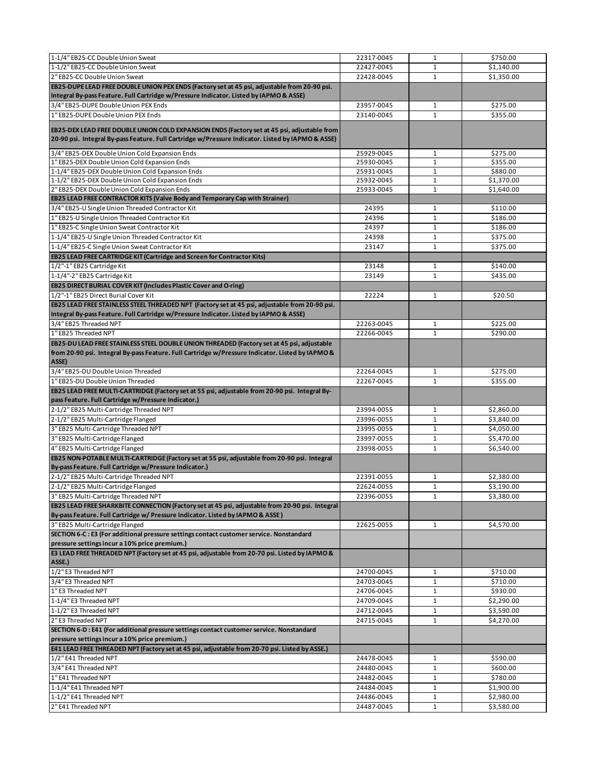| 1-1/4" EB25-CC Double Union Sweat                                                                                                                                                                       | 22317-0045               | $\mathbf{1}$                 | \$750.00                 |
|---------------------------------------------------------------------------------------------------------------------------------------------------------------------------------------------------------|--------------------------|------------------------------|--------------------------|
| 1-1/2" EB25-CC Double Union Sweat                                                                                                                                                                       | 22427-0045               | $\mathbf{1}$                 | \$1,140.00               |
| 2" EB25-CC Double Union Sweat                                                                                                                                                                           | 22428-0045               | $\mathbf{1}$                 | \$1,350.00               |
| EB25-DUPE LEAD FREE DOUBLE UNION PEX ENDS (Factory set at 45 psi, adjustable from 20-90 psi.                                                                                                            |                          |                              |                          |
| Integral By-pass Feature. Full Cartridge w/Pressure Indicator. Listed by IAPMO & ASSE)                                                                                                                  |                          |                              |                          |
| 3/4" EB25-DUPE Double Union PEX Ends                                                                                                                                                                    | 23957-0045               | $\mathbf{1}$                 | \$275.00                 |
| 1" EB25-DUPE Double Union PEX Ends                                                                                                                                                                      | 23140-0045               | $\mathbf{1}$                 | \$355.00                 |
|                                                                                                                                                                                                         |                          |                              |                          |
| EB25-DEX LEAD FREE DOUBLE UNION COLD EXPANSION ENDS (Factory set at 45 psi, adjustable from<br>20-90 psi. Integral By-pass Feature. Full Cartridge w/Pressure Indicator. Listed by IAPMO & ASSE)        |                          |                              |                          |
| 3/4" EB25-DEX Double Union Cold Expansion Ends                                                                                                                                                          | 25929-0045               | $\mathbf 1$                  | \$275.00                 |
| 1" EB25-DEX Double Union Cold Expansion Ends                                                                                                                                                            | 25930-0045               | $\mathbf 1$                  | \$355.00                 |
| 1-1/4" EB25-DEX Double Union Cold Expansion Ends                                                                                                                                                        | 25931-0045               | $\mathbf 1$                  | \$880.00                 |
| 1-1/2" EB25-DEX Double Union Cold Expansion Ends                                                                                                                                                        | 25932-0045               | $\mathbf 1$                  | \$1,370.00               |
| 2" EB25-DEX Double Union Cold Expansion Ends                                                                                                                                                            | 25933-0045               | $\mathbf{1}$                 | \$1,640.00               |
| <b>EB25 LEAD FREE CONTRACTOR KITS (Valve Body and Temporary Cap with Strainer)</b>                                                                                                                      |                          |                              |                          |
| 3/4" EB25-U Single Union Threaded Contractor Kit                                                                                                                                                        | 24395                    | $\mathbf{1}$                 | \$110.00                 |
| 1" EB25-U Single Union Threaded Contractor Kit                                                                                                                                                          | 24396                    | $\mathbf{1}$                 | \$186.00                 |
| 1" EB25-C Single Union Sweat Contractor Kit                                                                                                                                                             | 24397                    | $\mathbf{1}$                 | \$186.00                 |
| 1-1/4" EB25-U Single Union Threaded Contractor Kit                                                                                                                                                      | 24398                    | $\mathbf{1}$                 | \$375.00                 |
| 1-1/4" EB25-C Single Union Sweat Contractor Kit                                                                                                                                                         | 23147                    | $\mathbf 1$                  | \$375.00                 |
| EB25 LEAD FREE CARTRIDGE KIT (Cartridge and Screen for Contractor Kits)                                                                                                                                 |                          |                              |                          |
| 1/2"-1" EB25 Cartridge Kit                                                                                                                                                                              | 23148                    | $\mathbf{1}$                 | \$140.00                 |
| 1-1/4"-2" EB25 Cartridge Kit                                                                                                                                                                            | 23149                    | $\mathbf{1}$                 | \$435.00                 |
| <b>EB25 DIRECT BURIAL COVER KIT (Includes Plastic Cover and O-ring)</b>                                                                                                                                 |                          |                              |                          |
| 1/2"-1" EB25 Direct Burial Cover Kit                                                                                                                                                                    | 22224                    | $\mathbf{1}$                 | \$20.50                  |
| EB25 LEAD FREE STAINLESS STEEL THREADED NPT (Factory set at 45 psi, adjustable from 20-90 psi.                                                                                                          |                          |                              |                          |
| Integral By-pass Feature. Full Cartridge w/Pressure Indicator. Listed by IAPMO & ASSE)                                                                                                                  |                          |                              |                          |
| 3/4" EB25 Threaded NPT                                                                                                                                                                                  | 22263-0045               | $\mathbf{1}$                 | \$225.00                 |
| 1" EB25 Threaded NPT                                                                                                                                                                                    | 22266-0045               | $\mathbf{1}$                 | \$290.00                 |
| EB25-DU LEAD FREE STAINLESS STEEL DOUBLE UNION THREADED (Factory set at 45 psi, adjustable<br>from 20-90 psi. Integral By-pass Feature. Full Cartridge w/Pressure Indicator. Listed by IAPMO &<br>ASSE) |                          |                              |                          |
| 3/4" EB25-DU Double Union Threaded                                                                                                                                                                      | 22264-0045               | $\mathbf{1}$                 | \$275.00                 |
| 1" EB25-DU Double Union Threaded                                                                                                                                                                        | 22267-0045               | $\mathbf{1}$                 | \$355.00                 |
|                                                                                                                                                                                                         |                          |                              |                          |
| EB25 LEAD FREE MULTI-CARTRIDGE (Factory set at 55 psi, adjustable from 20-90 psi. Integral By-<br>pass Feature. Full Cartridge w/Pressure Indicator.)                                                   |                          |                              |                          |
| 2-1/2" EB25 Multi-Cartridge Threaded NPT                                                                                                                                                                | 23994-0055               | $\mathbf{1}$                 | \$2,860.00               |
|                                                                                                                                                                                                         | 23996-0055               | $\mathbf{1}$                 | \$3,840.00               |
| 2-1/2" EB25 Multi-Cartridge Flanged                                                                                                                                                                     | 23995-0055               | $\mathbf 1$                  | \$4,050.00               |
| 3" EB25 Multi-Cartridge Threaded NPT<br>3" EB25 Multi-Cartridge Flanged                                                                                                                                 | 23997-0055               | $\mathbf{1}$                 | \$5,470.00               |
|                                                                                                                                                                                                         | 23998-0055               | $\mathbf{1}$                 | \$6,540.00               |
| 4" EB25 Multi-Cartridge Flanged<br>EB25 NON-POTABLE MULTI-CARTRIDGE (Factory set at 55 psi, adjustable from 20-90 psi. Integral<br>By-pass Feature. Full Cartridge w/Pressure Indicator.)               |                          |                              |                          |
|                                                                                                                                                                                                         | 22391-0055               | 1                            | \$2,380.00               |
| 2-1/2" EB25 Multi-Cartridge Threaded NPT<br>2-1/2" EB25 Multi-Cartridge Flanged                                                                                                                         | 22624-0055               | $\mathbf{1}$                 | \$3,190.00               |
| 3" EB25 Multi-Cartridge Threaded NPT                                                                                                                                                                    | 22396-0055               | $\mathbf{1}$                 |                          |
| EB25 LEAD FREE SHARKBITE CONNECTION (Factory set at 45 psi, adjustable from 20-90 psi. Integral                                                                                                         |                          |                              | \$3,380.00               |
| By-pass Feature. Full Cartridge w/ Pressure Indicator. Listed by IAPMO & ASSE)                                                                                                                          |                          |                              |                          |
| 3" EB25 Multi-Cartridge Flanged<br>SECTION 6-C : E3 (For additional pressure settings contact customer service. Nonstandard                                                                             | 22625-0055               | $\mathbf{1}$                 | \$4,570.00               |
| pressure settings incur a 10% price premium.)<br>E3 LEAD FREE THREADED NPT (Factory set at 45 psi, adjustable from 20-70 psi. Listed by IAPMO &                                                         |                          |                              |                          |
| ASSE.)                                                                                                                                                                                                  |                          |                              |                          |
| 1/2" E3 Threaded NPT                                                                                                                                                                                    | 24700-0045               | $\mathbf{1}$                 | \$710.00                 |
| 3/4" E3 Threaded NPT                                                                                                                                                                                    | 24703-0045               | $\mathbf{1}$                 | \$710.00                 |
| 1" E3 Threaded NPT                                                                                                                                                                                      | 24706-0045               | $\mathbf 1$                  | \$930.00                 |
| 1-1/4" E3 Threaded NPT                                                                                                                                                                                  | 24709-0045               | $\mathbf{1}$                 | \$2,290.00               |
| 1-1/2" E3 Threaded NPT                                                                                                                                                                                  | 24712-0045               | 1                            | \$3,590.00               |
| 2" E3 Threaded NPT<br>SECTION 6-D : E41 (For additional pressure settings contact customer service. Nonstandard                                                                                         | 24715-0045               | $\mathbf{1}$                 | \$4,270.00               |
| pressure settings incur a 10% price premium.)                                                                                                                                                           |                          |                              |                          |
| E41 LEAD FREE THREADED NPT (Factory set at 45 psi, adjustable from 20-70 psi. Listed by ASSE.)                                                                                                          |                          |                              |                          |
| 1/2" E41 Threaded NPT                                                                                                                                                                                   | 24478-0045               | $\mathbf{1}$                 | \$590.00                 |
| 3/4" E41 Threaded NPT                                                                                                                                                                                   | 24480-0045               | $\mathbf{1}$                 | \$600.00                 |
| 1" E41 Threaded NPT                                                                                                                                                                                     | 24482-0045               | $\mathbf 1$                  | \$780.00                 |
| 1-1/4" E41 Threaded NPT                                                                                                                                                                                 | 24484-0045               | $\mathbf 1$                  | \$1,900.00               |
| 1-1/2" E41 Threaded NPT<br>2" E41 Threaded NPT                                                                                                                                                          | 24486-0045<br>24487-0045 | $\mathbf{1}$<br>$\mathbf{1}$ | \$2,980.00<br>\$3,580.00 |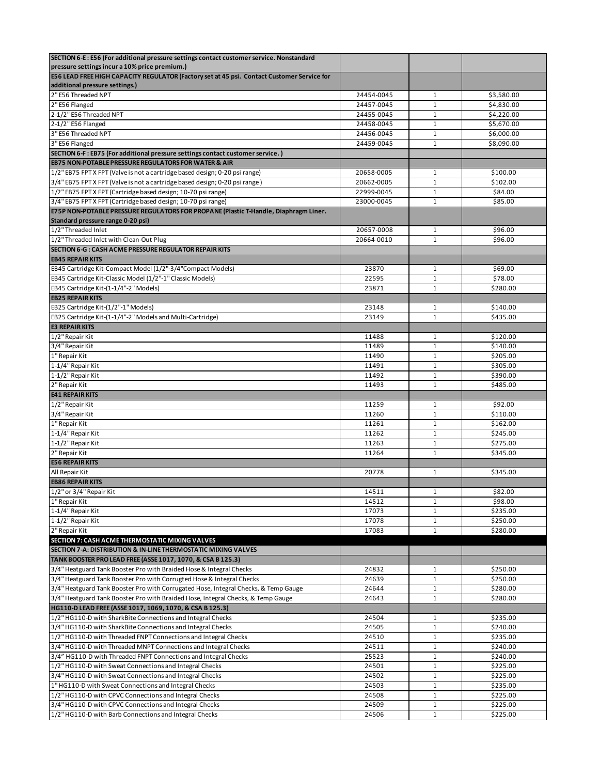| SECTION 6-E : E56 (For additional pressure settings contact customer service. Nonstandard                                                                               |            |              |                      |
|-------------------------------------------------------------------------------------------------------------------------------------------------------------------------|------------|--------------|----------------------|
| pressure settings incur a 10% price premium.)                                                                                                                           |            |              |                      |
| E56 LEAD FREE HIGH CAPACITY REGULATOR (Factory set at 45 psi. Contact Customer Service for                                                                              |            |              |                      |
| additional pressure settings.)                                                                                                                                          |            |              |                      |
| 2" E56 Threaded NPT                                                                                                                                                     | 24454-0045 | $\mathbf{1}$ | \$3,580.00           |
| 2" E56 Flanged                                                                                                                                                          | 24457-0045 | $\mathbf{1}$ | \$4,830.00           |
| 2-1/2" E56 Threaded NPT                                                                                                                                                 | 24455-0045 | $\mathbf 1$  | \$4,220.00           |
| 2-1/2" E56 Flanged                                                                                                                                                      | 24458-0045 | $\mathbf{1}$ | \$5,670.00           |
| 3" E56 Threaded NPT                                                                                                                                                     | 24456-0045 | $\mathbf{1}$ | \$6,000.00           |
| 3" E56 Flanged                                                                                                                                                          | 24459-0045 | 1            | \$8,090.00           |
| SECTION 6-F : EB75 (For additional pressure settings contact customer service.)                                                                                         |            |              |                      |
| EB75 NON-POTABLE PRESSURE REGULATORS FOR WATER & AIR                                                                                                                    |            |              |                      |
| 1/2" EB75 FPT X FPT (Valve is not a cartridge based design; 0-20 psi range)                                                                                             | 20658-0005 | $\mathbf{1}$ | \$100.00             |
| 3/4" EB75 FPT X FPT (Valve is not a cartridge based design; 0-20 psi range)                                                                                             | 20662-0005 | $1\,$        | \$102.00             |
| 1/2" EB75 FPT X FPT (Cartridge based design; 10-70 psi range)                                                                                                           | 22999-0045 | $\mathbf{1}$ | \$84.00              |
| 3/4" EB75 FPT X FPT (Cartridge based design; 10-70 psi range)                                                                                                           | 23000-0045 | $\mathbf{1}$ | \$85.00              |
| E75P NON-POTABLE PRESSURE REGULATORS FOR PROPANE (Plastic T-Handle, Diaphragm Liner.                                                                                    |            |              |                      |
| Standard pressure range 0-20 psi)                                                                                                                                       |            |              |                      |
| 1/2" Threaded Inlet                                                                                                                                                     | 20657-0008 | $\mathbf{1}$ | \$96.00              |
| 1/2" Threaded Inlet with Clean-Out Plug                                                                                                                                 | 20664-0010 | $\mathbf{1}$ | \$96.00              |
| SECTION 6-G : CASH ACME PRESSURE REGULATOR REPAIR KITS                                                                                                                  |            |              |                      |
| <b>EB45 REPAIR KITS</b>                                                                                                                                                 |            |              |                      |
| EB45 Cartridge Kit-Compact Model (1/2"-3/4"Compact Models)                                                                                                              | 23870      | $\mathbf{1}$ | \$69.00              |
| EB45 Cartridge Kit-Classic Model (1/2"-1" Classic Models)                                                                                                               | 22595      | 1            | \$78.00              |
| EB45 Cartridge Kit-(1-1/4"-2" Models)                                                                                                                                   | 23871      | $\mathbf{1}$ | \$280.00             |
| <b>EB25 REPAIR KITS</b>                                                                                                                                                 |            |              |                      |
| EB25 Cartridge Kit-(1/2"-1" Models)                                                                                                                                     | 23148      | $\mathbf{1}$ | \$140.00             |
| EB25 Cartridge Kit-(1-1/4"-2" Models and Multi-Cartridge)                                                                                                               | 23149      | $\mathbf{1}$ | \$435.00             |
| <b>E3 REPAIR KITS</b>                                                                                                                                                   |            |              |                      |
| 1/2" Repair Kit                                                                                                                                                         | 11488      | $\mathbf{1}$ | \$120.00             |
| 3/4" Repair Kit                                                                                                                                                         | 11489      | $\mathbf{1}$ | \$140.00             |
| 1" Repair Kit                                                                                                                                                           | 11490      | $\mathbf{1}$ | \$205.00             |
| 1-1/4" Repair Kit                                                                                                                                                       | 11491      | $\mathbf{1}$ | \$305.00             |
| 1-1/2" Repair Kit                                                                                                                                                       | 11492      | 1            | \$390.00             |
| 2" Repair Kit                                                                                                                                                           | 11493      | $\mathbf{1}$ | \$485.00             |
|                                                                                                                                                                         |            |              |                      |
| <b>E41 REPAIR KITS</b>                                                                                                                                                  |            |              |                      |
| 1/2" Repair Kit                                                                                                                                                         | 11259      | 1            | \$92.00              |
| 3/4" Repair Kit                                                                                                                                                         | 11260      | $\mathbf{1}$ | \$110.00             |
| 1" Repair Kit                                                                                                                                                           | 11261      | 1            | \$162.00             |
| 1-1/4" Repair Kit                                                                                                                                                       | 11262      | $\mathbf{1}$ | \$245.00             |
| 1-1/2" Repair Kit                                                                                                                                                       | 11263      | $\mathbf 1$  | \$275.00             |
| 2" Repair Kit                                                                                                                                                           | 11264      | $\mathbf{1}$ | \$345.00             |
| <b>E56 REPAIR KITS</b>                                                                                                                                                  |            |              |                      |
| All Repair Kit                                                                                                                                                          | 20778      | 1            | \$345.00             |
| <b>EB86 REPAIR KITS</b>                                                                                                                                                 |            |              |                      |
| 1/2" or 3/4" Repair Kit                                                                                                                                                 | 14511      | п.           | \$82.00              |
|                                                                                                                                                                         | 14512      | $\mathbf{1}$ | \$98.00              |
| 1-1/4" Repair Kit                                                                                                                                                       | 17073      | 1            | \$235.00             |
| 1-1/2" Repair Kit                                                                                                                                                       | 17078      | 1            | \$250.00             |
|                                                                                                                                                                         | 17083      | $\mathbf{1}$ | \$280.00             |
| SECTION 7: CASH ACME THERMOSTATIC MIXING VALVES                                                                                                                         |            |              |                      |
| SECTION 7-A: DISTRIBUTION & IN-LINE THERMOSTATIC MIXING VALVES                                                                                                          |            |              |                      |
| TANK BOOSTER PRO LEAD FREE (ASSE 1017, 1070, & CSA B 125.3)                                                                                                             |            |              |                      |
| 1" Repair Kit<br>2" Repair Kit<br>3/4" Heatguard Tank Booster Pro with Braided Hose & Integral Checks                                                                   | 24832      | 1            | \$250.00             |
| 3/4" Heatguard Tank Booster Pro with Corrugted Hose & Integral Checks                                                                                                   | 24639      | $\mathbf 1$  | \$250.00             |
|                                                                                                                                                                         | 24644      | $\mathbf{1}$ | \$280.00             |
| 3/4" Heatguard Tank Booster Pro with Corrugated Hose, Integral Checks, & Temp Gauge<br>3/4" Heatguard Tank Booster Pro with Braided Hose, Integral Checks, & Temp Gauge | 24643      | $\mathbf{1}$ | \$280.00             |
| HG110-D LEAD FREE (ASSE 1017, 1069, 1070, & CSA B 125.3)                                                                                                                |            |              |                      |
| 1/2" HG110-D with SharkBite Connections and Integral Checks                                                                                                             | 24504      | $\mathbf{1}$ | \$235.00             |
| 3/4" HG110-D with SharkBite Connections and Integral Checks                                                                                                             | 24505      | $\mathbf{1}$ | \$240.00             |
|                                                                                                                                                                         | 24510      | $1\,$        | \$235.00             |
| 1/2" HG110-D with Threaded FNPT Connections and Integral Checks<br>3/4" HG110-D with Threaded MNPT Connections and Integral Checks                                      | 24511      | $\mathbf{1}$ | \$240.00             |
| 3/4" HG110-D with Threaded FNPT Connections and Integral Checks                                                                                                         | 25523      | $\mathbf{1}$ | \$240.00             |
| 1/2" HG110-D with Sweat Connections and Integral Checks                                                                                                                 | 24501      | $\mathbf{1}$ | \$225.00             |
|                                                                                                                                                                         | 24502      | $1\,$        | \$225.00             |
| 3/4" HG110-D with Sweat Connections and Integral Checks                                                                                                                 | 24503      | $\mathbf{1}$ |                      |
| 1" HG110-D with Sweat Connections and Integral Checks<br>1/2" HG110-D with CPVC Connections and Integral Checks                                                         | 24508      | $\mathbf 1$  | \$235.00<br>\$225.00 |
| 3/4" HG110-D with CPVC Connections and Integral Checks                                                                                                                  | 24509      | $\mathbf{1}$ | \$225.00             |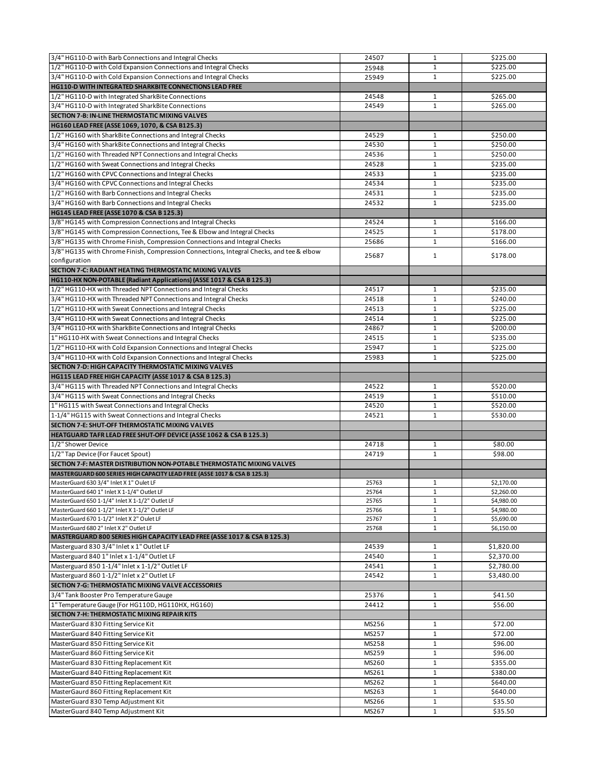| 3/4" HG110-D with Barb Connections and Integral Checks                                   | 24507 | $\mathbf{1}$ | \$225.00   |
|------------------------------------------------------------------------------------------|-------|--------------|------------|
| 1/2" HG110-D with Cold Expansion Connections and Integral Checks                         | 25948 | $\mathbf{1}$ | \$225.00   |
| 3/4" HG110-D with Cold Expansion Connections and Integral Checks                         | 25949 | 1            | \$225.00   |
| <b>HG110-D WITH INTEGRATED SHARKBITE CONNECTIONS LEAD FREE</b>                           |       |              |            |
|                                                                                          |       |              |            |
| 1/2" HG110-D with Integrated SharkBite Connections                                       | 24548 | $\mathbf{1}$ | \$265.00   |
| 3/4" HG110-D with Integrated SharkBite Connections                                       | 24549 | $\mathbf{1}$ | \$265.00   |
| SECTION 7-B: IN-LINE THERMOSTATIC MIXING VALVES                                          |       |              |            |
| HG160 LEAD FREE (ASSE 1069, 1070, & CSA B125.3)                                          |       |              |            |
| 1/2" HG160 with SharkBite Connections and Integral Checks                                | 24529 | 1            | \$250.00   |
| 3/4" HG160 with SharkBite Connections and Integral Checks                                | 24530 | $\mathbf 1$  | \$250.00   |
| 1/2" HG160 with Threaded NPT Connections and Integral Checks                             | 24536 | $\mathbf{1}$ | \$250.00   |
| 1/2" HG160 with Sweat Connections and Integral Checks                                    | 24528 | 1            | \$235.00   |
| 1/2" HG160 with CPVC Connections and Integral Checks                                     | 24533 | $\mathbf{1}$ | \$235.00   |
| 3/4" HG160 with CPVC Connections and Integral Checks                                     | 24534 | $\mathbf{1}$ | \$235.00   |
| 1/2" HG160 with Barb Connections and Integral Checks                                     | 24531 | $\mathbf{1}$ | \$235.00   |
| 3/4" HG160 with Barb Connections and Integral Checks                                     | 24532 | $\mathbf{1}$ | \$235.00   |
|                                                                                          |       |              |            |
| HG145 LEAD FREE (ASSE 1070 & CSA B 125.3)                                                |       |              |            |
| 3/8" HG145 with Compression Connections and Integral Checks                              | 24524 | $\mathbf{1}$ | \$166.00   |
| 3/8" HG145 with Compression Connections, Tee & Elbow and Integral Checks                 | 24525 | $\mathbf{1}$ | \$178.00   |
| 3/8" HG135 with Chrome Finish, Compression Connections and Integral Checks               | 25686 | $\mathbf{1}$ | \$166.00   |
| 3/8" HG135 with Chrome Finish, Compression Connections, Integral Checks, and tee & elbow | 25687 | $\mathbf{1}$ | \$178.00   |
| configuration                                                                            |       |              |            |
| SECTION 7-C: RADIANT HEATING THERMOSTATIC MIXING VALVES                                  |       |              |            |
| HG110-HX NON-POTABLE (Radiant Applications) (ASSE 1017 & CSA B 125.3)                    |       |              |            |
| 1/2" HG110-HX with Threaded NPT Connections and Integral Checks                          | 24517 | $\mathbf{1}$ | \$235.00   |
| 3/4" HG110-HX with Threaded NPT Connections and Integral Checks                          | 24518 | $\mathbf{1}$ | \$240.00   |
| 1/2" HG110-HX with Sweat Connections and Integral Checks                                 | 24513 | $\mathbf{1}$ | \$225.00   |
| 3/4" HG110-HX with Sweat Connections and Integral Checks                                 | 24514 | $\mathbf{1}$ | \$225.00   |
| 3/4" HG110-HX with SharkBite Connections and Integral Checks                             |       |              |            |
|                                                                                          | 24867 | $\mathbf{1}$ | \$200.00   |
| 1" HG110-HX with Sweat Connections and Integral Checks                                   | 24515 | $\mathbf{1}$ | \$235.00   |
| 1/2" HG110-HX with Cold Expansion Connections and Integral Checks                        | 25947 | $\mathbf{1}$ | \$225.00   |
| 3/4" HG110-HX with Cold Expansion Connections and Integral Checks                        | 25983 | $\mathbf{1}$ | \$225.00   |
| SECTION 7-D: HIGH CAPACITY THERMOSTATIC MIXING VALVES                                    |       |              |            |
| HG115 LEAD FREE HIGH CAPACITY (ASSE 1017 & CSA B 125.3)                                  |       |              |            |
| 3/4" HG115 with Threaded NPT Connections and Integral Checks                             | 24522 | $\mathbf{1}$ | \$520.00   |
| 3/4" HG115 with Sweat Connections and Integral Checks                                    | 24519 | $\mathbf{1}$ | \$510.00   |
| 1" HG115 with Sweat Connections and Integral Checks                                      | 24520 | 1            | \$520.00   |
| 1-1/4" HG115 with Sweat Connections and Integral Checks                                  | 24521 | $\mathbf{1}$ | \$530.00   |
| SECTION 7-E: SHUT-OFF THERMOSTATIC MIXING VALVES                                         |       |              |            |
| HEATGUARD TAFR LEAD FREE SHUT-OFF DEVICE (ASSE 1062 & CSA B 125.3)                       |       |              |            |
| 1/2" Shower Device                                                                       | 24718 | 1            | \$80.00    |
| 1/2" Tap Device (For Faucet Spout)                                                       | 24719 | $\mathbf{1}$ | \$98.00    |
|                                                                                          |       |              |            |
| <b>SECTION 7-F: MASTER DISTRIBUTION NON-POTABLE THERMOSTATIC MIXING VALVES</b>           |       |              |            |
| MASTERGUARD 600 SERIES HIGH CAPACITY LEAD FREE (ASSE 1017 & CSA B 125.3)                 |       |              |            |
| MasterGuard 630 3/4" Inlet X 1" Oulet LF                                                 | 25763 | 1            | \$2,170.00 |
| MasterGuard 640 1" Inlet X 1-1/4" Outlet LF                                              | 25764 | $\mathbf{1}$ | \$2,260.00 |
| MasterGuard 650 1-1/4" Inlet X 1-1/2" Outlet LF                                          | 25765 | $\mathbf{1}$ | \$4,980.00 |
| MasterGuard 660 1-1/2" Inlet X 1-1/2" Outlet LF                                          | 25766 | $\mathbf{1}$ | \$4,980.00 |
| MasterGuard 670 1-1/2" Inlet X 2" Oulet LF                                               | 25767 | $\mathbf{1}$ | \$5,690.00 |
| MasterGuard 680 2" Inlet X 2" Outlet LF                                                  | 25768 | $\mathbf{1}$ | \$6,150.00 |
| MASTERGUARD 800 SERIES HIGH CAPACITY LEAD FREE (ASSE 1017 & CSA B 125.3)                 |       |              |            |
| Masterguard 830 3/4" Inlet x 1" Outlet LF                                                | 24539 | $\mathbf{1}$ | \$1,820.00 |
| Masterguard 840 1" Inlet x 1-1/4" Outlet LF                                              | 24540 | $\mathbf{1}$ | \$2,370.00 |
| Masterguard 850 1-1/4" Inlet x 1-1/2" Outlet LF                                          | 24541 | $\mathbf{1}$ | \$2,780.00 |
| Masterguard 860 1-1/2" Inlet x 2" Outlet LF                                              | 24542 | 1            | \$3,480.00 |
| SECTION 7-G: THERMOSTATIC MIXING VALVE ACCESSORIES                                       |       |              |            |
| 3/4" Tank Booster Pro Temperature Gauge                                                  | 25376 | $\mathbf{1}$ | \$41.50    |
| 1" Temperature Gauge (For HG110D, HG110HX, HG160)                                        | 24412 | 1            | \$56.00    |
| SECTION 7-H: THERMOSTATIC MIXING REPAIR KITS                                             |       |              |            |
| MasterGuard 830 Fitting Service Kit                                                      | MS256 | $\mathbf{1}$ | \$72.00    |
| MasterGuard 840 Fitting Service Kit                                                      | MS257 | $\mathbf{1}$ | \$72.00    |
| MasterGuard 850 Fitting Service Kit                                                      | MS258 | $1\,$        | \$96.00    |
| MasterGuard 860 Fitting Service Kit                                                      | MS259 | $\mathbf{1}$ | \$96.00    |
|                                                                                          |       |              | \$355.00   |
| MasterGuard 830 Fitting Replacement Kit                                                  | MS260 | $\mathbf{1}$ |            |
| MasterGuard 840 Fitting Replacement Kit                                                  | MS261 | $1\,$        | \$380.00   |
| MasterGuard 850 Fitting Replacement Kit                                                  | MS262 | $\mathbf{1}$ | \$640.00   |
| MasterGaurd 860 Fitting Replacement Kit                                                  | MS263 | $\mathbf{1}$ | \$640.00   |
| MasterGuard 830 Temp Adjustment Kit                                                      | MS266 | $\mathbf{1}$ | \$35.50    |
| MasterGuard 840 Temp Adjustment Kit                                                      | MS267 | $\mathbf{1}$ | \$35.50    |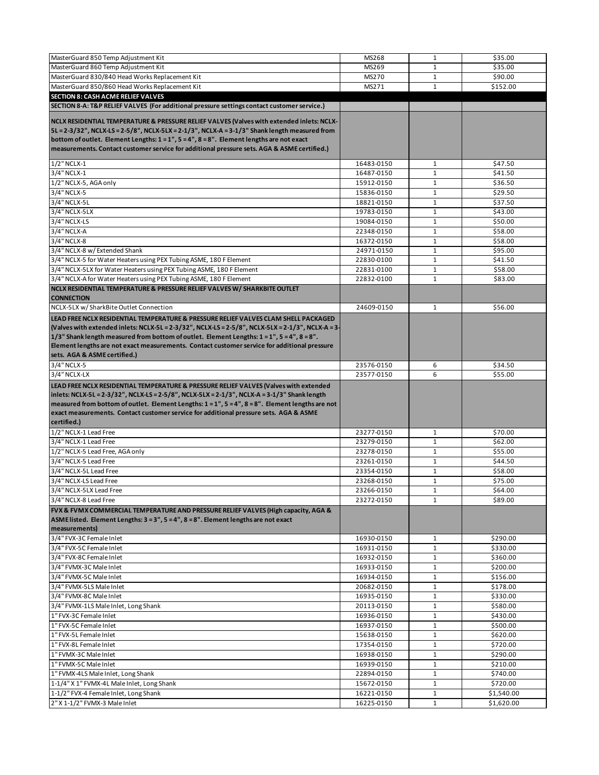| MasterGuard 860 Temp Adjustment Kit<br>MS269<br>$\mathbf{1}$<br>\$35.00<br>MasterGuard 830/840 Head Works Replacement Kit<br>MS270<br>\$90.00<br>$\mathbf{1}$<br>\$152.00<br>MasterGuard 850/860 Head Works Replacement Kit<br>$\mathbf 1$<br>MS271<br>SECTION 8: CASH ACME RELIEF VALVES<br>SECTION 8-A: T&P RELIEF VALVES (For additional pressure settings contact customer service.)<br>5L = 2-3/32", NCLX-LS = 2-5/8", NCLX-5LX = 2-1/3", NCLX-A = 3-1/3" Shank length measured from<br>bottom of outlet. Element Lengths: $1 = 1$ ", $5 = 4$ ", $8 = 8$ ". Element lengths are not exact<br>\$47.50<br>$1/2$ " NCLX-1<br>16483-0150<br>$\mathbf{1}$<br>3/4" NCLX-1<br>16487-0150<br>$\mathbf{1}$<br>\$41.50<br>1/2" NCLX-5, AGA only<br>15912-0150<br>$\mathbf{1}$<br>\$36.50<br>3/4" NCLX-5<br>$\mathbf{1}$<br>\$29.50<br>15836-0150<br>3/4" NCLX-5L<br>$\mathbf 1$<br>\$37.50<br>18821-0150<br>3/4" NCLX-5LX<br>19783-0150<br>$\mathbf 1$<br>\$43.00<br>3/4" NCLX-LS<br>19084-0150<br>$\mathbf{1}$<br>\$50.00<br>$3/4$ " NCLX-A<br>$\mathbf 1$<br>\$58.00<br>22348-0150<br>3/4" NCLX-8<br>16372-0150<br>$\mathbf{1}$<br>\$58.00<br>3/4" NCLX-8 w/ Extended Shank<br>24971-0150<br>$\mathbf{1}$<br>\$95.00<br>3/4" NCLX-5 for Water Heaters using PEX Tubing ASME, 180 F Element<br>22830-0100<br>$\mathbf{1}$<br>\$41.50<br>3/4" NCLX-5LX for Water Heaters using PEX Tubing ASME, 180 F Element<br>22831-0100<br>$\mathbf{1}$<br>\$58.00<br>3/4" NCLX-A for Water Heaters using PEX Tubing ASME, 180 F Element<br>$\mathbf{1}$<br>22832-0100<br>\$83.00<br>NCLX RESIDENTIAL TEMPERATURE & PRESSURE RELIEF VALVES W/ SHARKBITE OUTLET<br><b>CONNECTION</b><br>NCLX-5LX w/SharkBite Outlet Connection<br>\$56.00<br>24609-0150<br>$\mathbf{1}$<br>LEAD FREE NCLX RESIDENTIAL TEMPERATURE & PRESSURE RELIEF VALVES CLAM SHELL PACKAGED<br>(Valves with extended inlets: NCLX-5L = 2-3/32", NCLX-LS = 2-5/8", NCLX-5LX = 2-1/3", NCLX-A = 3-<br>1/3" Shank length measured from bottom of outlet. Element Lengths: 1 = 1", 5 = 4", 8 = 8".<br>Element lengths are not exact measurements. Contact customer service for additional pressure<br>sets. AGA & ASME certified.)<br>3/4" NCLX-5<br>23576-0150<br>6<br>\$34.50<br>3/4" NCLX-LX<br>23577-0150<br>6<br>\$55.00<br>LEAD FREE NCLX RESIDENTIAL TEMPERATURE & PRESSURE RELIEF VALVES (Valves with extended<br>inlets: NCLX-5L = 2-3/32", NCLX-LS = 2-5/8", NCLX-5LX = 2-1/3", NCLX-A = 3-1/3" Shank length<br>measured from bottom of outlet. Element Lengths: $1 = 1$ ", $5 = 4$ ", $8 = 8$ ". Element lengths are not<br>exact measurements. Contact customer service for additional pressure sets. AGA & ASME<br>certified.)<br>1/2" NCLX-1 Lead Free<br>\$70.00<br>23277-0150<br>$\mathbf{1}$<br>3/4" NCLX-1 Lead Free<br>23279-0150<br>$\mathbf{1}$<br>\$62.00<br>1/2" NCLX-5 Lead Free, AGA only<br>23278-0150<br>$\mathbf{1}$<br>\$55.00<br>3/4" NCLX-5 Lead Free<br>$\mathbf 1$<br>\$44.50<br>23261-0150<br>3/4" NCLX-5L Lead Free<br>23354-0150<br>$\mathbf 1$<br>\$58.00<br>3/4" NCLX-LS Lead Free<br>23268-0150<br>$\mathbf{1}$<br>\$75.00<br>3/4" NCLX-5LX Lead Free<br>23266-0150<br>\$64.00<br>$\mathbf 1$<br>3/4" NCLX-8 Lead Free<br>$\mathbf{1}$<br>\$89.00<br>23272-0150<br>ASME listed. Element Lengths: 3 = 3", 5 = 4", 8 = 8". Element lengths are not exact<br>measurements)<br>3/4" FVX-3C Female Inlet<br>\$290.00<br>16930-0150<br>$\mathbf{1}$<br>3/4" FVX-5C Female Inlet<br>16931-0150<br>$\mathbf{1}$<br>\$330.00<br>\$360.00<br>16932-0150<br>$\mathbf{1}$<br>3/4" FVMX-3C Male Inlet<br>$\mathbf{1}$<br>\$200.00<br>16933-0150<br>$\mathbf{1}$<br>\$156.00<br>16934-0150<br>20682-0150<br>$\mathbf{1}$<br>\$178.00<br>$\mathbf 1$<br>\$330.00<br>16935-0150<br>20113-0150<br>$\mathbf{1}$<br>\$580.00<br>16936-0150<br>\$430.00<br>$\mathbf{1}$<br>$\mathbf 1$<br>\$500.00<br>16937-0150<br>$\mathbf{1}$<br>\$620.00<br>15638-0150<br>\$720.00<br>17354-0150<br>$\mathbf{1}$<br>$\mathbf{1}$<br>\$290.00<br>16938-0150<br>\$210.00<br>16939-0150<br>$\mathbf{1}$<br>\$740.00<br>22894-0150<br>$\mathbf{1}$<br>$\mathbf{1}$<br>\$720.00<br>15672-0150<br>16221-0150<br>$\mathbf{1}$<br>\$1,540.00<br>2" X 1-1/2" FVMX-3 Male Inlet<br>16225-0150<br>\$1,620.00<br>$\mathbf{1}$ | MasterGuard 850 Temp Adjustment Kit                                                         | MS268 | $\mathbf{1}$ | \$35.00 |
|-----------------------------------------------------------------------------------------------------------------------------------------------------------------------------------------------------------------------------------------------------------------------------------------------------------------------------------------------------------------------------------------------------------------------------------------------------------------------------------------------------------------------------------------------------------------------------------------------------------------------------------------------------------------------------------------------------------------------------------------------------------------------------------------------------------------------------------------------------------------------------------------------------------------------------------------------------------------------------------------------------------------------------------------------------------------------------------------------------------------------------------------------------------------------------------------------------------------------------------------------------------------------------------------------------------------------------------------------------------------------------------------------------------------------------------------------------------------------------------------------------------------------------------------------------------------------------------------------------------------------------------------------------------------------------------------------------------------------------------------------------------------------------------------------------------------------------------------------------------------------------------------------------------------------------------------------------------------------------------------------------------------------------------------------------------------------------------------------------------------------------------------------------------------------------------------------------------------------------------------------------------------------------------------------------------------------------------------------------------------------------------------------------------------------------------------------------------------------------------------------------------------------------------------------------------------------------------------------------------------------------------------------------------------------------------------------------------------------------------------------------------------------------------------------------------------------------------------------------------------------------------------------------------------------------------------------------------------------------------------------------------------------------------------------------------------------------------------------------------------------------------------------------------------------------------------------------------------------------------------------------------------------------------------------------------------------------------------------------------------------------------------------------------------------------------------------------------------------------------------------------------------------------------------------------------------------------------------------------------------------------------------------------------------------------------------------------------------------------------------------------------------------------------------------------------------------------------------------------------------------------------------------------------------------------------------------------------------------------------------------------------------------------------------------------------------------------------------------------------------------------------------------------------------------------------------------------------------------------------------------------------------------|---------------------------------------------------------------------------------------------|-------|--------------|---------|
|                                                                                                                                                                                                                                                                                                                                                                                                                                                                                                                                                                                                                                                                                                                                                                                                                                                                                                                                                                                                                                                                                                                                                                                                                                                                                                                                                                                                                                                                                                                                                                                                                                                                                                                                                                                                                                                                                                                                                                                                                                                                                                                                                                                                                                                                                                                                                                                                                                                                                                                                                                                                                                                                                                                                                                                                                                                                                                                                                                                                                                                                                                                                                                                                                                                                                                                                                                                                                                                                                                                                                                                                                                                                                                                                                                                                                                                                                                                                                                                                                                                                                                                                                                                                                                                                       |                                                                                             |       |              |         |
|                                                                                                                                                                                                                                                                                                                                                                                                                                                                                                                                                                                                                                                                                                                                                                                                                                                                                                                                                                                                                                                                                                                                                                                                                                                                                                                                                                                                                                                                                                                                                                                                                                                                                                                                                                                                                                                                                                                                                                                                                                                                                                                                                                                                                                                                                                                                                                                                                                                                                                                                                                                                                                                                                                                                                                                                                                                                                                                                                                                                                                                                                                                                                                                                                                                                                                                                                                                                                                                                                                                                                                                                                                                                                                                                                                                                                                                                                                                                                                                                                                                                                                                                                                                                                                                                       |                                                                                             |       |              |         |
|                                                                                                                                                                                                                                                                                                                                                                                                                                                                                                                                                                                                                                                                                                                                                                                                                                                                                                                                                                                                                                                                                                                                                                                                                                                                                                                                                                                                                                                                                                                                                                                                                                                                                                                                                                                                                                                                                                                                                                                                                                                                                                                                                                                                                                                                                                                                                                                                                                                                                                                                                                                                                                                                                                                                                                                                                                                                                                                                                                                                                                                                                                                                                                                                                                                                                                                                                                                                                                                                                                                                                                                                                                                                                                                                                                                                                                                                                                                                                                                                                                                                                                                                                                                                                                                                       |                                                                                             |       |              |         |
|                                                                                                                                                                                                                                                                                                                                                                                                                                                                                                                                                                                                                                                                                                                                                                                                                                                                                                                                                                                                                                                                                                                                                                                                                                                                                                                                                                                                                                                                                                                                                                                                                                                                                                                                                                                                                                                                                                                                                                                                                                                                                                                                                                                                                                                                                                                                                                                                                                                                                                                                                                                                                                                                                                                                                                                                                                                                                                                                                                                                                                                                                                                                                                                                                                                                                                                                                                                                                                                                                                                                                                                                                                                                                                                                                                                                                                                                                                                                                                                                                                                                                                                                                                                                                                                                       |                                                                                             |       |              |         |
|                                                                                                                                                                                                                                                                                                                                                                                                                                                                                                                                                                                                                                                                                                                                                                                                                                                                                                                                                                                                                                                                                                                                                                                                                                                                                                                                                                                                                                                                                                                                                                                                                                                                                                                                                                                                                                                                                                                                                                                                                                                                                                                                                                                                                                                                                                                                                                                                                                                                                                                                                                                                                                                                                                                                                                                                                                                                                                                                                                                                                                                                                                                                                                                                                                                                                                                                                                                                                                                                                                                                                                                                                                                                                                                                                                                                                                                                                                                                                                                                                                                                                                                                                                                                                                                                       |                                                                                             |       |              |         |
|                                                                                                                                                                                                                                                                                                                                                                                                                                                                                                                                                                                                                                                                                                                                                                                                                                                                                                                                                                                                                                                                                                                                                                                                                                                                                                                                                                                                                                                                                                                                                                                                                                                                                                                                                                                                                                                                                                                                                                                                                                                                                                                                                                                                                                                                                                                                                                                                                                                                                                                                                                                                                                                                                                                                                                                                                                                                                                                                                                                                                                                                                                                                                                                                                                                                                                                                                                                                                                                                                                                                                                                                                                                                                                                                                                                                                                                                                                                                                                                                                                                                                                                                                                                                                                                                       |                                                                                             |       |              |         |
|                                                                                                                                                                                                                                                                                                                                                                                                                                                                                                                                                                                                                                                                                                                                                                                                                                                                                                                                                                                                                                                                                                                                                                                                                                                                                                                                                                                                                                                                                                                                                                                                                                                                                                                                                                                                                                                                                                                                                                                                                                                                                                                                                                                                                                                                                                                                                                                                                                                                                                                                                                                                                                                                                                                                                                                                                                                                                                                                                                                                                                                                                                                                                                                                                                                                                                                                                                                                                                                                                                                                                                                                                                                                                                                                                                                                                                                                                                                                                                                                                                                                                                                                                                                                                                                                       | NCLX RESIDENTIAL TEMPERATURE & PRESSURE RELIEF VALVES (Valves with extended inlets: NCLX-   |       |              |         |
|                                                                                                                                                                                                                                                                                                                                                                                                                                                                                                                                                                                                                                                                                                                                                                                                                                                                                                                                                                                                                                                                                                                                                                                                                                                                                                                                                                                                                                                                                                                                                                                                                                                                                                                                                                                                                                                                                                                                                                                                                                                                                                                                                                                                                                                                                                                                                                                                                                                                                                                                                                                                                                                                                                                                                                                                                                                                                                                                                                                                                                                                                                                                                                                                                                                                                                                                                                                                                                                                                                                                                                                                                                                                                                                                                                                                                                                                                                                                                                                                                                                                                                                                                                                                                                                                       |                                                                                             |       |              |         |
|                                                                                                                                                                                                                                                                                                                                                                                                                                                                                                                                                                                                                                                                                                                                                                                                                                                                                                                                                                                                                                                                                                                                                                                                                                                                                                                                                                                                                                                                                                                                                                                                                                                                                                                                                                                                                                                                                                                                                                                                                                                                                                                                                                                                                                                                                                                                                                                                                                                                                                                                                                                                                                                                                                                                                                                                                                                                                                                                                                                                                                                                                                                                                                                                                                                                                                                                                                                                                                                                                                                                                                                                                                                                                                                                                                                                                                                                                                                                                                                                                                                                                                                                                                                                                                                                       |                                                                                             |       |              |         |
|                                                                                                                                                                                                                                                                                                                                                                                                                                                                                                                                                                                                                                                                                                                                                                                                                                                                                                                                                                                                                                                                                                                                                                                                                                                                                                                                                                                                                                                                                                                                                                                                                                                                                                                                                                                                                                                                                                                                                                                                                                                                                                                                                                                                                                                                                                                                                                                                                                                                                                                                                                                                                                                                                                                                                                                                                                                                                                                                                                                                                                                                                                                                                                                                                                                                                                                                                                                                                                                                                                                                                                                                                                                                                                                                                                                                                                                                                                                                                                                                                                                                                                                                                                                                                                                                       | measurements. Contact customer service for additional pressure sets. AGA & ASME certified.) |       |              |         |
|                                                                                                                                                                                                                                                                                                                                                                                                                                                                                                                                                                                                                                                                                                                                                                                                                                                                                                                                                                                                                                                                                                                                                                                                                                                                                                                                                                                                                                                                                                                                                                                                                                                                                                                                                                                                                                                                                                                                                                                                                                                                                                                                                                                                                                                                                                                                                                                                                                                                                                                                                                                                                                                                                                                                                                                                                                                                                                                                                                                                                                                                                                                                                                                                                                                                                                                                                                                                                                                                                                                                                                                                                                                                                                                                                                                                                                                                                                                                                                                                                                                                                                                                                                                                                                                                       |                                                                                             |       |              |         |
|                                                                                                                                                                                                                                                                                                                                                                                                                                                                                                                                                                                                                                                                                                                                                                                                                                                                                                                                                                                                                                                                                                                                                                                                                                                                                                                                                                                                                                                                                                                                                                                                                                                                                                                                                                                                                                                                                                                                                                                                                                                                                                                                                                                                                                                                                                                                                                                                                                                                                                                                                                                                                                                                                                                                                                                                                                                                                                                                                                                                                                                                                                                                                                                                                                                                                                                                                                                                                                                                                                                                                                                                                                                                                                                                                                                                                                                                                                                                                                                                                                                                                                                                                                                                                                                                       |                                                                                             |       |              |         |
|                                                                                                                                                                                                                                                                                                                                                                                                                                                                                                                                                                                                                                                                                                                                                                                                                                                                                                                                                                                                                                                                                                                                                                                                                                                                                                                                                                                                                                                                                                                                                                                                                                                                                                                                                                                                                                                                                                                                                                                                                                                                                                                                                                                                                                                                                                                                                                                                                                                                                                                                                                                                                                                                                                                                                                                                                                                                                                                                                                                                                                                                                                                                                                                                                                                                                                                                                                                                                                                                                                                                                                                                                                                                                                                                                                                                                                                                                                                                                                                                                                                                                                                                                                                                                                                                       |                                                                                             |       |              |         |
|                                                                                                                                                                                                                                                                                                                                                                                                                                                                                                                                                                                                                                                                                                                                                                                                                                                                                                                                                                                                                                                                                                                                                                                                                                                                                                                                                                                                                                                                                                                                                                                                                                                                                                                                                                                                                                                                                                                                                                                                                                                                                                                                                                                                                                                                                                                                                                                                                                                                                                                                                                                                                                                                                                                                                                                                                                                                                                                                                                                                                                                                                                                                                                                                                                                                                                                                                                                                                                                                                                                                                                                                                                                                                                                                                                                                                                                                                                                                                                                                                                                                                                                                                                                                                                                                       |                                                                                             |       |              |         |
|                                                                                                                                                                                                                                                                                                                                                                                                                                                                                                                                                                                                                                                                                                                                                                                                                                                                                                                                                                                                                                                                                                                                                                                                                                                                                                                                                                                                                                                                                                                                                                                                                                                                                                                                                                                                                                                                                                                                                                                                                                                                                                                                                                                                                                                                                                                                                                                                                                                                                                                                                                                                                                                                                                                                                                                                                                                                                                                                                                                                                                                                                                                                                                                                                                                                                                                                                                                                                                                                                                                                                                                                                                                                                                                                                                                                                                                                                                                                                                                                                                                                                                                                                                                                                                                                       |                                                                                             |       |              |         |
|                                                                                                                                                                                                                                                                                                                                                                                                                                                                                                                                                                                                                                                                                                                                                                                                                                                                                                                                                                                                                                                                                                                                                                                                                                                                                                                                                                                                                                                                                                                                                                                                                                                                                                                                                                                                                                                                                                                                                                                                                                                                                                                                                                                                                                                                                                                                                                                                                                                                                                                                                                                                                                                                                                                                                                                                                                                                                                                                                                                                                                                                                                                                                                                                                                                                                                                                                                                                                                                                                                                                                                                                                                                                                                                                                                                                                                                                                                                                                                                                                                                                                                                                                                                                                                                                       |                                                                                             |       |              |         |
|                                                                                                                                                                                                                                                                                                                                                                                                                                                                                                                                                                                                                                                                                                                                                                                                                                                                                                                                                                                                                                                                                                                                                                                                                                                                                                                                                                                                                                                                                                                                                                                                                                                                                                                                                                                                                                                                                                                                                                                                                                                                                                                                                                                                                                                                                                                                                                                                                                                                                                                                                                                                                                                                                                                                                                                                                                                                                                                                                                                                                                                                                                                                                                                                                                                                                                                                                                                                                                                                                                                                                                                                                                                                                                                                                                                                                                                                                                                                                                                                                                                                                                                                                                                                                                                                       |                                                                                             |       |              |         |
|                                                                                                                                                                                                                                                                                                                                                                                                                                                                                                                                                                                                                                                                                                                                                                                                                                                                                                                                                                                                                                                                                                                                                                                                                                                                                                                                                                                                                                                                                                                                                                                                                                                                                                                                                                                                                                                                                                                                                                                                                                                                                                                                                                                                                                                                                                                                                                                                                                                                                                                                                                                                                                                                                                                                                                                                                                                                                                                                                                                                                                                                                                                                                                                                                                                                                                                                                                                                                                                                                                                                                                                                                                                                                                                                                                                                                                                                                                                                                                                                                                                                                                                                                                                                                                                                       |                                                                                             |       |              |         |
|                                                                                                                                                                                                                                                                                                                                                                                                                                                                                                                                                                                                                                                                                                                                                                                                                                                                                                                                                                                                                                                                                                                                                                                                                                                                                                                                                                                                                                                                                                                                                                                                                                                                                                                                                                                                                                                                                                                                                                                                                                                                                                                                                                                                                                                                                                                                                                                                                                                                                                                                                                                                                                                                                                                                                                                                                                                                                                                                                                                                                                                                                                                                                                                                                                                                                                                                                                                                                                                                                                                                                                                                                                                                                                                                                                                                                                                                                                                                                                                                                                                                                                                                                                                                                                                                       |                                                                                             |       |              |         |
|                                                                                                                                                                                                                                                                                                                                                                                                                                                                                                                                                                                                                                                                                                                                                                                                                                                                                                                                                                                                                                                                                                                                                                                                                                                                                                                                                                                                                                                                                                                                                                                                                                                                                                                                                                                                                                                                                                                                                                                                                                                                                                                                                                                                                                                                                                                                                                                                                                                                                                                                                                                                                                                                                                                                                                                                                                                                                                                                                                                                                                                                                                                                                                                                                                                                                                                                                                                                                                                                                                                                                                                                                                                                                                                                                                                                                                                                                                                                                                                                                                                                                                                                                                                                                                                                       |                                                                                             |       |              |         |
|                                                                                                                                                                                                                                                                                                                                                                                                                                                                                                                                                                                                                                                                                                                                                                                                                                                                                                                                                                                                                                                                                                                                                                                                                                                                                                                                                                                                                                                                                                                                                                                                                                                                                                                                                                                                                                                                                                                                                                                                                                                                                                                                                                                                                                                                                                                                                                                                                                                                                                                                                                                                                                                                                                                                                                                                                                                                                                                                                                                                                                                                                                                                                                                                                                                                                                                                                                                                                                                                                                                                                                                                                                                                                                                                                                                                                                                                                                                                                                                                                                                                                                                                                                                                                                                                       |                                                                                             |       |              |         |
|                                                                                                                                                                                                                                                                                                                                                                                                                                                                                                                                                                                                                                                                                                                                                                                                                                                                                                                                                                                                                                                                                                                                                                                                                                                                                                                                                                                                                                                                                                                                                                                                                                                                                                                                                                                                                                                                                                                                                                                                                                                                                                                                                                                                                                                                                                                                                                                                                                                                                                                                                                                                                                                                                                                                                                                                                                                                                                                                                                                                                                                                                                                                                                                                                                                                                                                                                                                                                                                                                                                                                                                                                                                                                                                                                                                                                                                                                                                                                                                                                                                                                                                                                                                                                                                                       |                                                                                             |       |              |         |
|                                                                                                                                                                                                                                                                                                                                                                                                                                                                                                                                                                                                                                                                                                                                                                                                                                                                                                                                                                                                                                                                                                                                                                                                                                                                                                                                                                                                                                                                                                                                                                                                                                                                                                                                                                                                                                                                                                                                                                                                                                                                                                                                                                                                                                                                                                                                                                                                                                                                                                                                                                                                                                                                                                                                                                                                                                                                                                                                                                                                                                                                                                                                                                                                                                                                                                                                                                                                                                                                                                                                                                                                                                                                                                                                                                                                                                                                                                                                                                                                                                                                                                                                                                                                                                                                       |                                                                                             |       |              |         |
|                                                                                                                                                                                                                                                                                                                                                                                                                                                                                                                                                                                                                                                                                                                                                                                                                                                                                                                                                                                                                                                                                                                                                                                                                                                                                                                                                                                                                                                                                                                                                                                                                                                                                                                                                                                                                                                                                                                                                                                                                                                                                                                                                                                                                                                                                                                                                                                                                                                                                                                                                                                                                                                                                                                                                                                                                                                                                                                                                                                                                                                                                                                                                                                                                                                                                                                                                                                                                                                                                                                                                                                                                                                                                                                                                                                                                                                                                                                                                                                                                                                                                                                                                                                                                                                                       |                                                                                             |       |              |         |
|                                                                                                                                                                                                                                                                                                                                                                                                                                                                                                                                                                                                                                                                                                                                                                                                                                                                                                                                                                                                                                                                                                                                                                                                                                                                                                                                                                                                                                                                                                                                                                                                                                                                                                                                                                                                                                                                                                                                                                                                                                                                                                                                                                                                                                                                                                                                                                                                                                                                                                                                                                                                                                                                                                                                                                                                                                                                                                                                                                                                                                                                                                                                                                                                                                                                                                                                                                                                                                                                                                                                                                                                                                                                                                                                                                                                                                                                                                                                                                                                                                                                                                                                                                                                                                                                       |                                                                                             |       |              |         |
|                                                                                                                                                                                                                                                                                                                                                                                                                                                                                                                                                                                                                                                                                                                                                                                                                                                                                                                                                                                                                                                                                                                                                                                                                                                                                                                                                                                                                                                                                                                                                                                                                                                                                                                                                                                                                                                                                                                                                                                                                                                                                                                                                                                                                                                                                                                                                                                                                                                                                                                                                                                                                                                                                                                                                                                                                                                                                                                                                                                                                                                                                                                                                                                                                                                                                                                                                                                                                                                                                                                                                                                                                                                                                                                                                                                                                                                                                                                                                                                                                                                                                                                                                                                                                                                                       |                                                                                             |       |              |         |
|                                                                                                                                                                                                                                                                                                                                                                                                                                                                                                                                                                                                                                                                                                                                                                                                                                                                                                                                                                                                                                                                                                                                                                                                                                                                                                                                                                                                                                                                                                                                                                                                                                                                                                                                                                                                                                                                                                                                                                                                                                                                                                                                                                                                                                                                                                                                                                                                                                                                                                                                                                                                                                                                                                                                                                                                                                                                                                                                                                                                                                                                                                                                                                                                                                                                                                                                                                                                                                                                                                                                                                                                                                                                                                                                                                                                                                                                                                                                                                                                                                                                                                                                                                                                                                                                       |                                                                                             |       |              |         |
|                                                                                                                                                                                                                                                                                                                                                                                                                                                                                                                                                                                                                                                                                                                                                                                                                                                                                                                                                                                                                                                                                                                                                                                                                                                                                                                                                                                                                                                                                                                                                                                                                                                                                                                                                                                                                                                                                                                                                                                                                                                                                                                                                                                                                                                                                                                                                                                                                                                                                                                                                                                                                                                                                                                                                                                                                                                                                                                                                                                                                                                                                                                                                                                                                                                                                                                                                                                                                                                                                                                                                                                                                                                                                                                                                                                                                                                                                                                                                                                                                                                                                                                                                                                                                                                                       |                                                                                             |       |              |         |
|                                                                                                                                                                                                                                                                                                                                                                                                                                                                                                                                                                                                                                                                                                                                                                                                                                                                                                                                                                                                                                                                                                                                                                                                                                                                                                                                                                                                                                                                                                                                                                                                                                                                                                                                                                                                                                                                                                                                                                                                                                                                                                                                                                                                                                                                                                                                                                                                                                                                                                                                                                                                                                                                                                                                                                                                                                                                                                                                                                                                                                                                                                                                                                                                                                                                                                                                                                                                                                                                                                                                                                                                                                                                                                                                                                                                                                                                                                                                                                                                                                                                                                                                                                                                                                                                       |                                                                                             |       |              |         |
|                                                                                                                                                                                                                                                                                                                                                                                                                                                                                                                                                                                                                                                                                                                                                                                                                                                                                                                                                                                                                                                                                                                                                                                                                                                                                                                                                                                                                                                                                                                                                                                                                                                                                                                                                                                                                                                                                                                                                                                                                                                                                                                                                                                                                                                                                                                                                                                                                                                                                                                                                                                                                                                                                                                                                                                                                                                                                                                                                                                                                                                                                                                                                                                                                                                                                                                                                                                                                                                                                                                                                                                                                                                                                                                                                                                                                                                                                                                                                                                                                                                                                                                                                                                                                                                                       |                                                                                             |       |              |         |
|                                                                                                                                                                                                                                                                                                                                                                                                                                                                                                                                                                                                                                                                                                                                                                                                                                                                                                                                                                                                                                                                                                                                                                                                                                                                                                                                                                                                                                                                                                                                                                                                                                                                                                                                                                                                                                                                                                                                                                                                                                                                                                                                                                                                                                                                                                                                                                                                                                                                                                                                                                                                                                                                                                                                                                                                                                                                                                                                                                                                                                                                                                                                                                                                                                                                                                                                                                                                                                                                                                                                                                                                                                                                                                                                                                                                                                                                                                                                                                                                                                                                                                                                                                                                                                                                       |                                                                                             |       |              |         |
|                                                                                                                                                                                                                                                                                                                                                                                                                                                                                                                                                                                                                                                                                                                                                                                                                                                                                                                                                                                                                                                                                                                                                                                                                                                                                                                                                                                                                                                                                                                                                                                                                                                                                                                                                                                                                                                                                                                                                                                                                                                                                                                                                                                                                                                                                                                                                                                                                                                                                                                                                                                                                                                                                                                                                                                                                                                                                                                                                                                                                                                                                                                                                                                                                                                                                                                                                                                                                                                                                                                                                                                                                                                                                                                                                                                                                                                                                                                                                                                                                                                                                                                                                                                                                                                                       |                                                                                             |       |              |         |
|                                                                                                                                                                                                                                                                                                                                                                                                                                                                                                                                                                                                                                                                                                                                                                                                                                                                                                                                                                                                                                                                                                                                                                                                                                                                                                                                                                                                                                                                                                                                                                                                                                                                                                                                                                                                                                                                                                                                                                                                                                                                                                                                                                                                                                                                                                                                                                                                                                                                                                                                                                                                                                                                                                                                                                                                                                                                                                                                                                                                                                                                                                                                                                                                                                                                                                                                                                                                                                                                                                                                                                                                                                                                                                                                                                                                                                                                                                                                                                                                                                                                                                                                                                                                                                                                       |                                                                                             |       |              |         |
|                                                                                                                                                                                                                                                                                                                                                                                                                                                                                                                                                                                                                                                                                                                                                                                                                                                                                                                                                                                                                                                                                                                                                                                                                                                                                                                                                                                                                                                                                                                                                                                                                                                                                                                                                                                                                                                                                                                                                                                                                                                                                                                                                                                                                                                                                                                                                                                                                                                                                                                                                                                                                                                                                                                                                                                                                                                                                                                                                                                                                                                                                                                                                                                                                                                                                                                                                                                                                                                                                                                                                                                                                                                                                                                                                                                                                                                                                                                                                                                                                                                                                                                                                                                                                                                                       |                                                                                             |       |              |         |
|                                                                                                                                                                                                                                                                                                                                                                                                                                                                                                                                                                                                                                                                                                                                                                                                                                                                                                                                                                                                                                                                                                                                                                                                                                                                                                                                                                                                                                                                                                                                                                                                                                                                                                                                                                                                                                                                                                                                                                                                                                                                                                                                                                                                                                                                                                                                                                                                                                                                                                                                                                                                                                                                                                                                                                                                                                                                                                                                                                                                                                                                                                                                                                                                                                                                                                                                                                                                                                                                                                                                                                                                                                                                                                                                                                                                                                                                                                                                                                                                                                                                                                                                                                                                                                                                       |                                                                                             |       |              |         |
|                                                                                                                                                                                                                                                                                                                                                                                                                                                                                                                                                                                                                                                                                                                                                                                                                                                                                                                                                                                                                                                                                                                                                                                                                                                                                                                                                                                                                                                                                                                                                                                                                                                                                                                                                                                                                                                                                                                                                                                                                                                                                                                                                                                                                                                                                                                                                                                                                                                                                                                                                                                                                                                                                                                                                                                                                                                                                                                                                                                                                                                                                                                                                                                                                                                                                                                                                                                                                                                                                                                                                                                                                                                                                                                                                                                                                                                                                                                                                                                                                                                                                                                                                                                                                                                                       |                                                                                             |       |              |         |
|                                                                                                                                                                                                                                                                                                                                                                                                                                                                                                                                                                                                                                                                                                                                                                                                                                                                                                                                                                                                                                                                                                                                                                                                                                                                                                                                                                                                                                                                                                                                                                                                                                                                                                                                                                                                                                                                                                                                                                                                                                                                                                                                                                                                                                                                                                                                                                                                                                                                                                                                                                                                                                                                                                                                                                                                                                                                                                                                                                                                                                                                                                                                                                                                                                                                                                                                                                                                                                                                                                                                                                                                                                                                                                                                                                                                                                                                                                                                                                                                                                                                                                                                                                                                                                                                       |                                                                                             |       |              |         |
|                                                                                                                                                                                                                                                                                                                                                                                                                                                                                                                                                                                                                                                                                                                                                                                                                                                                                                                                                                                                                                                                                                                                                                                                                                                                                                                                                                                                                                                                                                                                                                                                                                                                                                                                                                                                                                                                                                                                                                                                                                                                                                                                                                                                                                                                                                                                                                                                                                                                                                                                                                                                                                                                                                                                                                                                                                                                                                                                                                                                                                                                                                                                                                                                                                                                                                                                                                                                                                                                                                                                                                                                                                                                                                                                                                                                                                                                                                                                                                                                                                                                                                                                                                                                                                                                       |                                                                                             |       |              |         |
|                                                                                                                                                                                                                                                                                                                                                                                                                                                                                                                                                                                                                                                                                                                                                                                                                                                                                                                                                                                                                                                                                                                                                                                                                                                                                                                                                                                                                                                                                                                                                                                                                                                                                                                                                                                                                                                                                                                                                                                                                                                                                                                                                                                                                                                                                                                                                                                                                                                                                                                                                                                                                                                                                                                                                                                                                                                                                                                                                                                                                                                                                                                                                                                                                                                                                                                                                                                                                                                                                                                                                                                                                                                                                                                                                                                                                                                                                                                                                                                                                                                                                                                                                                                                                                                                       |                                                                                             |       |              |         |
|                                                                                                                                                                                                                                                                                                                                                                                                                                                                                                                                                                                                                                                                                                                                                                                                                                                                                                                                                                                                                                                                                                                                                                                                                                                                                                                                                                                                                                                                                                                                                                                                                                                                                                                                                                                                                                                                                                                                                                                                                                                                                                                                                                                                                                                                                                                                                                                                                                                                                                                                                                                                                                                                                                                                                                                                                                                                                                                                                                                                                                                                                                                                                                                                                                                                                                                                                                                                                                                                                                                                                                                                                                                                                                                                                                                                                                                                                                                                                                                                                                                                                                                                                                                                                                                                       |                                                                                             |       |              |         |
|                                                                                                                                                                                                                                                                                                                                                                                                                                                                                                                                                                                                                                                                                                                                                                                                                                                                                                                                                                                                                                                                                                                                                                                                                                                                                                                                                                                                                                                                                                                                                                                                                                                                                                                                                                                                                                                                                                                                                                                                                                                                                                                                                                                                                                                                                                                                                                                                                                                                                                                                                                                                                                                                                                                                                                                                                                                                                                                                                                                                                                                                                                                                                                                                                                                                                                                                                                                                                                                                                                                                                                                                                                                                                                                                                                                                                                                                                                                                                                                                                                                                                                                                                                                                                                                                       |                                                                                             |       |              |         |
|                                                                                                                                                                                                                                                                                                                                                                                                                                                                                                                                                                                                                                                                                                                                                                                                                                                                                                                                                                                                                                                                                                                                                                                                                                                                                                                                                                                                                                                                                                                                                                                                                                                                                                                                                                                                                                                                                                                                                                                                                                                                                                                                                                                                                                                                                                                                                                                                                                                                                                                                                                                                                                                                                                                                                                                                                                                                                                                                                                                                                                                                                                                                                                                                                                                                                                                                                                                                                                                                                                                                                                                                                                                                                                                                                                                                                                                                                                                                                                                                                                                                                                                                                                                                                                                                       |                                                                                             |       |              |         |
|                                                                                                                                                                                                                                                                                                                                                                                                                                                                                                                                                                                                                                                                                                                                                                                                                                                                                                                                                                                                                                                                                                                                                                                                                                                                                                                                                                                                                                                                                                                                                                                                                                                                                                                                                                                                                                                                                                                                                                                                                                                                                                                                                                                                                                                                                                                                                                                                                                                                                                                                                                                                                                                                                                                                                                                                                                                                                                                                                                                                                                                                                                                                                                                                                                                                                                                                                                                                                                                                                                                                                                                                                                                                                                                                                                                                                                                                                                                                                                                                                                                                                                                                                                                                                                                                       |                                                                                             |       |              |         |
|                                                                                                                                                                                                                                                                                                                                                                                                                                                                                                                                                                                                                                                                                                                                                                                                                                                                                                                                                                                                                                                                                                                                                                                                                                                                                                                                                                                                                                                                                                                                                                                                                                                                                                                                                                                                                                                                                                                                                                                                                                                                                                                                                                                                                                                                                                                                                                                                                                                                                                                                                                                                                                                                                                                                                                                                                                                                                                                                                                                                                                                                                                                                                                                                                                                                                                                                                                                                                                                                                                                                                                                                                                                                                                                                                                                                                                                                                                                                                                                                                                                                                                                                                                                                                                                                       |                                                                                             |       |              |         |
|                                                                                                                                                                                                                                                                                                                                                                                                                                                                                                                                                                                                                                                                                                                                                                                                                                                                                                                                                                                                                                                                                                                                                                                                                                                                                                                                                                                                                                                                                                                                                                                                                                                                                                                                                                                                                                                                                                                                                                                                                                                                                                                                                                                                                                                                                                                                                                                                                                                                                                                                                                                                                                                                                                                                                                                                                                                                                                                                                                                                                                                                                                                                                                                                                                                                                                                                                                                                                                                                                                                                                                                                                                                                                                                                                                                                                                                                                                                                                                                                                                                                                                                                                                                                                                                                       |                                                                                             |       |              |         |
|                                                                                                                                                                                                                                                                                                                                                                                                                                                                                                                                                                                                                                                                                                                                                                                                                                                                                                                                                                                                                                                                                                                                                                                                                                                                                                                                                                                                                                                                                                                                                                                                                                                                                                                                                                                                                                                                                                                                                                                                                                                                                                                                                                                                                                                                                                                                                                                                                                                                                                                                                                                                                                                                                                                                                                                                                                                                                                                                                                                                                                                                                                                                                                                                                                                                                                                                                                                                                                                                                                                                                                                                                                                                                                                                                                                                                                                                                                                                                                                                                                                                                                                                                                                                                                                                       |                                                                                             |       |              |         |
|                                                                                                                                                                                                                                                                                                                                                                                                                                                                                                                                                                                                                                                                                                                                                                                                                                                                                                                                                                                                                                                                                                                                                                                                                                                                                                                                                                                                                                                                                                                                                                                                                                                                                                                                                                                                                                                                                                                                                                                                                                                                                                                                                                                                                                                                                                                                                                                                                                                                                                                                                                                                                                                                                                                                                                                                                                                                                                                                                                                                                                                                                                                                                                                                                                                                                                                                                                                                                                                                                                                                                                                                                                                                                                                                                                                                                                                                                                                                                                                                                                                                                                                                                                                                                                                                       |                                                                                             |       |              |         |
|                                                                                                                                                                                                                                                                                                                                                                                                                                                                                                                                                                                                                                                                                                                                                                                                                                                                                                                                                                                                                                                                                                                                                                                                                                                                                                                                                                                                                                                                                                                                                                                                                                                                                                                                                                                                                                                                                                                                                                                                                                                                                                                                                                                                                                                                                                                                                                                                                                                                                                                                                                                                                                                                                                                                                                                                                                                                                                                                                                                                                                                                                                                                                                                                                                                                                                                                                                                                                                                                                                                                                                                                                                                                                                                                                                                                                                                                                                                                                                                                                                                                                                                                                                                                                                                                       | FVX & FVMX COMMERCIAL TEMPERATURE AND PRESSURE RELIEF VALVES (High capacity, AGA &          |       |              |         |
|                                                                                                                                                                                                                                                                                                                                                                                                                                                                                                                                                                                                                                                                                                                                                                                                                                                                                                                                                                                                                                                                                                                                                                                                                                                                                                                                                                                                                                                                                                                                                                                                                                                                                                                                                                                                                                                                                                                                                                                                                                                                                                                                                                                                                                                                                                                                                                                                                                                                                                                                                                                                                                                                                                                                                                                                                                                                                                                                                                                                                                                                                                                                                                                                                                                                                                                                                                                                                                                                                                                                                                                                                                                                                                                                                                                                                                                                                                                                                                                                                                                                                                                                                                                                                                                                       |                                                                                             |       |              |         |
|                                                                                                                                                                                                                                                                                                                                                                                                                                                                                                                                                                                                                                                                                                                                                                                                                                                                                                                                                                                                                                                                                                                                                                                                                                                                                                                                                                                                                                                                                                                                                                                                                                                                                                                                                                                                                                                                                                                                                                                                                                                                                                                                                                                                                                                                                                                                                                                                                                                                                                                                                                                                                                                                                                                                                                                                                                                                                                                                                                                                                                                                                                                                                                                                                                                                                                                                                                                                                                                                                                                                                                                                                                                                                                                                                                                                                                                                                                                                                                                                                                                                                                                                                                                                                                                                       |                                                                                             |       |              |         |
|                                                                                                                                                                                                                                                                                                                                                                                                                                                                                                                                                                                                                                                                                                                                                                                                                                                                                                                                                                                                                                                                                                                                                                                                                                                                                                                                                                                                                                                                                                                                                                                                                                                                                                                                                                                                                                                                                                                                                                                                                                                                                                                                                                                                                                                                                                                                                                                                                                                                                                                                                                                                                                                                                                                                                                                                                                                                                                                                                                                                                                                                                                                                                                                                                                                                                                                                                                                                                                                                                                                                                                                                                                                                                                                                                                                                                                                                                                                                                                                                                                                                                                                                                                                                                                                                       |                                                                                             |       |              |         |
|                                                                                                                                                                                                                                                                                                                                                                                                                                                                                                                                                                                                                                                                                                                                                                                                                                                                                                                                                                                                                                                                                                                                                                                                                                                                                                                                                                                                                                                                                                                                                                                                                                                                                                                                                                                                                                                                                                                                                                                                                                                                                                                                                                                                                                                                                                                                                                                                                                                                                                                                                                                                                                                                                                                                                                                                                                                                                                                                                                                                                                                                                                                                                                                                                                                                                                                                                                                                                                                                                                                                                                                                                                                                                                                                                                                                                                                                                                                                                                                                                                                                                                                                                                                                                                                                       |                                                                                             |       |              |         |
|                                                                                                                                                                                                                                                                                                                                                                                                                                                                                                                                                                                                                                                                                                                                                                                                                                                                                                                                                                                                                                                                                                                                                                                                                                                                                                                                                                                                                                                                                                                                                                                                                                                                                                                                                                                                                                                                                                                                                                                                                                                                                                                                                                                                                                                                                                                                                                                                                                                                                                                                                                                                                                                                                                                                                                                                                                                                                                                                                                                                                                                                                                                                                                                                                                                                                                                                                                                                                                                                                                                                                                                                                                                                                                                                                                                                                                                                                                                                                                                                                                                                                                                                                                                                                                                                       | 3/4" FVX-8C Female Inlet                                                                    |       |              |         |
|                                                                                                                                                                                                                                                                                                                                                                                                                                                                                                                                                                                                                                                                                                                                                                                                                                                                                                                                                                                                                                                                                                                                                                                                                                                                                                                                                                                                                                                                                                                                                                                                                                                                                                                                                                                                                                                                                                                                                                                                                                                                                                                                                                                                                                                                                                                                                                                                                                                                                                                                                                                                                                                                                                                                                                                                                                                                                                                                                                                                                                                                                                                                                                                                                                                                                                                                                                                                                                                                                                                                                                                                                                                                                                                                                                                                                                                                                                                                                                                                                                                                                                                                                                                                                                                                       |                                                                                             |       |              |         |
|                                                                                                                                                                                                                                                                                                                                                                                                                                                                                                                                                                                                                                                                                                                                                                                                                                                                                                                                                                                                                                                                                                                                                                                                                                                                                                                                                                                                                                                                                                                                                                                                                                                                                                                                                                                                                                                                                                                                                                                                                                                                                                                                                                                                                                                                                                                                                                                                                                                                                                                                                                                                                                                                                                                                                                                                                                                                                                                                                                                                                                                                                                                                                                                                                                                                                                                                                                                                                                                                                                                                                                                                                                                                                                                                                                                                                                                                                                                                                                                                                                                                                                                                                                                                                                                                       | 3/4" FVMX-5C Male Inlet                                                                     |       |              |         |
|                                                                                                                                                                                                                                                                                                                                                                                                                                                                                                                                                                                                                                                                                                                                                                                                                                                                                                                                                                                                                                                                                                                                                                                                                                                                                                                                                                                                                                                                                                                                                                                                                                                                                                                                                                                                                                                                                                                                                                                                                                                                                                                                                                                                                                                                                                                                                                                                                                                                                                                                                                                                                                                                                                                                                                                                                                                                                                                                                                                                                                                                                                                                                                                                                                                                                                                                                                                                                                                                                                                                                                                                                                                                                                                                                                                                                                                                                                                                                                                                                                                                                                                                                                                                                                                                       | 3/4" FVMX-5LS Male Inlet                                                                    |       |              |         |
|                                                                                                                                                                                                                                                                                                                                                                                                                                                                                                                                                                                                                                                                                                                                                                                                                                                                                                                                                                                                                                                                                                                                                                                                                                                                                                                                                                                                                                                                                                                                                                                                                                                                                                                                                                                                                                                                                                                                                                                                                                                                                                                                                                                                                                                                                                                                                                                                                                                                                                                                                                                                                                                                                                                                                                                                                                                                                                                                                                                                                                                                                                                                                                                                                                                                                                                                                                                                                                                                                                                                                                                                                                                                                                                                                                                                                                                                                                                                                                                                                                                                                                                                                                                                                                                                       | 3/4" FVMX-8C Male Inlet                                                                     |       |              |         |
|                                                                                                                                                                                                                                                                                                                                                                                                                                                                                                                                                                                                                                                                                                                                                                                                                                                                                                                                                                                                                                                                                                                                                                                                                                                                                                                                                                                                                                                                                                                                                                                                                                                                                                                                                                                                                                                                                                                                                                                                                                                                                                                                                                                                                                                                                                                                                                                                                                                                                                                                                                                                                                                                                                                                                                                                                                                                                                                                                                                                                                                                                                                                                                                                                                                                                                                                                                                                                                                                                                                                                                                                                                                                                                                                                                                                                                                                                                                                                                                                                                                                                                                                                                                                                                                                       | 3/4" FVMX-1LS Male Inlet, Long Shank                                                        |       |              |         |
|                                                                                                                                                                                                                                                                                                                                                                                                                                                                                                                                                                                                                                                                                                                                                                                                                                                                                                                                                                                                                                                                                                                                                                                                                                                                                                                                                                                                                                                                                                                                                                                                                                                                                                                                                                                                                                                                                                                                                                                                                                                                                                                                                                                                                                                                                                                                                                                                                                                                                                                                                                                                                                                                                                                                                                                                                                                                                                                                                                                                                                                                                                                                                                                                                                                                                                                                                                                                                                                                                                                                                                                                                                                                                                                                                                                                                                                                                                                                                                                                                                                                                                                                                                                                                                                                       | 1" FVX-3C Female Inlet                                                                      |       |              |         |
|                                                                                                                                                                                                                                                                                                                                                                                                                                                                                                                                                                                                                                                                                                                                                                                                                                                                                                                                                                                                                                                                                                                                                                                                                                                                                                                                                                                                                                                                                                                                                                                                                                                                                                                                                                                                                                                                                                                                                                                                                                                                                                                                                                                                                                                                                                                                                                                                                                                                                                                                                                                                                                                                                                                                                                                                                                                                                                                                                                                                                                                                                                                                                                                                                                                                                                                                                                                                                                                                                                                                                                                                                                                                                                                                                                                                                                                                                                                                                                                                                                                                                                                                                                                                                                                                       | 1" FVX-5C Female Inlet                                                                      |       |              |         |
|                                                                                                                                                                                                                                                                                                                                                                                                                                                                                                                                                                                                                                                                                                                                                                                                                                                                                                                                                                                                                                                                                                                                                                                                                                                                                                                                                                                                                                                                                                                                                                                                                                                                                                                                                                                                                                                                                                                                                                                                                                                                                                                                                                                                                                                                                                                                                                                                                                                                                                                                                                                                                                                                                                                                                                                                                                                                                                                                                                                                                                                                                                                                                                                                                                                                                                                                                                                                                                                                                                                                                                                                                                                                                                                                                                                                                                                                                                                                                                                                                                                                                                                                                                                                                                                                       | 1" FVX-5L Female Inlet                                                                      |       |              |         |
|                                                                                                                                                                                                                                                                                                                                                                                                                                                                                                                                                                                                                                                                                                                                                                                                                                                                                                                                                                                                                                                                                                                                                                                                                                                                                                                                                                                                                                                                                                                                                                                                                                                                                                                                                                                                                                                                                                                                                                                                                                                                                                                                                                                                                                                                                                                                                                                                                                                                                                                                                                                                                                                                                                                                                                                                                                                                                                                                                                                                                                                                                                                                                                                                                                                                                                                                                                                                                                                                                                                                                                                                                                                                                                                                                                                                                                                                                                                                                                                                                                                                                                                                                                                                                                                                       | 1" FVX-8L Female Inlet                                                                      |       |              |         |
|                                                                                                                                                                                                                                                                                                                                                                                                                                                                                                                                                                                                                                                                                                                                                                                                                                                                                                                                                                                                                                                                                                                                                                                                                                                                                                                                                                                                                                                                                                                                                                                                                                                                                                                                                                                                                                                                                                                                                                                                                                                                                                                                                                                                                                                                                                                                                                                                                                                                                                                                                                                                                                                                                                                                                                                                                                                                                                                                                                                                                                                                                                                                                                                                                                                                                                                                                                                                                                                                                                                                                                                                                                                                                                                                                                                                                                                                                                                                                                                                                                                                                                                                                                                                                                                                       | 1" FVMX-3C Male Inlet                                                                       |       |              |         |
|                                                                                                                                                                                                                                                                                                                                                                                                                                                                                                                                                                                                                                                                                                                                                                                                                                                                                                                                                                                                                                                                                                                                                                                                                                                                                                                                                                                                                                                                                                                                                                                                                                                                                                                                                                                                                                                                                                                                                                                                                                                                                                                                                                                                                                                                                                                                                                                                                                                                                                                                                                                                                                                                                                                                                                                                                                                                                                                                                                                                                                                                                                                                                                                                                                                                                                                                                                                                                                                                                                                                                                                                                                                                                                                                                                                                                                                                                                                                                                                                                                                                                                                                                                                                                                                                       | 1" FVMX-5C Male Inlet                                                                       |       |              |         |
|                                                                                                                                                                                                                                                                                                                                                                                                                                                                                                                                                                                                                                                                                                                                                                                                                                                                                                                                                                                                                                                                                                                                                                                                                                                                                                                                                                                                                                                                                                                                                                                                                                                                                                                                                                                                                                                                                                                                                                                                                                                                                                                                                                                                                                                                                                                                                                                                                                                                                                                                                                                                                                                                                                                                                                                                                                                                                                                                                                                                                                                                                                                                                                                                                                                                                                                                                                                                                                                                                                                                                                                                                                                                                                                                                                                                                                                                                                                                                                                                                                                                                                                                                                                                                                                                       | 1" FVMX-4LS Male Inlet, Long Shank                                                          |       |              |         |
|                                                                                                                                                                                                                                                                                                                                                                                                                                                                                                                                                                                                                                                                                                                                                                                                                                                                                                                                                                                                                                                                                                                                                                                                                                                                                                                                                                                                                                                                                                                                                                                                                                                                                                                                                                                                                                                                                                                                                                                                                                                                                                                                                                                                                                                                                                                                                                                                                                                                                                                                                                                                                                                                                                                                                                                                                                                                                                                                                                                                                                                                                                                                                                                                                                                                                                                                                                                                                                                                                                                                                                                                                                                                                                                                                                                                                                                                                                                                                                                                                                                                                                                                                                                                                                                                       | 1-1/4" X 1" FVMX-4L Male Inlet, Long Shank                                                  |       |              |         |
|                                                                                                                                                                                                                                                                                                                                                                                                                                                                                                                                                                                                                                                                                                                                                                                                                                                                                                                                                                                                                                                                                                                                                                                                                                                                                                                                                                                                                                                                                                                                                                                                                                                                                                                                                                                                                                                                                                                                                                                                                                                                                                                                                                                                                                                                                                                                                                                                                                                                                                                                                                                                                                                                                                                                                                                                                                                                                                                                                                                                                                                                                                                                                                                                                                                                                                                                                                                                                                                                                                                                                                                                                                                                                                                                                                                                                                                                                                                                                                                                                                                                                                                                                                                                                                                                       | 1-1/2" FVX-4 Female Inlet, Long Shank                                                       |       |              |         |
|                                                                                                                                                                                                                                                                                                                                                                                                                                                                                                                                                                                                                                                                                                                                                                                                                                                                                                                                                                                                                                                                                                                                                                                                                                                                                                                                                                                                                                                                                                                                                                                                                                                                                                                                                                                                                                                                                                                                                                                                                                                                                                                                                                                                                                                                                                                                                                                                                                                                                                                                                                                                                                                                                                                                                                                                                                                                                                                                                                                                                                                                                                                                                                                                                                                                                                                                                                                                                                                                                                                                                                                                                                                                                                                                                                                                                                                                                                                                                                                                                                                                                                                                                                                                                                                                       |                                                                                             |       |              |         |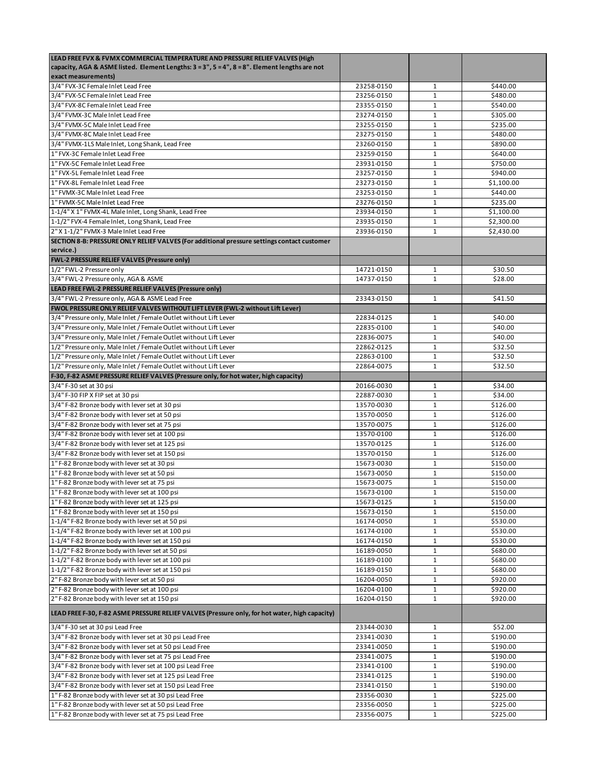| LEAD FREE FVX & FVMX COMMERCIAL TEMPERATURE AND PRESSURE RELIEF VALVES (High                   |            |              |            |
|------------------------------------------------------------------------------------------------|------------|--------------|------------|
| capacity, AGA & ASME listed. Element Lengths: 3 = 3", 5 = 4", 8 = 8". Element lengths are not  |            |              |            |
| exact measurements)                                                                            |            |              |            |
| 3/4" FVX-3C Female Inlet Lead Free                                                             | 23258-0150 | 1            | \$440.00   |
| 3/4" FVX-5C Female Inlet Lead Free                                                             | 23256-0150 | $\mathbf{1}$ | \$480.00   |
| 3/4" FVX-8C Female Inlet Lead Free                                                             | 23355-0150 | 1            | \$540.00   |
| 3/4" FVMX-3C Male Inlet Lead Free                                                              | 23274-0150 | $\mathbf 1$  | \$305.00   |
| 3/4" FVMX-5C Male Inlet Lead Free                                                              | 23255-0150 | $\mathbf 1$  | \$235.00   |
| 3/4" FVMX-8C Male Inlet Lead Free                                                              | 23275-0150 | 1            | \$480.00   |
| 3/4" FVMX-1LS Male Inlet, Long Shank, Lead Free                                                | 23260-0150 | $\mathbf{1}$ | \$890.00   |
| 1" FVX-3C Female Inlet Lead Free                                                               | 23259-0150 | $\mathbf{1}$ | \$640.00   |
| 1" FVX-5C Female Inlet Lead Free                                                               | 23931-0150 | $\mathbf{1}$ | \$750.00   |
| 1" FVX-5L Female Inlet Lead Free                                                               | 23257-0150 | $\mathbf 1$  | \$940.00   |
| 1" FVX-8L Female Inlet Lead Free                                                               | 23273-0150 | $\mathbf{1}$ | \$1,100.00 |
| 1" FVMX-3C Male Inlet Lead Free                                                                | 23253-0150 | $\mathbf{1}$ | \$440.00   |
| 1" FVMX-5C Male Inlet Lead Free                                                                | 23276-0150 | $\mathbf{1}$ | \$235.00   |
| 1-1/4" X 1" FVMX-4L Male Inlet, Long Shank, Lead Free                                          | 23934-0150 | $\mathbf{1}$ | \$1,100.00 |
| 1-1/2" FVX-4 Female Inlet, Long Shank, Lead Free                                               | 23935-0150 | $\mathbf{1}$ | \$2,300.00 |
| 2" X 1-1/2" FVMX-3 Male Inlet Lead Free                                                        | 23936-0150 | $\mathbf{1}$ | \$2,430.00 |
| SECTION 8-B: PRESSURE ONLY RELIEF VALVES (For additional pressure settings contact customer    |            |              |            |
| service.)                                                                                      |            |              |            |
| <b>FWL-2 PRESSURE RELIEF VALVES (Pressure only)</b>                                            |            |              |            |
| 1/2" FWL-2 Pressure only                                                                       | 14721-0150 | $\mathbf{1}$ | \$30.50    |
| 3/4" FWL-2 Pressure only, AGA & ASME                                                           | 14737-0150 | $\mathbf{1}$ | \$28.00    |
| LEAD FREE FWL-2 PRESSURE RELIEF VALVES (Pressure only)                                         |            |              |            |
| 3/4" FWL-2 Pressure only, AGA & ASME Lead Free                                                 | 23343-0150 | 1            | \$41.50    |
| FWOL PRESSURE ONLY RELIEF VALVES WITHOUT LIFT LEVER (FWL-2 without Lift Lever)                 |            |              |            |
| 3/4" Pressure only, Male Inlet / Female Outlet without Lift Lever                              | 22834-0125 | 1            | \$40.00    |
| 3/4" Pressure only, Male Inlet / Female Outlet without Lift Lever                              | 22835-0100 | 1            | \$40.00    |
| 3/4" Pressure only, Male Inlet / Female Outlet without Lift Lever                              | 22836-0075 | $\mathbf{1}$ | \$40.00    |
| 1/2" Pressure only, Male Inlet / Female Outlet without Lift Lever                              | 22862-0125 | $\mathbf{1}$ | \$32.50    |
| 1/2" Pressure only, Male Inlet / Female Outlet without Lift Lever                              | 22863-0100 | $\mathbf{1}$ | \$32.50    |
| 1/2" Pressure only, Male Inlet / Female Outlet without Lift Lever                              | 22864-0075 | $\mathbf{1}$ | \$32.50    |
| F-30, F-82 ASME PRESSURE RELIEF VALVES (Pressure only, for hot water, high capacity)           |            |              |            |
| 3/4" F-30 set at 30 psi                                                                        | 20166-0030 | 1            | \$34.00    |
| 3/4" F-30 FIP X FIP set at 30 psi                                                              | 22887-0030 | $\mathbf{1}$ | \$34.00    |
| 3/4" F-82 Bronze body with lever set at 30 psi                                                 | 13570-0030 | $\mathbf{1}$ | \$126.00   |
| 3/4" F-82 Bronze body with lever set at 50 psi                                                 | 13570-0050 | $\mathbf{1}$ | \$126.00   |
| 3/4" F-82 Bronze body with lever set at 75 psi                                                 | 13570-0075 | $\mathbf{1}$ | \$126.00   |
| 3/4" F-82 Bronze body with lever set at 100 psi                                                | 13570-0100 | $\mathbf{1}$ | \$126.00   |
| 3/4" F-82 Bronze body with lever set at 125 psi                                                | 13570-0125 | $\mathbf 1$  | \$126.00   |
| 3/4" F-82 Bronze body with lever set at 150 psi                                                | 13570-0150 | $\mathbf{1}$ | \$126.00   |
| 1"F-82 Bronze body with lever set at 30 psi                                                    | 15673-0030 | $\mathbf{1}$ | \$150.00   |
| 1" F-82 Bronze body with lever set at 50 psi                                                   | 15673-0050 | $\mathbf{1}$ | \$150.00   |
| 1" F-82 Bronze body with lever set at 75 psi                                                   | 15673-0075 | $\mathbf{1}$ | \$150.00   |
| 1" F-82 Bronze body with lever set at 100 psi                                                  | 15673-0100 | 1            | \$150.00   |
| 1" F-82 Bronze body with lever set at 125 psi                                                  | 15673-0125 | $\mathbf 1$  | \$150.00   |
| 1" F-82 Bronze body with lever set at 150 psi                                                  | 15673-0150 | $1\,$        | \$150.00   |
| 1-1/4" F-82 Bronze body with lever set at 50 psi                                               | 16174-0050 | $\mathbf{1}$ | \$530.00   |
| 1-1/4" F-82 Bronze body with lever set at 100 psi                                              | 16174-0100 | $1\,$        | \$530.00   |
| 1-1/4" F-82 Bronze body with lever set at 150 psi                                              | 16174-0150 | $1\,$        | \$530.00   |
| 1-1/2" F-82 Bronze body with lever set at 50 psi                                               | 16189-0050 | $1\,$        | \$680.00   |
| 1-1/2" F-82 Bronze body with lever set at 100 psi                                              | 16189-0100 | $\mathbf 1$  | \$680.00   |
| 1-1/2" F-82 Bronze body with lever set at 150 psi                                              | 16189-0150 | $\mathbf{1}$ | \$680.00   |
| 2" F-82 Bronze body with lever set at 50 psi                                                   | 16204-0050 | $1\,$        | \$920.00   |
| 2" F-82 Bronze body with lever set at 100 psi                                                  | 16204-0100 | $\mathbf 1$  | \$920.00   |
| 2" F-82 Bronze body with lever set at 150 psi                                                  | 16204-0150 | $\mathbf{1}$ | \$920.00   |
| LEAD FREE F-30, F-82 ASME PRESSURE RELIEF VALVES (Pressure only, for hot water, high capacity) |            |              |            |
| 3/4" F-30 set at 30 psi Lead Free                                                              | 23344-0030 | $\mathbf{1}$ | \$52.00    |
| 3/4" F-82 Bronze body with lever set at 30 psi Lead Free                                       | 23341-0030 | $\mathbf 1$  | \$190.00   |
| 3/4" F-82 Bronze body with lever set at 50 psi Lead Free                                       | 23341-0050 | $\mathbf{1}$ | \$190.00   |
| 3/4" F-82 Bronze body with lever set at 75 psi Lead Free                                       | 23341-0075 | 1            | \$190.00   |
| 3/4" F-82 Bronze body with lever set at 100 psi Lead Free                                      | 23341-0100 | $\mathbf{1}$ | \$190.00   |
| 3/4" F-82 Bronze body with lever set at 125 psi Lead Free                                      | 23341-0125 | $1\,$        | \$190.00   |
| 3/4" F-82 Bronze body with lever set at 150 psi Lead Free                                      | 23341-0150 | $1\,$        | \$190.00   |
| 1" F-82 Bronze body with lever set at 30 psi Lead Free                                         | 23356-0030 | $\mathbf 1$  | \$225.00   |
| 1" F-82 Bronze body with lever set at 50 psi Lead Free                                         | 23356-0050 | $\mathbf{1}$ | \$225.00   |
| 1" F-82 Bronze body with lever set at 75 psi Lead Free                                         | 23356-0075 | $\mathbf{1}$ | \$225.00   |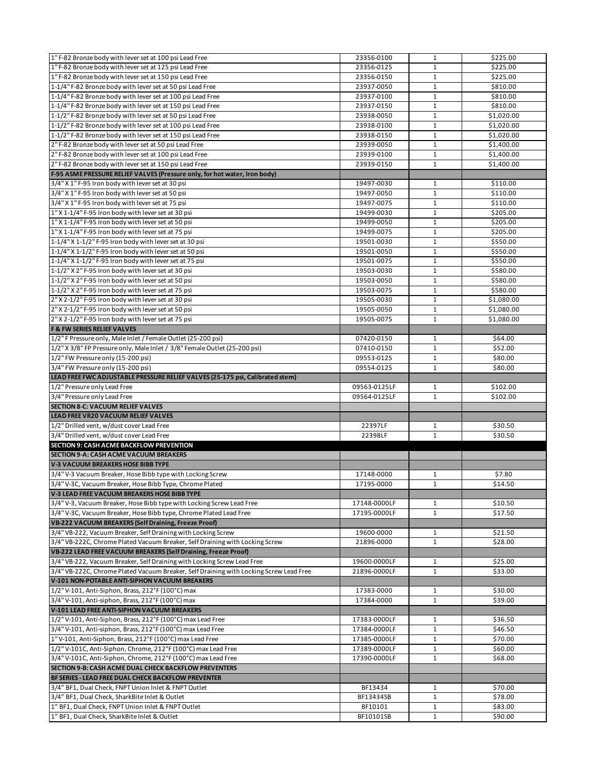| 1" F-82 Bronze body with lever set at 125 psi Lead Free<br>23356-0125<br>$\mathbf{1}$<br>\$225.00<br>1" F-82 Bronze body with lever set at 150 psi Lead Free<br>\$225.00<br>23356-0150<br>1<br>1-1/4" F-82 Bronze body with lever set at 50 psi Lead Free<br>$\mathbf{1}$<br>23937-0050<br>\$810.00<br>1-1/4" F-82 Bronze body with lever set at 100 psi Lead Free<br>23937-0100<br>$\mathbf{1}$<br>\$810.00<br>1-1/4" F-82 Bronze body with lever set at 150 psi Lead Free<br>23937-0150<br>$\mathbf{1}$<br>\$810.00<br>1-1/2" F-82 Bronze body with lever set at 50 psi Lead Free<br>23938-0050<br>$\mathbf{1}$<br>\$1,020.00<br>1-1/2" F-82 Bronze body with lever set at 100 psi Lead Free<br>23938-0100<br>$1\,$<br>\$1,020.00<br>1-1/2" F-82 Bronze body with lever set at 150 psi Lead Free<br>23938-0150<br>$\mathbf{1}$<br>\$1,020.00<br>2" F-82 Bronze body with lever set at 50 psi Lead Free<br>$\mathbf 1$<br>\$1,400.00<br>23939-0050<br>2" F-82 Bronze body with lever set at 100 psi Lead Free<br>$\mathbf 1$<br>23939-0100<br>\$1,400.00<br>2" F-82 Bronze body with lever set at 150 psi Lead Free<br>\$1,400.00<br>23939-0150<br>1<br>F-95 ASME PRESSURE RELIEF VALVES (Pressure only, for hot water, Iron body)<br>3/4" X 1" F-95 Iron body with lever set at 30 psi<br>\$110.00<br>19497-0030<br>$\mathbf{1}$<br>$\mathbf 1$<br>3/4" X 1" F-95 Iron body with lever set at 50 psi<br>\$110.00<br>19497-0050<br>3/4" X 1" F-95 Iron body with lever set at 75 psi<br>$\mathbf 1$<br>19497-0075<br>\$110.00<br>1" X 1-1/4" F-95 Iron body with lever set at 30 psi<br>19499-0030<br>\$205.00<br>$\mathbf{1}$<br>$\mathbf 1$<br>1" X 1-1/4" F-95 Iron body with lever set at 50 psi<br>\$205.00<br>19499-0050<br>1" X 1-1/4" F-95 Iron body with lever set at 75 psi<br>19499-0075<br>$\mathbf{1}$<br>\$205.00<br>1-1/4" X 1-1/2" F-95 Iron body with lever set at 30 psi<br>\$550.00<br>19501-0030<br>1<br>$\mathbf{1}$<br>1-1/4" X 1-1/2" F-95 Iron body with lever set at 50 psi<br>19501-0050<br>\$550.00<br>1-1/4" X 1-1/2" F-95 Iron body with lever set at 75 psi<br>19501-0075<br>$\mathbf{1}$<br>\$550.00<br>1-1/2" X 2" F-95 Iron body with lever set at 30 psi<br>\$580.00<br>19503-0030<br>$\mathbf{1}$<br>1-1/2" X 2" F-95 Iron body with lever set at 50 psi<br>$\mathbf 1$<br>19503-0050<br>\$580.00<br>1-1/2" X 2" F-95 Iron body with lever set at 75 psi<br>19503-0075<br>$\mathbf{1}$<br>\$580.00<br>2" X 2-1/2" F-95 Iron body with lever set at 30 psi<br>19505-0030<br>$\mathbf{1}$<br>\$1,080.00<br>2" X 2-1/2" F-95 Iron body with lever set at 50 psi<br>19505-0050<br>$\mathbf{1}$<br>\$1,080.00<br>2" X 2-1/2" F-95 Iron body with lever set at 75 psi<br>19505-0075<br>$\mathbf{1}$<br>\$1,080.00<br><b>F &amp; FW SERIES RELIEF VALVES</b><br>1/2" F Pressure only, Male Inlet / Female Outlet (25-200 psi)<br>07420-0150<br>$\mathbf{1}$<br>\$64.00<br>1/2" X 3/8" FP Pressure only, Male Inlet / 3/8" Female Outlet (25-200 psi)<br>$\mathbf 1$<br>07410-0150<br>\$52.00<br>1/2" FW Pressure only (15-200 psi)<br>09553-0125<br>\$80.00<br>1<br>3/4" FW Pressure only (15-200 psi)<br>09554-0125<br>$\mathbf{1}$<br>\$80.00<br>LEAD FREE FWC ADJUSTABLE PRESSURE RELIEF VALVES (25-175 psi, Calibrated stem)<br>1/2" Pressure only Lead Free<br>\$102.00<br>09563-0125LF<br>$\mathbf{1}$<br>3/4" Pressure only Lead Free<br>$\mathbf{1}$<br>09564-0125LF<br>\$102.00<br><b>SECTION 8-C: VACUUM RELIEF VALVES</b><br>LEAD FREE VR20 VACUUM RELIEF VALVES<br>1/2" Drilled vent, w/dust cover Lead Free<br>22397LF<br>\$30.50<br>$\mathbf{1}$<br>3/4" Drilled vent, w/dust cover Lead Free<br>22398LF<br>\$30.50<br>1<br>SECTION 9: CASH ACME BACKFLOW PREVENTION<br><b>SECTION 9-A: CASH ACME VACUUM BREAKERS</b><br>V-3 VACUUM BREAKERS HOSE BIBB TYPE<br>3/4" V-3 Vacuum Breaker, Hose Bibb type with Locking Screw<br>17148-0000<br>\$7.80<br>1<br>3/4" V-3C, Vacuum Breaker, Hose Bibb Type, Chrome Plated<br>$\mathbf{1}$<br>17195-0000<br>\$14.50 | 1" F-82 Bronze body with lever set at 100 psi Lead Free               | 23356-0100   | $\mathbf{1}$ | \$225.00 |
|--------------------------------------------------------------------------------------------------------------------------------------------------------------------------------------------------------------------------------------------------------------------------------------------------------------------------------------------------------------------------------------------------------------------------------------------------------------------------------------------------------------------------------------------------------------------------------------------------------------------------------------------------------------------------------------------------------------------------------------------------------------------------------------------------------------------------------------------------------------------------------------------------------------------------------------------------------------------------------------------------------------------------------------------------------------------------------------------------------------------------------------------------------------------------------------------------------------------------------------------------------------------------------------------------------------------------------------------------------------------------------------------------------------------------------------------------------------------------------------------------------------------------------------------------------------------------------------------------------------------------------------------------------------------------------------------------------------------------------------------------------------------------------------------------------------------------------------------------------------------------------------------------------------------------------------------------------------------------------------------------------------------------------------------------------------------------------------------------------------------------------------------------------------------------------------------------------------------------------------------------------------------------------------------------------------------------------------------------------------------------------------------------------------------------------------------------------------------------------------------------------------------------------------------------------------------------------------------------------------------------------------------------------------------------------------------------------------------------------------------------------------------------------------------------------------------------------------------------------------------------------------------------------------------------------------------------------------------------------------------------------------------------------------------------------------------------------------------------------------------------------------------------------------------------------------------------------------------------------------------------------------------------------------------------------------------------------------------------------------------------------------------------------------------------------------------------------------------------------------------------------------------------------------------------------------------------------------------------------------------------------------------------------------------------------------------------------------------------------------------------------------------------------------------------------------------------------------------------------------------------------------------------------------------------------------------------------------------------------------------------------|-----------------------------------------------------------------------|--------------|--------------|----------|
|                                                                                                                                                                                                                                                                                                                                                                                                                                                                                                                                                                                                                                                                                                                                                                                                                                                                                                                                                                                                                                                                                                                                                                                                                                                                                                                                                                                                                                                                                                                                                                                                                                                                                                                                                                                                                                                                                                                                                                                                                                                                                                                                                                                                                                                                                                                                                                                                                                                                                                                                                                                                                                                                                                                                                                                                                                                                                                                                                                                                                                                                                                                                                                                                                                                                                                                                                                                                                                                                                                                                                                                                                                                                                                                                                                                                                                                                                                                                                                                                        |                                                                       |              |              |          |
|                                                                                                                                                                                                                                                                                                                                                                                                                                                                                                                                                                                                                                                                                                                                                                                                                                                                                                                                                                                                                                                                                                                                                                                                                                                                                                                                                                                                                                                                                                                                                                                                                                                                                                                                                                                                                                                                                                                                                                                                                                                                                                                                                                                                                                                                                                                                                                                                                                                                                                                                                                                                                                                                                                                                                                                                                                                                                                                                                                                                                                                                                                                                                                                                                                                                                                                                                                                                                                                                                                                                                                                                                                                                                                                                                                                                                                                                                                                                                                                                        |                                                                       |              |              |          |
|                                                                                                                                                                                                                                                                                                                                                                                                                                                                                                                                                                                                                                                                                                                                                                                                                                                                                                                                                                                                                                                                                                                                                                                                                                                                                                                                                                                                                                                                                                                                                                                                                                                                                                                                                                                                                                                                                                                                                                                                                                                                                                                                                                                                                                                                                                                                                                                                                                                                                                                                                                                                                                                                                                                                                                                                                                                                                                                                                                                                                                                                                                                                                                                                                                                                                                                                                                                                                                                                                                                                                                                                                                                                                                                                                                                                                                                                                                                                                                                                        |                                                                       |              |              |          |
|                                                                                                                                                                                                                                                                                                                                                                                                                                                                                                                                                                                                                                                                                                                                                                                                                                                                                                                                                                                                                                                                                                                                                                                                                                                                                                                                                                                                                                                                                                                                                                                                                                                                                                                                                                                                                                                                                                                                                                                                                                                                                                                                                                                                                                                                                                                                                                                                                                                                                                                                                                                                                                                                                                                                                                                                                                                                                                                                                                                                                                                                                                                                                                                                                                                                                                                                                                                                                                                                                                                                                                                                                                                                                                                                                                                                                                                                                                                                                                                                        |                                                                       |              |              |          |
|                                                                                                                                                                                                                                                                                                                                                                                                                                                                                                                                                                                                                                                                                                                                                                                                                                                                                                                                                                                                                                                                                                                                                                                                                                                                                                                                                                                                                                                                                                                                                                                                                                                                                                                                                                                                                                                                                                                                                                                                                                                                                                                                                                                                                                                                                                                                                                                                                                                                                                                                                                                                                                                                                                                                                                                                                                                                                                                                                                                                                                                                                                                                                                                                                                                                                                                                                                                                                                                                                                                                                                                                                                                                                                                                                                                                                                                                                                                                                                                                        |                                                                       |              |              |          |
|                                                                                                                                                                                                                                                                                                                                                                                                                                                                                                                                                                                                                                                                                                                                                                                                                                                                                                                                                                                                                                                                                                                                                                                                                                                                                                                                                                                                                                                                                                                                                                                                                                                                                                                                                                                                                                                                                                                                                                                                                                                                                                                                                                                                                                                                                                                                                                                                                                                                                                                                                                                                                                                                                                                                                                                                                                                                                                                                                                                                                                                                                                                                                                                                                                                                                                                                                                                                                                                                                                                                                                                                                                                                                                                                                                                                                                                                                                                                                                                                        |                                                                       |              |              |          |
|                                                                                                                                                                                                                                                                                                                                                                                                                                                                                                                                                                                                                                                                                                                                                                                                                                                                                                                                                                                                                                                                                                                                                                                                                                                                                                                                                                                                                                                                                                                                                                                                                                                                                                                                                                                                                                                                                                                                                                                                                                                                                                                                                                                                                                                                                                                                                                                                                                                                                                                                                                                                                                                                                                                                                                                                                                                                                                                                                                                                                                                                                                                                                                                                                                                                                                                                                                                                                                                                                                                                                                                                                                                                                                                                                                                                                                                                                                                                                                                                        |                                                                       |              |              |          |
|                                                                                                                                                                                                                                                                                                                                                                                                                                                                                                                                                                                                                                                                                                                                                                                                                                                                                                                                                                                                                                                                                                                                                                                                                                                                                                                                                                                                                                                                                                                                                                                                                                                                                                                                                                                                                                                                                                                                                                                                                                                                                                                                                                                                                                                                                                                                                                                                                                                                                                                                                                                                                                                                                                                                                                                                                                                                                                                                                                                                                                                                                                                                                                                                                                                                                                                                                                                                                                                                                                                                                                                                                                                                                                                                                                                                                                                                                                                                                                                                        |                                                                       |              |              |          |
|                                                                                                                                                                                                                                                                                                                                                                                                                                                                                                                                                                                                                                                                                                                                                                                                                                                                                                                                                                                                                                                                                                                                                                                                                                                                                                                                                                                                                                                                                                                                                                                                                                                                                                                                                                                                                                                                                                                                                                                                                                                                                                                                                                                                                                                                                                                                                                                                                                                                                                                                                                                                                                                                                                                                                                                                                                                                                                                                                                                                                                                                                                                                                                                                                                                                                                                                                                                                                                                                                                                                                                                                                                                                                                                                                                                                                                                                                                                                                                                                        |                                                                       |              |              |          |
|                                                                                                                                                                                                                                                                                                                                                                                                                                                                                                                                                                                                                                                                                                                                                                                                                                                                                                                                                                                                                                                                                                                                                                                                                                                                                                                                                                                                                                                                                                                                                                                                                                                                                                                                                                                                                                                                                                                                                                                                                                                                                                                                                                                                                                                                                                                                                                                                                                                                                                                                                                                                                                                                                                                                                                                                                                                                                                                                                                                                                                                                                                                                                                                                                                                                                                                                                                                                                                                                                                                                                                                                                                                                                                                                                                                                                                                                                                                                                                                                        |                                                                       |              |              |          |
|                                                                                                                                                                                                                                                                                                                                                                                                                                                                                                                                                                                                                                                                                                                                                                                                                                                                                                                                                                                                                                                                                                                                                                                                                                                                                                                                                                                                                                                                                                                                                                                                                                                                                                                                                                                                                                                                                                                                                                                                                                                                                                                                                                                                                                                                                                                                                                                                                                                                                                                                                                                                                                                                                                                                                                                                                                                                                                                                                                                                                                                                                                                                                                                                                                                                                                                                                                                                                                                                                                                                                                                                                                                                                                                                                                                                                                                                                                                                                                                                        |                                                                       |              |              |          |
|                                                                                                                                                                                                                                                                                                                                                                                                                                                                                                                                                                                                                                                                                                                                                                                                                                                                                                                                                                                                                                                                                                                                                                                                                                                                                                                                                                                                                                                                                                                                                                                                                                                                                                                                                                                                                                                                                                                                                                                                                                                                                                                                                                                                                                                                                                                                                                                                                                                                                                                                                                                                                                                                                                                                                                                                                                                                                                                                                                                                                                                                                                                                                                                                                                                                                                                                                                                                                                                                                                                                                                                                                                                                                                                                                                                                                                                                                                                                                                                                        |                                                                       |              |              |          |
|                                                                                                                                                                                                                                                                                                                                                                                                                                                                                                                                                                                                                                                                                                                                                                                                                                                                                                                                                                                                                                                                                                                                                                                                                                                                                                                                                                                                                                                                                                                                                                                                                                                                                                                                                                                                                                                                                                                                                                                                                                                                                                                                                                                                                                                                                                                                                                                                                                                                                                                                                                                                                                                                                                                                                                                                                                                                                                                                                                                                                                                                                                                                                                                                                                                                                                                                                                                                                                                                                                                                                                                                                                                                                                                                                                                                                                                                                                                                                                                                        |                                                                       |              |              |          |
|                                                                                                                                                                                                                                                                                                                                                                                                                                                                                                                                                                                                                                                                                                                                                                                                                                                                                                                                                                                                                                                                                                                                                                                                                                                                                                                                                                                                                                                                                                                                                                                                                                                                                                                                                                                                                                                                                                                                                                                                                                                                                                                                                                                                                                                                                                                                                                                                                                                                                                                                                                                                                                                                                                                                                                                                                                                                                                                                                                                                                                                                                                                                                                                                                                                                                                                                                                                                                                                                                                                                                                                                                                                                                                                                                                                                                                                                                                                                                                                                        |                                                                       |              |              |          |
|                                                                                                                                                                                                                                                                                                                                                                                                                                                                                                                                                                                                                                                                                                                                                                                                                                                                                                                                                                                                                                                                                                                                                                                                                                                                                                                                                                                                                                                                                                                                                                                                                                                                                                                                                                                                                                                                                                                                                                                                                                                                                                                                                                                                                                                                                                                                                                                                                                                                                                                                                                                                                                                                                                                                                                                                                                                                                                                                                                                                                                                                                                                                                                                                                                                                                                                                                                                                                                                                                                                                                                                                                                                                                                                                                                                                                                                                                                                                                                                                        |                                                                       |              |              |          |
|                                                                                                                                                                                                                                                                                                                                                                                                                                                                                                                                                                                                                                                                                                                                                                                                                                                                                                                                                                                                                                                                                                                                                                                                                                                                                                                                                                                                                                                                                                                                                                                                                                                                                                                                                                                                                                                                                                                                                                                                                                                                                                                                                                                                                                                                                                                                                                                                                                                                                                                                                                                                                                                                                                                                                                                                                                                                                                                                                                                                                                                                                                                                                                                                                                                                                                                                                                                                                                                                                                                                                                                                                                                                                                                                                                                                                                                                                                                                                                                                        |                                                                       |              |              |          |
|                                                                                                                                                                                                                                                                                                                                                                                                                                                                                                                                                                                                                                                                                                                                                                                                                                                                                                                                                                                                                                                                                                                                                                                                                                                                                                                                                                                                                                                                                                                                                                                                                                                                                                                                                                                                                                                                                                                                                                                                                                                                                                                                                                                                                                                                                                                                                                                                                                                                                                                                                                                                                                                                                                                                                                                                                                                                                                                                                                                                                                                                                                                                                                                                                                                                                                                                                                                                                                                                                                                                                                                                                                                                                                                                                                                                                                                                                                                                                                                                        |                                                                       |              |              |          |
|                                                                                                                                                                                                                                                                                                                                                                                                                                                                                                                                                                                                                                                                                                                                                                                                                                                                                                                                                                                                                                                                                                                                                                                                                                                                                                                                                                                                                                                                                                                                                                                                                                                                                                                                                                                                                                                                                                                                                                                                                                                                                                                                                                                                                                                                                                                                                                                                                                                                                                                                                                                                                                                                                                                                                                                                                                                                                                                                                                                                                                                                                                                                                                                                                                                                                                                                                                                                                                                                                                                                                                                                                                                                                                                                                                                                                                                                                                                                                                                                        |                                                                       |              |              |          |
|                                                                                                                                                                                                                                                                                                                                                                                                                                                                                                                                                                                                                                                                                                                                                                                                                                                                                                                                                                                                                                                                                                                                                                                                                                                                                                                                                                                                                                                                                                                                                                                                                                                                                                                                                                                                                                                                                                                                                                                                                                                                                                                                                                                                                                                                                                                                                                                                                                                                                                                                                                                                                                                                                                                                                                                                                                                                                                                                                                                                                                                                                                                                                                                                                                                                                                                                                                                                                                                                                                                                                                                                                                                                                                                                                                                                                                                                                                                                                                                                        |                                                                       |              |              |          |
|                                                                                                                                                                                                                                                                                                                                                                                                                                                                                                                                                                                                                                                                                                                                                                                                                                                                                                                                                                                                                                                                                                                                                                                                                                                                                                                                                                                                                                                                                                                                                                                                                                                                                                                                                                                                                                                                                                                                                                                                                                                                                                                                                                                                                                                                                                                                                                                                                                                                                                                                                                                                                                                                                                                                                                                                                                                                                                                                                                                                                                                                                                                                                                                                                                                                                                                                                                                                                                                                                                                                                                                                                                                                                                                                                                                                                                                                                                                                                                                                        |                                                                       |              |              |          |
|                                                                                                                                                                                                                                                                                                                                                                                                                                                                                                                                                                                                                                                                                                                                                                                                                                                                                                                                                                                                                                                                                                                                                                                                                                                                                                                                                                                                                                                                                                                                                                                                                                                                                                                                                                                                                                                                                                                                                                                                                                                                                                                                                                                                                                                                                                                                                                                                                                                                                                                                                                                                                                                                                                                                                                                                                                                                                                                                                                                                                                                                                                                                                                                                                                                                                                                                                                                                                                                                                                                                                                                                                                                                                                                                                                                                                                                                                                                                                                                                        |                                                                       |              |              |          |
|                                                                                                                                                                                                                                                                                                                                                                                                                                                                                                                                                                                                                                                                                                                                                                                                                                                                                                                                                                                                                                                                                                                                                                                                                                                                                                                                                                                                                                                                                                                                                                                                                                                                                                                                                                                                                                                                                                                                                                                                                                                                                                                                                                                                                                                                                                                                                                                                                                                                                                                                                                                                                                                                                                                                                                                                                                                                                                                                                                                                                                                                                                                                                                                                                                                                                                                                                                                                                                                                                                                                                                                                                                                                                                                                                                                                                                                                                                                                                                                                        |                                                                       |              |              |          |
|                                                                                                                                                                                                                                                                                                                                                                                                                                                                                                                                                                                                                                                                                                                                                                                                                                                                                                                                                                                                                                                                                                                                                                                                                                                                                                                                                                                                                                                                                                                                                                                                                                                                                                                                                                                                                                                                                                                                                                                                                                                                                                                                                                                                                                                                                                                                                                                                                                                                                                                                                                                                                                                                                                                                                                                                                                                                                                                                                                                                                                                                                                                                                                                                                                                                                                                                                                                                                                                                                                                                                                                                                                                                                                                                                                                                                                                                                                                                                                                                        |                                                                       |              |              |          |
|                                                                                                                                                                                                                                                                                                                                                                                                                                                                                                                                                                                                                                                                                                                                                                                                                                                                                                                                                                                                                                                                                                                                                                                                                                                                                                                                                                                                                                                                                                                                                                                                                                                                                                                                                                                                                                                                                                                                                                                                                                                                                                                                                                                                                                                                                                                                                                                                                                                                                                                                                                                                                                                                                                                                                                                                                                                                                                                                                                                                                                                                                                                                                                                                                                                                                                                                                                                                                                                                                                                                                                                                                                                                                                                                                                                                                                                                                                                                                                                                        |                                                                       |              |              |          |
|                                                                                                                                                                                                                                                                                                                                                                                                                                                                                                                                                                                                                                                                                                                                                                                                                                                                                                                                                                                                                                                                                                                                                                                                                                                                                                                                                                                                                                                                                                                                                                                                                                                                                                                                                                                                                                                                                                                                                                                                                                                                                                                                                                                                                                                                                                                                                                                                                                                                                                                                                                                                                                                                                                                                                                                                                                                                                                                                                                                                                                                                                                                                                                                                                                                                                                                                                                                                                                                                                                                                                                                                                                                                                                                                                                                                                                                                                                                                                                                                        |                                                                       |              |              |          |
|                                                                                                                                                                                                                                                                                                                                                                                                                                                                                                                                                                                                                                                                                                                                                                                                                                                                                                                                                                                                                                                                                                                                                                                                                                                                                                                                                                                                                                                                                                                                                                                                                                                                                                                                                                                                                                                                                                                                                                                                                                                                                                                                                                                                                                                                                                                                                                                                                                                                                                                                                                                                                                                                                                                                                                                                                                                                                                                                                                                                                                                                                                                                                                                                                                                                                                                                                                                                                                                                                                                                                                                                                                                                                                                                                                                                                                                                                                                                                                                                        |                                                                       |              |              |          |
|                                                                                                                                                                                                                                                                                                                                                                                                                                                                                                                                                                                                                                                                                                                                                                                                                                                                                                                                                                                                                                                                                                                                                                                                                                                                                                                                                                                                                                                                                                                                                                                                                                                                                                                                                                                                                                                                                                                                                                                                                                                                                                                                                                                                                                                                                                                                                                                                                                                                                                                                                                                                                                                                                                                                                                                                                                                                                                                                                                                                                                                                                                                                                                                                                                                                                                                                                                                                                                                                                                                                                                                                                                                                                                                                                                                                                                                                                                                                                                                                        |                                                                       |              |              |          |
|                                                                                                                                                                                                                                                                                                                                                                                                                                                                                                                                                                                                                                                                                                                                                                                                                                                                                                                                                                                                                                                                                                                                                                                                                                                                                                                                                                                                                                                                                                                                                                                                                                                                                                                                                                                                                                                                                                                                                                                                                                                                                                                                                                                                                                                                                                                                                                                                                                                                                                                                                                                                                                                                                                                                                                                                                                                                                                                                                                                                                                                                                                                                                                                                                                                                                                                                                                                                                                                                                                                                                                                                                                                                                                                                                                                                                                                                                                                                                                                                        |                                                                       |              |              |          |
|                                                                                                                                                                                                                                                                                                                                                                                                                                                                                                                                                                                                                                                                                                                                                                                                                                                                                                                                                                                                                                                                                                                                                                                                                                                                                                                                                                                                                                                                                                                                                                                                                                                                                                                                                                                                                                                                                                                                                                                                                                                                                                                                                                                                                                                                                                                                                                                                                                                                                                                                                                                                                                                                                                                                                                                                                                                                                                                                                                                                                                                                                                                                                                                                                                                                                                                                                                                                                                                                                                                                                                                                                                                                                                                                                                                                                                                                                                                                                                                                        |                                                                       |              |              |          |
|                                                                                                                                                                                                                                                                                                                                                                                                                                                                                                                                                                                                                                                                                                                                                                                                                                                                                                                                                                                                                                                                                                                                                                                                                                                                                                                                                                                                                                                                                                                                                                                                                                                                                                                                                                                                                                                                                                                                                                                                                                                                                                                                                                                                                                                                                                                                                                                                                                                                                                                                                                                                                                                                                                                                                                                                                                                                                                                                                                                                                                                                                                                                                                                                                                                                                                                                                                                                                                                                                                                                                                                                                                                                                                                                                                                                                                                                                                                                                                                                        |                                                                       |              |              |          |
|                                                                                                                                                                                                                                                                                                                                                                                                                                                                                                                                                                                                                                                                                                                                                                                                                                                                                                                                                                                                                                                                                                                                                                                                                                                                                                                                                                                                                                                                                                                                                                                                                                                                                                                                                                                                                                                                                                                                                                                                                                                                                                                                                                                                                                                                                                                                                                                                                                                                                                                                                                                                                                                                                                                                                                                                                                                                                                                                                                                                                                                                                                                                                                                                                                                                                                                                                                                                                                                                                                                                                                                                                                                                                                                                                                                                                                                                                                                                                                                                        |                                                                       |              |              |          |
|                                                                                                                                                                                                                                                                                                                                                                                                                                                                                                                                                                                                                                                                                                                                                                                                                                                                                                                                                                                                                                                                                                                                                                                                                                                                                                                                                                                                                                                                                                                                                                                                                                                                                                                                                                                                                                                                                                                                                                                                                                                                                                                                                                                                                                                                                                                                                                                                                                                                                                                                                                                                                                                                                                                                                                                                                                                                                                                                                                                                                                                                                                                                                                                                                                                                                                                                                                                                                                                                                                                                                                                                                                                                                                                                                                                                                                                                                                                                                                                                        |                                                                       |              |              |          |
|                                                                                                                                                                                                                                                                                                                                                                                                                                                                                                                                                                                                                                                                                                                                                                                                                                                                                                                                                                                                                                                                                                                                                                                                                                                                                                                                                                                                                                                                                                                                                                                                                                                                                                                                                                                                                                                                                                                                                                                                                                                                                                                                                                                                                                                                                                                                                                                                                                                                                                                                                                                                                                                                                                                                                                                                                                                                                                                                                                                                                                                                                                                                                                                                                                                                                                                                                                                                                                                                                                                                                                                                                                                                                                                                                                                                                                                                                                                                                                                                        |                                                                       |              |              |          |
|                                                                                                                                                                                                                                                                                                                                                                                                                                                                                                                                                                                                                                                                                                                                                                                                                                                                                                                                                                                                                                                                                                                                                                                                                                                                                                                                                                                                                                                                                                                                                                                                                                                                                                                                                                                                                                                                                                                                                                                                                                                                                                                                                                                                                                                                                                                                                                                                                                                                                                                                                                                                                                                                                                                                                                                                                                                                                                                                                                                                                                                                                                                                                                                                                                                                                                                                                                                                                                                                                                                                                                                                                                                                                                                                                                                                                                                                                                                                                                                                        |                                                                       |              |              |          |
|                                                                                                                                                                                                                                                                                                                                                                                                                                                                                                                                                                                                                                                                                                                                                                                                                                                                                                                                                                                                                                                                                                                                                                                                                                                                                                                                                                                                                                                                                                                                                                                                                                                                                                                                                                                                                                                                                                                                                                                                                                                                                                                                                                                                                                                                                                                                                                                                                                                                                                                                                                                                                                                                                                                                                                                                                                                                                                                                                                                                                                                                                                                                                                                                                                                                                                                                                                                                                                                                                                                                                                                                                                                                                                                                                                                                                                                                                                                                                                                                        |                                                                       |              |              |          |
|                                                                                                                                                                                                                                                                                                                                                                                                                                                                                                                                                                                                                                                                                                                                                                                                                                                                                                                                                                                                                                                                                                                                                                                                                                                                                                                                                                                                                                                                                                                                                                                                                                                                                                                                                                                                                                                                                                                                                                                                                                                                                                                                                                                                                                                                                                                                                                                                                                                                                                                                                                                                                                                                                                                                                                                                                                                                                                                                                                                                                                                                                                                                                                                                                                                                                                                                                                                                                                                                                                                                                                                                                                                                                                                                                                                                                                                                                                                                                                                                        |                                                                       |              |              |          |
|                                                                                                                                                                                                                                                                                                                                                                                                                                                                                                                                                                                                                                                                                                                                                                                                                                                                                                                                                                                                                                                                                                                                                                                                                                                                                                                                                                                                                                                                                                                                                                                                                                                                                                                                                                                                                                                                                                                                                                                                                                                                                                                                                                                                                                                                                                                                                                                                                                                                                                                                                                                                                                                                                                                                                                                                                                                                                                                                                                                                                                                                                                                                                                                                                                                                                                                                                                                                                                                                                                                                                                                                                                                                                                                                                                                                                                                                                                                                                                                                        |                                                                       |              |              |          |
|                                                                                                                                                                                                                                                                                                                                                                                                                                                                                                                                                                                                                                                                                                                                                                                                                                                                                                                                                                                                                                                                                                                                                                                                                                                                                                                                                                                                                                                                                                                                                                                                                                                                                                                                                                                                                                                                                                                                                                                                                                                                                                                                                                                                                                                                                                                                                                                                                                                                                                                                                                                                                                                                                                                                                                                                                                                                                                                                                                                                                                                                                                                                                                                                                                                                                                                                                                                                                                                                                                                                                                                                                                                                                                                                                                                                                                                                                                                                                                                                        |                                                                       |              |              |          |
|                                                                                                                                                                                                                                                                                                                                                                                                                                                                                                                                                                                                                                                                                                                                                                                                                                                                                                                                                                                                                                                                                                                                                                                                                                                                                                                                                                                                                                                                                                                                                                                                                                                                                                                                                                                                                                                                                                                                                                                                                                                                                                                                                                                                                                                                                                                                                                                                                                                                                                                                                                                                                                                                                                                                                                                                                                                                                                                                                                                                                                                                                                                                                                                                                                                                                                                                                                                                                                                                                                                                                                                                                                                                                                                                                                                                                                                                                                                                                                                                        |                                                                       |              |              |          |
|                                                                                                                                                                                                                                                                                                                                                                                                                                                                                                                                                                                                                                                                                                                                                                                                                                                                                                                                                                                                                                                                                                                                                                                                                                                                                                                                                                                                                                                                                                                                                                                                                                                                                                                                                                                                                                                                                                                                                                                                                                                                                                                                                                                                                                                                                                                                                                                                                                                                                                                                                                                                                                                                                                                                                                                                                                                                                                                                                                                                                                                                                                                                                                                                                                                                                                                                                                                                                                                                                                                                                                                                                                                                                                                                                                                                                                                                                                                                                                                                        |                                                                       |              |              |          |
|                                                                                                                                                                                                                                                                                                                                                                                                                                                                                                                                                                                                                                                                                                                                                                                                                                                                                                                                                                                                                                                                                                                                                                                                                                                                                                                                                                                                                                                                                                                                                                                                                                                                                                                                                                                                                                                                                                                                                                                                                                                                                                                                                                                                                                                                                                                                                                                                                                                                                                                                                                                                                                                                                                                                                                                                                                                                                                                                                                                                                                                                                                                                                                                                                                                                                                                                                                                                                                                                                                                                                                                                                                                                                                                                                                                                                                                                                                                                                                                                        |                                                                       |              |              |          |
|                                                                                                                                                                                                                                                                                                                                                                                                                                                                                                                                                                                                                                                                                                                                                                                                                                                                                                                                                                                                                                                                                                                                                                                                                                                                                                                                                                                                                                                                                                                                                                                                                                                                                                                                                                                                                                                                                                                                                                                                                                                                                                                                                                                                                                                                                                                                                                                                                                                                                                                                                                                                                                                                                                                                                                                                                                                                                                                                                                                                                                                                                                                                                                                                                                                                                                                                                                                                                                                                                                                                                                                                                                                                                                                                                                                                                                                                                                                                                                                                        |                                                                       |              |              |          |
|                                                                                                                                                                                                                                                                                                                                                                                                                                                                                                                                                                                                                                                                                                                                                                                                                                                                                                                                                                                                                                                                                                                                                                                                                                                                                                                                                                                                                                                                                                                                                                                                                                                                                                                                                                                                                                                                                                                                                                                                                                                                                                                                                                                                                                                                                                                                                                                                                                                                                                                                                                                                                                                                                                                                                                                                                                                                                                                                                                                                                                                                                                                                                                                                                                                                                                                                                                                                                                                                                                                                                                                                                                                                                                                                                                                                                                                                                                                                                                                                        |                                                                       |              |              |          |
|                                                                                                                                                                                                                                                                                                                                                                                                                                                                                                                                                                                                                                                                                                                                                                                                                                                                                                                                                                                                                                                                                                                                                                                                                                                                                                                                                                                                                                                                                                                                                                                                                                                                                                                                                                                                                                                                                                                                                                                                                                                                                                                                                                                                                                                                                                                                                                                                                                                                                                                                                                                                                                                                                                                                                                                                                                                                                                                                                                                                                                                                                                                                                                                                                                                                                                                                                                                                                                                                                                                                                                                                                                                                                                                                                                                                                                                                                                                                                                                                        |                                                                       |              |              |          |
|                                                                                                                                                                                                                                                                                                                                                                                                                                                                                                                                                                                                                                                                                                                                                                                                                                                                                                                                                                                                                                                                                                                                                                                                                                                                                                                                                                                                                                                                                                                                                                                                                                                                                                                                                                                                                                                                                                                                                                                                                                                                                                                                                                                                                                                                                                                                                                                                                                                                                                                                                                                                                                                                                                                                                                                                                                                                                                                                                                                                                                                                                                                                                                                                                                                                                                                                                                                                                                                                                                                                                                                                                                                                                                                                                                                                                                                                                                                                                                                                        |                                                                       |              |              |          |
|                                                                                                                                                                                                                                                                                                                                                                                                                                                                                                                                                                                                                                                                                                                                                                                                                                                                                                                                                                                                                                                                                                                                                                                                                                                                                                                                                                                                                                                                                                                                                                                                                                                                                                                                                                                                                                                                                                                                                                                                                                                                                                                                                                                                                                                                                                                                                                                                                                                                                                                                                                                                                                                                                                                                                                                                                                                                                                                                                                                                                                                                                                                                                                                                                                                                                                                                                                                                                                                                                                                                                                                                                                                                                                                                                                                                                                                                                                                                                                                                        |                                                                       |              |              |          |
|                                                                                                                                                                                                                                                                                                                                                                                                                                                                                                                                                                                                                                                                                                                                                                                                                                                                                                                                                                                                                                                                                                                                                                                                                                                                                                                                                                                                                                                                                                                                                                                                                                                                                                                                                                                                                                                                                                                                                                                                                                                                                                                                                                                                                                                                                                                                                                                                                                                                                                                                                                                                                                                                                                                                                                                                                                                                                                                                                                                                                                                                                                                                                                                                                                                                                                                                                                                                                                                                                                                                                                                                                                                                                                                                                                                                                                                                                                                                                                                                        |                                                                       |              |              |          |
|                                                                                                                                                                                                                                                                                                                                                                                                                                                                                                                                                                                                                                                                                                                                                                                                                                                                                                                                                                                                                                                                                                                                                                                                                                                                                                                                                                                                                                                                                                                                                                                                                                                                                                                                                                                                                                                                                                                                                                                                                                                                                                                                                                                                                                                                                                                                                                                                                                                                                                                                                                                                                                                                                                                                                                                                                                                                                                                                                                                                                                                                                                                                                                                                                                                                                                                                                                                                                                                                                                                                                                                                                                                                                                                                                                                                                                                                                                                                                                                                        |                                                                       |              |              |          |
|                                                                                                                                                                                                                                                                                                                                                                                                                                                                                                                                                                                                                                                                                                                                                                                                                                                                                                                                                                                                                                                                                                                                                                                                                                                                                                                                                                                                                                                                                                                                                                                                                                                                                                                                                                                                                                                                                                                                                                                                                                                                                                                                                                                                                                                                                                                                                                                                                                                                                                                                                                                                                                                                                                                                                                                                                                                                                                                                                                                                                                                                                                                                                                                                                                                                                                                                                                                                                                                                                                                                                                                                                                                                                                                                                                                                                                                                                                                                                                                                        | V-3 LEAD FREE VACUUM BREAKERS HOSE BIBB TYPE                          |              |              |          |
|                                                                                                                                                                                                                                                                                                                                                                                                                                                                                                                                                                                                                                                                                                                                                                                                                                                                                                                                                                                                                                                                                                                                                                                                                                                                                                                                                                                                                                                                                                                                                                                                                                                                                                                                                                                                                                                                                                                                                                                                                                                                                                                                                                                                                                                                                                                                                                                                                                                                                                                                                                                                                                                                                                                                                                                                                                                                                                                                                                                                                                                                                                                                                                                                                                                                                                                                                                                                                                                                                                                                                                                                                                                                                                                                                                                                                                                                                                                                                                                                        | 3/4" V-3, Vacuum Breaker, Hose Bibb type with Locking Screw Lead Free | 17148-0000LF | $\mathbf{1}$ | \$10.50  |
|                                                                                                                                                                                                                                                                                                                                                                                                                                                                                                                                                                                                                                                                                                                                                                                                                                                                                                                                                                                                                                                                                                                                                                                                                                                                                                                                                                                                                                                                                                                                                                                                                                                                                                                                                                                                                                                                                                                                                                                                                                                                                                                                                                                                                                                                                                                                                                                                                                                                                                                                                                                                                                                                                                                                                                                                                                                                                                                                                                                                                                                                                                                                                                                                                                                                                                                                                                                                                                                                                                                                                                                                                                                                                                                                                                                                                                                                                                                                                                                                        | 3/4" V-3C, Vacuum Breaker, Hose Bibb type, Chrome Plated Lead Free    | 17195-0000LF | 1            | \$17.50  |
|                                                                                                                                                                                                                                                                                                                                                                                                                                                                                                                                                                                                                                                                                                                                                                                                                                                                                                                                                                                                                                                                                                                                                                                                                                                                                                                                                                                                                                                                                                                                                                                                                                                                                                                                                                                                                                                                                                                                                                                                                                                                                                                                                                                                                                                                                                                                                                                                                                                                                                                                                                                                                                                                                                                                                                                                                                                                                                                                                                                                                                                                                                                                                                                                                                                                                                                                                                                                                                                                                                                                                                                                                                                                                                                                                                                                                                                                                                                                                                                                        | <b>VB-222 VACUUM BREAKERS (Self Draining, Freeze Proof)</b>           |              |              |          |
| $\mathbf{1}$                                                                                                                                                                                                                                                                                                                                                                                                                                                                                                                                                                                                                                                                                                                                                                                                                                                                                                                                                                                                                                                                                                                                                                                                                                                                                                                                                                                                                                                                                                                                                                                                                                                                                                                                                                                                                                                                                                                                                                                                                                                                                                                                                                                                                                                                                                                                                                                                                                                                                                                                                                                                                                                                                                                                                                                                                                                                                                                                                                                                                                                                                                                                                                                                                                                                                                                                                                                                                                                                                                                                                                                                                                                                                                                                                                                                                                                                                                                                                                                           | 3/4" VB-222, Vacuum Breaker, Self Draining with Locking Screw         | 19600-0000   |              | \$21.50  |
| 3/4" VB-222C, Chrome Plated Vacuum Breaker, Self Draining with Locking Screw<br>$\mathbf{1}$<br>21896-0000<br>\$28.00                                                                                                                                                                                                                                                                                                                                                                                                                                                                                                                                                                                                                                                                                                                                                                                                                                                                                                                                                                                                                                                                                                                                                                                                                                                                                                                                                                                                                                                                                                                                                                                                                                                                                                                                                                                                                                                                                                                                                                                                                                                                                                                                                                                                                                                                                                                                                                                                                                                                                                                                                                                                                                                                                                                                                                                                                                                                                                                                                                                                                                                                                                                                                                                                                                                                                                                                                                                                                                                                                                                                                                                                                                                                                                                                                                                                                                                                                  |                                                                       |              |              |          |
| VB-222 LEAD FREE VACUUM BREAKERS (Self Draining, Freeze Proof)                                                                                                                                                                                                                                                                                                                                                                                                                                                                                                                                                                                                                                                                                                                                                                                                                                                                                                                                                                                                                                                                                                                                                                                                                                                                                                                                                                                                                                                                                                                                                                                                                                                                                                                                                                                                                                                                                                                                                                                                                                                                                                                                                                                                                                                                                                                                                                                                                                                                                                                                                                                                                                                                                                                                                                                                                                                                                                                                                                                                                                                                                                                                                                                                                                                                                                                                                                                                                                                                                                                                                                                                                                                                                                                                                                                                                                                                                                                                         |                                                                       |              |              |          |
| 3/4" VB-222, Vacuum Breaker, Self Draining with Locking Screw Lead Free<br>19600-0000LF<br>$\mathbf{1}$<br>\$25.00                                                                                                                                                                                                                                                                                                                                                                                                                                                                                                                                                                                                                                                                                                                                                                                                                                                                                                                                                                                                                                                                                                                                                                                                                                                                                                                                                                                                                                                                                                                                                                                                                                                                                                                                                                                                                                                                                                                                                                                                                                                                                                                                                                                                                                                                                                                                                                                                                                                                                                                                                                                                                                                                                                                                                                                                                                                                                                                                                                                                                                                                                                                                                                                                                                                                                                                                                                                                                                                                                                                                                                                                                                                                                                                                                                                                                                                                                     |                                                                       |              |              |          |
| 3/4" VB-222C, Chrome Plated Vacuum Breaker, Self Draining with Locking Screw Lead Free<br>21896-0000LF<br>\$33.00<br>1                                                                                                                                                                                                                                                                                                                                                                                                                                                                                                                                                                                                                                                                                                                                                                                                                                                                                                                                                                                                                                                                                                                                                                                                                                                                                                                                                                                                                                                                                                                                                                                                                                                                                                                                                                                                                                                                                                                                                                                                                                                                                                                                                                                                                                                                                                                                                                                                                                                                                                                                                                                                                                                                                                                                                                                                                                                                                                                                                                                                                                                                                                                                                                                                                                                                                                                                                                                                                                                                                                                                                                                                                                                                                                                                                                                                                                                                                 |                                                                       |              |              |          |
| V-101 NON-POTABLE ANTI-SIPHON VACUUM BREAKERS                                                                                                                                                                                                                                                                                                                                                                                                                                                                                                                                                                                                                                                                                                                                                                                                                                                                                                                                                                                                                                                                                                                                                                                                                                                                                                                                                                                                                                                                                                                                                                                                                                                                                                                                                                                                                                                                                                                                                                                                                                                                                                                                                                                                                                                                                                                                                                                                                                                                                                                                                                                                                                                                                                                                                                                                                                                                                                                                                                                                                                                                                                                                                                                                                                                                                                                                                                                                                                                                                                                                                                                                                                                                                                                                                                                                                                                                                                                                                          |                                                                       |              |              |          |
| 1/2" V-101, Anti-Siphon, Brass, 212°F (100°C) max<br>17383-0000<br>$\mathbf{1}$<br>\$30.00                                                                                                                                                                                                                                                                                                                                                                                                                                                                                                                                                                                                                                                                                                                                                                                                                                                                                                                                                                                                                                                                                                                                                                                                                                                                                                                                                                                                                                                                                                                                                                                                                                                                                                                                                                                                                                                                                                                                                                                                                                                                                                                                                                                                                                                                                                                                                                                                                                                                                                                                                                                                                                                                                                                                                                                                                                                                                                                                                                                                                                                                                                                                                                                                                                                                                                                                                                                                                                                                                                                                                                                                                                                                                                                                                                                                                                                                                                             |                                                                       |              |              |          |
| 3/4" V-101, Anti-siphon, Brass, 212°F (100°C) max<br>17384-0000<br>$1\,$<br>\$39.00                                                                                                                                                                                                                                                                                                                                                                                                                                                                                                                                                                                                                                                                                                                                                                                                                                                                                                                                                                                                                                                                                                                                                                                                                                                                                                                                                                                                                                                                                                                                                                                                                                                                                                                                                                                                                                                                                                                                                                                                                                                                                                                                                                                                                                                                                                                                                                                                                                                                                                                                                                                                                                                                                                                                                                                                                                                                                                                                                                                                                                                                                                                                                                                                                                                                                                                                                                                                                                                                                                                                                                                                                                                                                                                                                                                                                                                                                                                    |                                                                       |              |              |          |
| V-101 LEAD FREE ANTI-SIPHON VACUUM BREAKERS                                                                                                                                                                                                                                                                                                                                                                                                                                                                                                                                                                                                                                                                                                                                                                                                                                                                                                                                                                                                                                                                                                                                                                                                                                                                                                                                                                                                                                                                                                                                                                                                                                                                                                                                                                                                                                                                                                                                                                                                                                                                                                                                                                                                                                                                                                                                                                                                                                                                                                                                                                                                                                                                                                                                                                                                                                                                                                                                                                                                                                                                                                                                                                                                                                                                                                                                                                                                                                                                                                                                                                                                                                                                                                                                                                                                                                                                                                                                                            |                                                                       |              |              |          |
| 1/2" V-101, Anti-Siphon, Brass, 212°F (100°C) max Lead Free<br>17383-0000LF<br>\$36.50<br>$\mathbf{1}$                                                                                                                                                                                                                                                                                                                                                                                                                                                                                                                                                                                                                                                                                                                                                                                                                                                                                                                                                                                                                                                                                                                                                                                                                                                                                                                                                                                                                                                                                                                                                                                                                                                                                                                                                                                                                                                                                                                                                                                                                                                                                                                                                                                                                                                                                                                                                                                                                                                                                                                                                                                                                                                                                                                                                                                                                                                                                                                                                                                                                                                                                                                                                                                                                                                                                                                                                                                                                                                                                                                                                                                                                                                                                                                                                                                                                                                                                                 |                                                                       |              |              |          |
| 3/4" V-101, Anti-siphon, Brass, 212°F (100°C) max Lead Free<br>17384-0000LF<br>$\mathbf{1}$<br>\$46.50                                                                                                                                                                                                                                                                                                                                                                                                                                                                                                                                                                                                                                                                                                                                                                                                                                                                                                                                                                                                                                                                                                                                                                                                                                                                                                                                                                                                                                                                                                                                                                                                                                                                                                                                                                                                                                                                                                                                                                                                                                                                                                                                                                                                                                                                                                                                                                                                                                                                                                                                                                                                                                                                                                                                                                                                                                                                                                                                                                                                                                                                                                                                                                                                                                                                                                                                                                                                                                                                                                                                                                                                                                                                                                                                                                                                                                                                                                 |                                                                       |              |              |          |
| 1" V-101, Anti-Siphon, Brass, 212°F (100°C) max Lead Free<br>17385-0000LF<br>$\mathbf{1}$<br>\$70.00                                                                                                                                                                                                                                                                                                                                                                                                                                                                                                                                                                                                                                                                                                                                                                                                                                                                                                                                                                                                                                                                                                                                                                                                                                                                                                                                                                                                                                                                                                                                                                                                                                                                                                                                                                                                                                                                                                                                                                                                                                                                                                                                                                                                                                                                                                                                                                                                                                                                                                                                                                                                                                                                                                                                                                                                                                                                                                                                                                                                                                                                                                                                                                                                                                                                                                                                                                                                                                                                                                                                                                                                                                                                                                                                                                                                                                                                                                   |                                                                       |              |              |          |
| 1/2" V-101C, Anti-Siphon, Chrome, 212°F (100°C) max Lead Free<br>17389-0000LF<br>$1\,$<br>\$60.00                                                                                                                                                                                                                                                                                                                                                                                                                                                                                                                                                                                                                                                                                                                                                                                                                                                                                                                                                                                                                                                                                                                                                                                                                                                                                                                                                                                                                                                                                                                                                                                                                                                                                                                                                                                                                                                                                                                                                                                                                                                                                                                                                                                                                                                                                                                                                                                                                                                                                                                                                                                                                                                                                                                                                                                                                                                                                                                                                                                                                                                                                                                                                                                                                                                                                                                                                                                                                                                                                                                                                                                                                                                                                                                                                                                                                                                                                                      |                                                                       |              |              |          |
| 3/4" V-101C, Anti-Siphon, Chrome, 212°F (100°C) max Lead Free<br>17390-0000LF<br>$\mathbf{1}$<br>\$68.00                                                                                                                                                                                                                                                                                                                                                                                                                                                                                                                                                                                                                                                                                                                                                                                                                                                                                                                                                                                                                                                                                                                                                                                                                                                                                                                                                                                                                                                                                                                                                                                                                                                                                                                                                                                                                                                                                                                                                                                                                                                                                                                                                                                                                                                                                                                                                                                                                                                                                                                                                                                                                                                                                                                                                                                                                                                                                                                                                                                                                                                                                                                                                                                                                                                                                                                                                                                                                                                                                                                                                                                                                                                                                                                                                                                                                                                                                               |                                                                       |              |              |          |
| SECTION 9-B: CASH ACME DUAL CHECK BACKFLOW PREVENTERS                                                                                                                                                                                                                                                                                                                                                                                                                                                                                                                                                                                                                                                                                                                                                                                                                                                                                                                                                                                                                                                                                                                                                                                                                                                                                                                                                                                                                                                                                                                                                                                                                                                                                                                                                                                                                                                                                                                                                                                                                                                                                                                                                                                                                                                                                                                                                                                                                                                                                                                                                                                                                                                                                                                                                                                                                                                                                                                                                                                                                                                                                                                                                                                                                                                                                                                                                                                                                                                                                                                                                                                                                                                                                                                                                                                                                                                                                                                                                  |                                                                       |              |              |          |
| BF SERIES - LEAD FREE DUAL CHECK BACKFLOW PREVENTER                                                                                                                                                                                                                                                                                                                                                                                                                                                                                                                                                                                                                                                                                                                                                                                                                                                                                                                                                                                                                                                                                                                                                                                                                                                                                                                                                                                                                                                                                                                                                                                                                                                                                                                                                                                                                                                                                                                                                                                                                                                                                                                                                                                                                                                                                                                                                                                                                                                                                                                                                                                                                                                                                                                                                                                                                                                                                                                                                                                                                                                                                                                                                                                                                                                                                                                                                                                                                                                                                                                                                                                                                                                                                                                                                                                                                                                                                                                                                    |                                                                       |              |              |          |
| 3/4" BF1, Dual Check, FNPT Union Inlet & FNPT Outlet<br>BF13434<br>\$70.00<br>$\mathbf{1}$                                                                                                                                                                                                                                                                                                                                                                                                                                                                                                                                                                                                                                                                                                                                                                                                                                                                                                                                                                                                                                                                                                                                                                                                                                                                                                                                                                                                                                                                                                                                                                                                                                                                                                                                                                                                                                                                                                                                                                                                                                                                                                                                                                                                                                                                                                                                                                                                                                                                                                                                                                                                                                                                                                                                                                                                                                                                                                                                                                                                                                                                                                                                                                                                                                                                                                                                                                                                                                                                                                                                                                                                                                                                                                                                                                                                                                                                                                             |                                                                       |              |              |          |
| 3/4" BF1, Dual Check, SharkBite Inlet & Outlet<br>BF13434SB<br>$\mathbf{1}$<br>\$78.00                                                                                                                                                                                                                                                                                                                                                                                                                                                                                                                                                                                                                                                                                                                                                                                                                                                                                                                                                                                                                                                                                                                                                                                                                                                                                                                                                                                                                                                                                                                                                                                                                                                                                                                                                                                                                                                                                                                                                                                                                                                                                                                                                                                                                                                                                                                                                                                                                                                                                                                                                                                                                                                                                                                                                                                                                                                                                                                                                                                                                                                                                                                                                                                                                                                                                                                                                                                                                                                                                                                                                                                                                                                                                                                                                                                                                                                                                                                 |                                                                       |              |              |          |
| 1" BF1, Dual Check, FNPT Union Inlet & FNPT Outlet<br>BF10101<br>$\mathbf{1}$<br>\$83.00                                                                                                                                                                                                                                                                                                                                                                                                                                                                                                                                                                                                                                                                                                                                                                                                                                                                                                                                                                                                                                                                                                                                                                                                                                                                                                                                                                                                                                                                                                                                                                                                                                                                                                                                                                                                                                                                                                                                                                                                                                                                                                                                                                                                                                                                                                                                                                                                                                                                                                                                                                                                                                                                                                                                                                                                                                                                                                                                                                                                                                                                                                                                                                                                                                                                                                                                                                                                                                                                                                                                                                                                                                                                                                                                                                                                                                                                                                               |                                                                       |              |              |          |
|                                                                                                                                                                                                                                                                                                                                                                                                                                                                                                                                                                                                                                                                                                                                                                                                                                                                                                                                                                                                                                                                                                                                                                                                                                                                                                                                                                                                                                                                                                                                                                                                                                                                                                                                                                                                                                                                                                                                                                                                                                                                                                                                                                                                                                                                                                                                                                                                                                                                                                                                                                                                                                                                                                                                                                                                                                                                                                                                                                                                                                                                                                                                                                                                                                                                                                                                                                                                                                                                                                                                                                                                                                                                                                                                                                                                                                                                                                                                                                                                        |                                                                       |              |              |          |
|                                                                                                                                                                                                                                                                                                                                                                                                                                                                                                                                                                                                                                                                                                                                                                                                                                                                                                                                                                                                                                                                                                                                                                                                                                                                                                                                                                                                                                                                                                                                                                                                                                                                                                                                                                                                                                                                                                                                                                                                                                                                                                                                                                                                                                                                                                                                                                                                                                                                                                                                                                                                                                                                                                                                                                                                                                                                                                                                                                                                                                                                                                                                                                                                                                                                                                                                                                                                                                                                                                                                                                                                                                                                                                                                                                                                                                                                                                                                                                                                        |                                                                       |              |              |          |
|                                                                                                                                                                                                                                                                                                                                                                                                                                                                                                                                                                                                                                                                                                                                                                                                                                                                                                                                                                                                                                                                                                                                                                                                                                                                                                                                                                                                                                                                                                                                                                                                                                                                                                                                                                                                                                                                                                                                                                                                                                                                                                                                                                                                                                                                                                                                                                                                                                                                                                                                                                                                                                                                                                                                                                                                                                                                                                                                                                                                                                                                                                                                                                                                                                                                                                                                                                                                                                                                                                                                                                                                                                                                                                                                                                                                                                                                                                                                                                                                        |                                                                       |              |              |          |
|                                                                                                                                                                                                                                                                                                                                                                                                                                                                                                                                                                                                                                                                                                                                                                                                                                                                                                                                                                                                                                                                                                                                                                                                                                                                                                                                                                                                                                                                                                                                                                                                                                                                                                                                                                                                                                                                                                                                                                                                                                                                                                                                                                                                                                                                                                                                                                                                                                                                                                                                                                                                                                                                                                                                                                                                                                                                                                                                                                                                                                                                                                                                                                                                                                                                                                                                                                                                                                                                                                                                                                                                                                                                                                                                                                                                                                                                                                                                                                                                        |                                                                       |              |              |          |
|                                                                                                                                                                                                                                                                                                                                                                                                                                                                                                                                                                                                                                                                                                                                                                                                                                                                                                                                                                                                                                                                                                                                                                                                                                                                                                                                                                                                                                                                                                                                                                                                                                                                                                                                                                                                                                                                                                                                                                                                                                                                                                                                                                                                                                                                                                                                                                                                                                                                                                                                                                                                                                                                                                                                                                                                                                                                                                                                                                                                                                                                                                                                                                                                                                                                                                                                                                                                                                                                                                                                                                                                                                                                                                                                                                                                                                                                                                                                                                                                        |                                                                       |              |              |          |
|                                                                                                                                                                                                                                                                                                                                                                                                                                                                                                                                                                                                                                                                                                                                                                                                                                                                                                                                                                                                                                                                                                                                                                                                                                                                                                                                                                                                                                                                                                                                                                                                                                                                                                                                                                                                                                                                                                                                                                                                                                                                                                                                                                                                                                                                                                                                                                                                                                                                                                                                                                                                                                                                                                                                                                                                                                                                                                                                                                                                                                                                                                                                                                                                                                                                                                                                                                                                                                                                                                                                                                                                                                                                                                                                                                                                                                                                                                                                                                                                        |                                                                       |              |              |          |
|                                                                                                                                                                                                                                                                                                                                                                                                                                                                                                                                                                                                                                                                                                                                                                                                                                                                                                                                                                                                                                                                                                                                                                                                                                                                                                                                                                                                                                                                                                                                                                                                                                                                                                                                                                                                                                                                                                                                                                                                                                                                                                                                                                                                                                                                                                                                                                                                                                                                                                                                                                                                                                                                                                                                                                                                                                                                                                                                                                                                                                                                                                                                                                                                                                                                                                                                                                                                                                                                                                                                                                                                                                                                                                                                                                                                                                                                                                                                                                                                        |                                                                       |              |              |          |
|                                                                                                                                                                                                                                                                                                                                                                                                                                                                                                                                                                                                                                                                                                                                                                                                                                                                                                                                                                                                                                                                                                                                                                                                                                                                                                                                                                                                                                                                                                                                                                                                                                                                                                                                                                                                                                                                                                                                                                                                                                                                                                                                                                                                                                                                                                                                                                                                                                                                                                                                                                                                                                                                                                                                                                                                                                                                                                                                                                                                                                                                                                                                                                                                                                                                                                                                                                                                                                                                                                                                                                                                                                                                                                                                                                                                                                                                                                                                                                                                        |                                                                       |              |              |          |
|                                                                                                                                                                                                                                                                                                                                                                                                                                                                                                                                                                                                                                                                                                                                                                                                                                                                                                                                                                                                                                                                                                                                                                                                                                                                                                                                                                                                                                                                                                                                                                                                                                                                                                                                                                                                                                                                                                                                                                                                                                                                                                                                                                                                                                                                                                                                                                                                                                                                                                                                                                                                                                                                                                                                                                                                                                                                                                                                                                                                                                                                                                                                                                                                                                                                                                                                                                                                                                                                                                                                                                                                                                                                                                                                                                                                                                                                                                                                                                                                        |                                                                       |              |              |          |
|                                                                                                                                                                                                                                                                                                                                                                                                                                                                                                                                                                                                                                                                                                                                                                                                                                                                                                                                                                                                                                                                                                                                                                                                                                                                                                                                                                                                                                                                                                                                                                                                                                                                                                                                                                                                                                                                                                                                                                                                                                                                                                                                                                                                                                                                                                                                                                                                                                                                                                                                                                                                                                                                                                                                                                                                                                                                                                                                                                                                                                                                                                                                                                                                                                                                                                                                                                                                                                                                                                                                                                                                                                                                                                                                                                                                                                                                                                                                                                                                        |                                                                       |              |              |          |
|                                                                                                                                                                                                                                                                                                                                                                                                                                                                                                                                                                                                                                                                                                                                                                                                                                                                                                                                                                                                                                                                                                                                                                                                                                                                                                                                                                                                                                                                                                                                                                                                                                                                                                                                                                                                                                                                                                                                                                                                                                                                                                                                                                                                                                                                                                                                                                                                                                                                                                                                                                                                                                                                                                                                                                                                                                                                                                                                                                                                                                                                                                                                                                                                                                                                                                                                                                                                                                                                                                                                                                                                                                                                                                                                                                                                                                                                                                                                                                                                        |                                                                       |              |              |          |
|                                                                                                                                                                                                                                                                                                                                                                                                                                                                                                                                                                                                                                                                                                                                                                                                                                                                                                                                                                                                                                                                                                                                                                                                                                                                                                                                                                                                                                                                                                                                                                                                                                                                                                                                                                                                                                                                                                                                                                                                                                                                                                                                                                                                                                                                                                                                                                                                                                                                                                                                                                                                                                                                                                                                                                                                                                                                                                                                                                                                                                                                                                                                                                                                                                                                                                                                                                                                                                                                                                                                                                                                                                                                                                                                                                                                                                                                                                                                                                                                        |                                                                       |              |              |          |
|                                                                                                                                                                                                                                                                                                                                                                                                                                                                                                                                                                                                                                                                                                                                                                                                                                                                                                                                                                                                                                                                                                                                                                                                                                                                                                                                                                                                                                                                                                                                                                                                                                                                                                                                                                                                                                                                                                                                                                                                                                                                                                                                                                                                                                                                                                                                                                                                                                                                                                                                                                                                                                                                                                                                                                                                                                                                                                                                                                                                                                                                                                                                                                                                                                                                                                                                                                                                                                                                                                                                                                                                                                                                                                                                                                                                                                                                                                                                                                                                        |                                                                       |              |              |          |
|                                                                                                                                                                                                                                                                                                                                                                                                                                                                                                                                                                                                                                                                                                                                                                                                                                                                                                                                                                                                                                                                                                                                                                                                                                                                                                                                                                                                                                                                                                                                                                                                                                                                                                                                                                                                                                                                                                                                                                                                                                                                                                                                                                                                                                                                                                                                                                                                                                                                                                                                                                                                                                                                                                                                                                                                                                                                                                                                                                                                                                                                                                                                                                                                                                                                                                                                                                                                                                                                                                                                                                                                                                                                                                                                                                                                                                                                                                                                                                                                        |                                                                       |              |              |          |
|                                                                                                                                                                                                                                                                                                                                                                                                                                                                                                                                                                                                                                                                                                                                                                                                                                                                                                                                                                                                                                                                                                                                                                                                                                                                                                                                                                                                                                                                                                                                                                                                                                                                                                                                                                                                                                                                                                                                                                                                                                                                                                                                                                                                                                                                                                                                                                                                                                                                                                                                                                                                                                                                                                                                                                                                                                                                                                                                                                                                                                                                                                                                                                                                                                                                                                                                                                                                                                                                                                                                                                                                                                                                                                                                                                                                                                                                                                                                                                                                        |                                                                       |              |              |          |
|                                                                                                                                                                                                                                                                                                                                                                                                                                                                                                                                                                                                                                                                                                                                                                                                                                                                                                                                                                                                                                                                                                                                                                                                                                                                                                                                                                                                                                                                                                                                                                                                                                                                                                                                                                                                                                                                                                                                                                                                                                                                                                                                                                                                                                                                                                                                                                                                                                                                                                                                                                                                                                                                                                                                                                                                                                                                                                                                                                                                                                                                                                                                                                                                                                                                                                                                                                                                                                                                                                                                                                                                                                                                                                                                                                                                                                                                                                                                                                                                        |                                                                       |              |              |          |
|                                                                                                                                                                                                                                                                                                                                                                                                                                                                                                                                                                                                                                                                                                                                                                                                                                                                                                                                                                                                                                                                                                                                                                                                                                                                                                                                                                                                                                                                                                                                                                                                                                                                                                                                                                                                                                                                                                                                                                                                                                                                                                                                                                                                                                                                                                                                                                                                                                                                                                                                                                                                                                                                                                                                                                                                                                                                                                                                                                                                                                                                                                                                                                                                                                                                                                                                                                                                                                                                                                                                                                                                                                                                                                                                                                                                                                                                                                                                                                                                        |                                                                       |              |              |          |
|                                                                                                                                                                                                                                                                                                                                                                                                                                                                                                                                                                                                                                                                                                                                                                                                                                                                                                                                                                                                                                                                                                                                                                                                                                                                                                                                                                                                                                                                                                                                                                                                                                                                                                                                                                                                                                                                                                                                                                                                                                                                                                                                                                                                                                                                                                                                                                                                                                                                                                                                                                                                                                                                                                                                                                                                                                                                                                                                                                                                                                                                                                                                                                                                                                                                                                                                                                                                                                                                                                                                                                                                                                                                                                                                                                                                                                                                                                                                                                                                        |                                                                       |              |              |          |
|                                                                                                                                                                                                                                                                                                                                                                                                                                                                                                                                                                                                                                                                                                                                                                                                                                                                                                                                                                                                                                                                                                                                                                                                                                                                                                                                                                                                                                                                                                                                                                                                                                                                                                                                                                                                                                                                                                                                                                                                                                                                                                                                                                                                                                                                                                                                                                                                                                                                                                                                                                                                                                                                                                                                                                                                                                                                                                                                                                                                                                                                                                                                                                                                                                                                                                                                                                                                                                                                                                                                                                                                                                                                                                                                                                                                                                                                                                                                                                                                        |                                                                       |              |              |          |
|                                                                                                                                                                                                                                                                                                                                                                                                                                                                                                                                                                                                                                                                                                                                                                                                                                                                                                                                                                                                                                                                                                                                                                                                                                                                                                                                                                                                                                                                                                                                                                                                                                                                                                                                                                                                                                                                                                                                                                                                                                                                                                                                                                                                                                                                                                                                                                                                                                                                                                                                                                                                                                                                                                                                                                                                                                                                                                                                                                                                                                                                                                                                                                                                                                                                                                                                                                                                                                                                                                                                                                                                                                                                                                                                                                                                                                                                                                                                                                                                        |                                                                       |              |              |          |
|                                                                                                                                                                                                                                                                                                                                                                                                                                                                                                                                                                                                                                                                                                                                                                                                                                                                                                                                                                                                                                                                                                                                                                                                                                                                                                                                                                                                                                                                                                                                                                                                                                                                                                                                                                                                                                                                                                                                                                                                                                                                                                                                                                                                                                                                                                                                                                                                                                                                                                                                                                                                                                                                                                                                                                                                                                                                                                                                                                                                                                                                                                                                                                                                                                                                                                                                                                                                                                                                                                                                                                                                                                                                                                                                                                                                                                                                                                                                                                                                        |                                                                       |              |              |          |
|                                                                                                                                                                                                                                                                                                                                                                                                                                                                                                                                                                                                                                                                                                                                                                                                                                                                                                                                                                                                                                                                                                                                                                                                                                                                                                                                                                                                                                                                                                                                                                                                                                                                                                                                                                                                                                                                                                                                                                                                                                                                                                                                                                                                                                                                                                                                                                                                                                                                                                                                                                                                                                                                                                                                                                                                                                                                                                                                                                                                                                                                                                                                                                                                                                                                                                                                                                                                                                                                                                                                                                                                                                                                                                                                                                                                                                                                                                                                                                                                        |                                                                       |              |              |          |
|                                                                                                                                                                                                                                                                                                                                                                                                                                                                                                                                                                                                                                                                                                                                                                                                                                                                                                                                                                                                                                                                                                                                                                                                                                                                                                                                                                                                                                                                                                                                                                                                                                                                                                                                                                                                                                                                                                                                                                                                                                                                                                                                                                                                                                                                                                                                                                                                                                                                                                                                                                                                                                                                                                                                                                                                                                                                                                                                                                                                                                                                                                                                                                                                                                                                                                                                                                                                                                                                                                                                                                                                                                                                                                                                                                                                                                                                                                                                                                                                        |                                                                       |              |              |          |
|                                                                                                                                                                                                                                                                                                                                                                                                                                                                                                                                                                                                                                                                                                                                                                                                                                                                                                                                                                                                                                                                                                                                                                                                                                                                                                                                                                                                                                                                                                                                                                                                                                                                                                                                                                                                                                                                                                                                                                                                                                                                                                                                                                                                                                                                                                                                                                                                                                                                                                                                                                                                                                                                                                                                                                                                                                                                                                                                                                                                                                                                                                                                                                                                                                                                                                                                                                                                                                                                                                                                                                                                                                                                                                                                                                                                                                                                                                                                                                                                        |                                                                       |              |              |          |
|                                                                                                                                                                                                                                                                                                                                                                                                                                                                                                                                                                                                                                                                                                                                                                                                                                                                                                                                                                                                                                                                                                                                                                                                                                                                                                                                                                                                                                                                                                                                                                                                                                                                                                                                                                                                                                                                                                                                                                                                                                                                                                                                                                                                                                                                                                                                                                                                                                                                                                                                                                                                                                                                                                                                                                                                                                                                                                                                                                                                                                                                                                                                                                                                                                                                                                                                                                                                                                                                                                                                                                                                                                                                                                                                                                                                                                                                                                                                                                                                        |                                                                       |              |              |          |
| 1" BF1, Dual Check, SharkBite Inlet & Outlet<br>BF10101SB<br>$\mathbf{1}$<br>\$90.00                                                                                                                                                                                                                                                                                                                                                                                                                                                                                                                                                                                                                                                                                                                                                                                                                                                                                                                                                                                                                                                                                                                                                                                                                                                                                                                                                                                                                                                                                                                                                                                                                                                                                                                                                                                                                                                                                                                                                                                                                                                                                                                                                                                                                                                                                                                                                                                                                                                                                                                                                                                                                                                                                                                                                                                                                                                                                                                                                                                                                                                                                                                                                                                                                                                                                                                                                                                                                                                                                                                                                                                                                                                                                                                                                                                                                                                                                                                   |                                                                       |              |              |          |